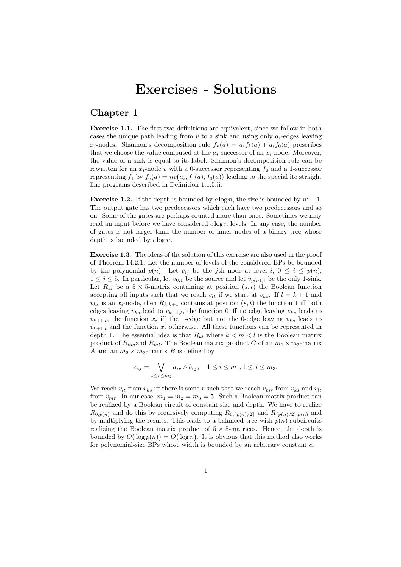# Exercises - Solutions

# Chapter 1

Exercise 1.1. The first two definitions are equivalent, since we follow in both cases the unique path leading from  $v$  to a sink and using only  $a_i$ -edges leaving  $x_i$ -nodes. Shannon's decomposition rule  $f_v(a) = a_i f_1(a) + \overline{a_i} f_0(a)$  prescribes that we choose the value computed at the  $a_i$ -successor of an  $x_i$ -node. Moreover, the value of a sink is equal to its label. Shannon's decomposition rule can be rewritten for an  $x_i$ -node v with a 0-successor representing  $f_0$  and a 1-successor representing  $f_1$  by  $f_v(a) = ite(a_i, f_1(a), f_0(a))$  leading to the special ite straight line programs described in Definition 1.1.5.ii.

**Exercise 1.2.** If the depth is bounded by  $c \log n$ , the size is bounded by  $n^c - 1$ . The output gate has two predecessors which each have two predecessors and so on. Some of the gates are perhaps counted more than once. Sometimes we may read an input before we have considered  $c \log n$  levels. In any case, the number of gates is not larger than the number of inner nodes of a binary tree whose depth is bounded by  $c \log n$ .

Exercise 1.3. The ideas of the solution of this exercise are also used in the proof of Theorem 14.2.1. Let the number of levels of the considered BPs be bounded by the polynomial  $p(n)$ . Let  $v_{ij}$  be the jth node at level  $i, 0 \le i \le p(n)$ ,  $1 \leq j \leq 5$ . In particular, let  $v_{0,1}$  be the source and let  $v_{p(n),1}$  be the only 1-sink. Let  $R_{kl}$  be a  $5 \times 5$ -matrix containing at position  $(s,t)$  the Boolean function accepting all inputs such that we reach  $v_{lt}$  if we start at  $v_{ks}$ . If  $l = k + 1$  and  $v_{ks}$  is an  $x_i$ -node, then  $R_{k,k+1}$  contains at position  $(s,t)$  the function 1 iff both edges leaving  $v_{ks}$  lead to  $v_{k+1,t}$ , the function 0 iff no edge leaving  $v_{ks}$  leads to  $v_{k+1,t}$ , the function  $x_i$  iff the 1-edge but not the 0-edge leaving  $v_{ks}$  leads to  $v_{k+1,t}$  and the function  $\overline{x}_i$  otherwise. All these functions can be represented in depth 1. The essential idea is that  $R_{kl}$  where  $k < m < l$  is the Boolean matrix product of  $R_{km}$  and  $R_{ml}$ . The Boolean matrix product C of an  $m_1 \times m_2$ -matrix A and an  $m_2 \times m_3$ -matrix B is defined by

$$
c_{ij} = \bigvee_{1 \leq r \leq m_2} a_{ir} \wedge b_{rj}, \quad 1 \leq i \leq m_1, 1 \leq j \leq m_3.
$$

We reach  $v_{lt}$  from  $v_{ks}$  iff there is some r such that we reach  $v_{mr}$  from  $v_{ks}$  and  $v_{lt}$ from  $v_{mr}$ . In our case,  $m_1 = m_2 = m_3 = 5$ . Such a Boolean matrix product can be realized by a Boolean circuit of constant size and depth. We have to realize  $R_{0,p(n)}$  and do this by recursively computing  $R_{0,\lceil p(n)/2\rceil}$  and  $R_{\lceil p(n)/2\rceil,p(n)}$  and by multiplying the results. This leads to a balanced tree with  $p(n)$  subcircuits realizing the Boolean matrix product of  $5 \times 5$ -matrices. Hence, the depth is bounded by  $O(\log p(n)) = O(\log n)$ . It is obvious that this method also works for polynomial-size BPs whose width is bounded by an arbitrary constant  $c$ .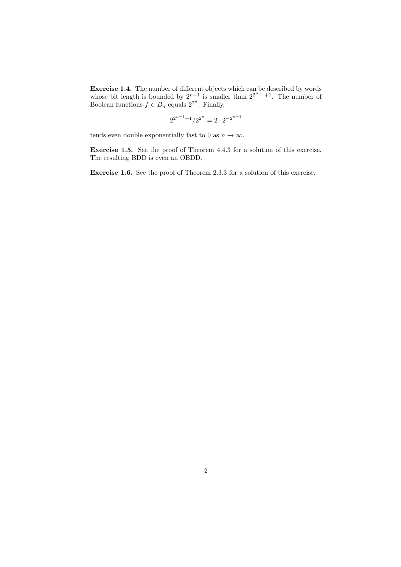Exercise 1.4. The number of different objects which can be described by words whose bit length is bounded by  $2^{n-1}$  is smaller than  $2^{2^{n-1}+1}$ . The number of Boolean functions  $f \in B_n$  equals  $2^{2^n}$ . Finally,

$$
2^{2^{n-1}+1}/2^{2^n}=2\cdot 2^{-2^{n-1}}
$$

tends even double exponentially fast to 0 as  $n \to \infty$ .

Exercise 1.5. See the proof of Theorem 4.4.3 for a solution of this exercise. The resulting BDD is even an OBDD.

Exercise 1.6. See the proof of Theorem 2.3.3 for a solution of this exercise.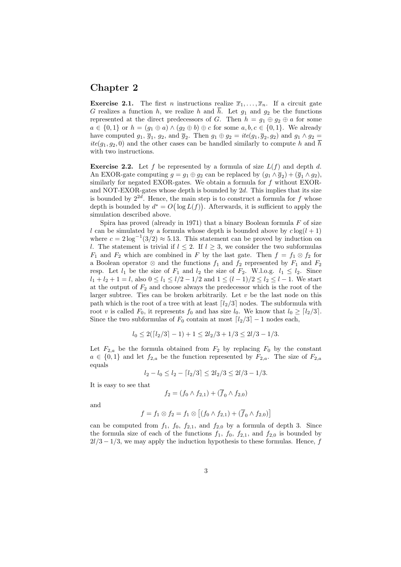#### Chapter 2

**Exercise 2.1.** The first *n* instructions realize  $\overline{x}_1, \ldots, \overline{x}_n$ . If a circuit gate G realizes a function h, we realize h and  $\overline{h}$ . Let  $g_1$  and  $g_2$  be the functions represented at the direct predecessors of G. Then  $h = g_1 \oplus g_2 \oplus a$  for some  $a \in \{0,1\}$  or  $h = (g_1 \oplus a) \wedge (g_2 \oplus b) \oplus c$  for some  $a, b, c \in \{0,1\}$ . We already have computed  $g_1, \overline{g}_1, g_2$ , and  $\overline{g}_2$ . Then  $g_1 \oplus g_2 = ite(g_1, \overline{g}_2, g_2)$  and  $g_1 \wedge g_2 =$  $ite(g_1, g_2, 0)$  and the other cases can be handled similarly to compute h and  $\overline{h}$ with two instructions.

**Exercise 2.2.** Let f be represented by a formula of size  $L(f)$  and depth d. An EXOR-gate computing  $g = g_1 \oplus g_2$  can be replaced by  $(g_1 \wedge \overline{g}_2) + (\overline{g}_1 \wedge g_2)$ , similarly for negated EXOR-gates. We obtain a formula for f without EXORand NOT-EXOR-gates whose depth is bounded by  $2d$ . This implies that its size is bounded by  $2^{2d}$ . Hence, the main step is to construct a formula for f whose depth is bounded by  $d^* = O(\log L(f))$ . Afterwards, it is sufficient to apply the simulation described above.

Spira has proved (already in 1971) that a binary Boolean formula  $F$  of size l can be simulated by a formula whose depth is bounded above by  $c \log(l + 1)$ where  $c = 2 \log^{-1}(3/2) \approx 5.13$ . This statement can be proved by induction on l. The statement is trivial if  $l \leq 2$ . If  $l \geq 3$ , we consider the two subformulas  $F_1$  and  $F_2$  which are combined in F by the last gate. Then  $f = f_1 \otimes f_2$  for a Boolean operator ⊗ and the functions  $f_1$  and  $f_2$  represented by  $F_1$  and  $F_2$ resp. Let  $l_1$  be the size of  $F_1$  and  $l_2$  the size of  $F_2$ . W.l.o.g.  $l_1 \leq l_2$ . Since  $l_1 + l_2 + 1 = l$ , also  $0 \le l_1 \le l/2 - 1/2$  and  $1 \le (l - 1)/2 \le l_2 \le l - 1$ . We start at the output of  $F_2$  and choose always the predecessor which is the root of the larger subtree. Ties can be broken arbitrarily. Let  $v$  be the last node on this path which is the root of a tree with at least  $\lceil l_2/3 \rceil$  nodes. The subformula with root v is called  $F_0$ , it represents  $f_0$  and has size  $l_0$ . We know that  $l_0 \geq [l_2/3]$ . Since the two subformulas of  $F_0$  contain at most  $\lfloor l_2/3 \rfloor - 1$  nodes each,

$$
l_0 \le 2(\lceil l_2/3 \rceil - 1) + 1 \le 2l_2/3 + 1/3 \le 2l/3 - 1/3.
$$

Let  $F_{2,a}$  be the formula obtained from  $F_2$  by replacing  $F_0$  by the constant  $a \in \{0,1\}$  and let  $f_{2,a}$  be the function represented by  $F_{2,a}$ . The size of  $F_{2,a}$ equals

$$
l_2 - l_0 \le l_2 - \lceil l_2/3 \rceil \le 2l_2/3 \le 2l/3 - 1/3.
$$

It is easy to see that

$$
f_2 = (f_0 \wedge f_{2,1}) + (\overline{f}_0 \wedge f_{2,0})
$$

and

$$
f = f_1 \otimes f_2 = f_1 \otimes [(f_0 \wedge f_{2,1}) + (\overline{f}_0 \wedge f_{2,0})]
$$

can be computed from  $f_1$ ,  $f_0$ ,  $f_{2,1}$ , and  $f_{2,0}$  by a formula of depth 3. Since the formula size of each of the functions  $f_1$ ,  $f_0$ ,  $f_{2,1}$ , and  $f_{2,0}$  is bounded by  $2l/3 - 1/3$ , we may apply the induction hypothesis to these formulas. Hence, f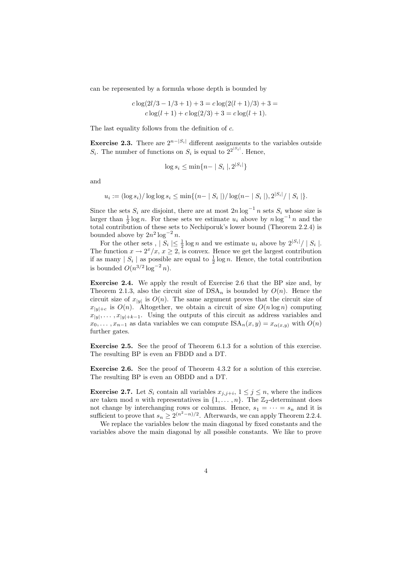can be represented by a formula whose depth is bounded by

$$
c \log(2l/3 - 1/3 + 1) + 3 = c \log(2(l+1)/3) + 3 =
$$
  

$$
c \log(l+1) + c \log(2/3) + 3 = c \log(l+1).
$$

The last equality follows from the definition of  $c$ .

**Exercise 2.3.** There are  $2^{n-|S_i|}$  different assignments to the variables outside  $S_i$ . The number of functions on  $S_i$  is equal to  $2^{2^{|S_i|}}$ . Hence,

$$
\log s_i \le \min\{n - |S_i|, 2^{|S_i|}\}
$$

and

$$
u_i := (\log s_i)/\log \log s_i \le \min\{(n-|S_i|)/\log(n-|S_i|), 2^{|S_i|}/|S_i| \}.
$$

|Si|

Since the sets  $S_i$  are disjoint, there are at most  $2n \log^{-1} n$  sets  $S_i$  whose size is larger than  $\frac{1}{2} \log n$ . For these sets we estimate  $u_i$  above by  $n \log^{-1} n$  and the total contribution of these sets to Nechiporuk's lower bound (Theorem 2.2.4) is bounded above by  $2n^2 \log^{-2} n$ .

For the other sets,  $|S_i| \leq \frac{1}{2} \log n$  and we estimate  $u_i$  above by  $2^{|S_i|} / |S_i|$ . The function  $x \to 2^x/x$ ,  $x \ge 2$ , is convex. Hence we get the largest contribution if as many  $|S_i|$  as possible are equal to  $\frac{1}{2} \log n$ . Hence, the total contribution is bounded  $O(n^{3/2} \log^{-2} n)$ .

Exercise 2.4. We apply the result of Exercise 2.6 that the BP size and, by Theorem 2.1.3, also the circuit size of  $DSA_n$  is bounded by  $O(n)$ . Hence the circuit size of  $x_{|y|}$  is  $O(n)$ . The same argument proves that the circuit size of  $x_{|y|+c}$  is  $O(n)$ . Altogether, we obtain a circuit of size  $O(n \log n)$  computing  $x_{|y|}, \ldots, x_{|y|+k-1}$ . Using the outputs of this circuit as address variables and  $x_0, \ldots, x_{n-1}$  as data variables we can compute  $ISA_n(x, y) = x_{\alpha(x, y)}$  with  $O(n)$ further gates.

Exercise 2.5. See the proof of Theorem 6.1.3 for a solution of this exercise. The resulting BP is even an FBDD and a DT.

Exercise 2.6. See the proof of Theorem 4.3.2 for a solution of this exercise. The resulting BP is even an OBDD and a DT.

**Exercise 2.7.** Let  $S_i$  contain all variables  $x_{j,j+i}, 1 \leq j \leq n$ , where the indices are taken mod *n* with representatives in  $\{1, \ldots, n\}$ . The  $\mathbb{Z}_2$ -determinant does not change by interchanging rows or columns. Hence,  $s_1 = \cdots = s_n$  and it is sufficient to prove that  $s_n \geq 2^{(n^2-n)/2}$ . Afterwards, we can apply Theorem 2.2.4.

We replace the variables below the main diagonal by fixed constants and the variables above the main diagonal by all possible constants. We like to prove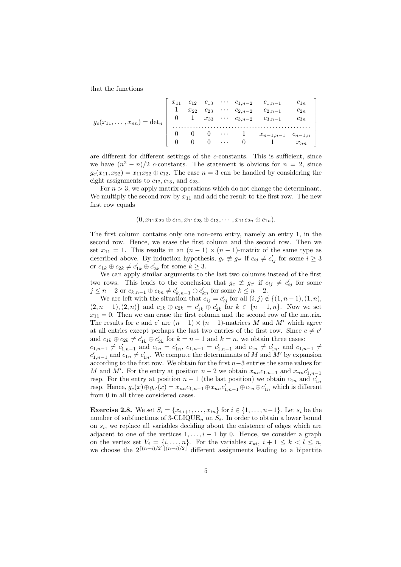that the functions

$$
g_c(x_{11},\ldots,x_{nn}) = \det_n \begin{bmatrix} x_{11} & c_{12} & c_{13} & \cdots & c_{1,n-2} & c_{1,n-1} & c_{1n} \\ 1 & x_{22} & c_{23} & \cdots & c_{2,n-2} & c_{2,n-1} & c_{2n} \\ 0 & 1 & x_{33} & \cdots & c_{3,n-2} & c_{3,n-1} & c_{3n} \\ \vdots & \vdots & \vdots & \ddots & \vdots & \vdots & \vdots \\ 0 & 0 & 0 & \cdots & 1 & x_{n-1,n-1} & c_{n-1,n} \\ 0 & 0 & 0 & \cdots & 0 & 1 & x_{nn} \end{bmatrix}
$$

are different for different settings of the c-constants. This is sufficient, since we have  $(n^2 - n)/2$  c-constants. The statement is obvious for  $n = 2$ , since  $g_c(x_{11}, x_{22}) = x_{11}x_{22} \oplus c_{12}$ . The case  $n = 3$  can be handled by considering the eight assignments to  $c_{12}$ ,  $c_{13}$ , and  $c_{23}$ .

For  $n > 3$ , we apply matrix operations which do not change the determinant. We multiply the second row by  $x_{11}$  and add the result to the first row. The new first row equals

$$
(0, x_{11}x_{22} \oplus c_{12}, x_{11}c_{23} \oplus c_{13}, \cdots, x_{11}c_{2n} \oplus c_{1n}).
$$

The first column contains only one non-zero entry, namely an entry 1, in the second row. Hence, we erase the first column and the second row. Then we set  $x_{11} = 1$ . This results in an  $(n - 1) \times (n - 1)$ -matrix of the same type as described above. By induction hypothesis,  $g_c \not\equiv g_{c'}$  if  $c_{ij} \neq c'_{ij}$  for some  $i \geq 3$ or  $c_{1k} \oplus c_{2k} \neq c'_{1k} \oplus c'_{2k}$  for some  $k \geq 3$ .

We can apply similar arguments to the last two columns instead of the first two rows. This leads to the conclusion that  $g_c \neq g_{c'}$  if  $c_{ij} \neq c'_{ij}$  for some  $j \leq n-2$  or  $c_{k,n-1} \oplus c_{kn} \neq c'_{k,n-1} \oplus c'_{kn}$  for some  $k \leq n-2$ .

We are left with the situation that  $c_{ij} = c'_{ij}$  for all  $(i, j) \notin \{(1, n-1), (1, n),$  $(2, n-1), (2, n)$  and  $c_{1k} \oplus c_{2k} = c'_{1k} \oplus c'_{2k}$  for  $k \in \{n-1, n\}$ . Now we set  $x_{11} = 0$ . Then we can erase the first column and the second row of the matrix. The results for c and c' are  $(n-1) \times (n-1)$ -matrices M and M' which agree at all entries except perhaps the last two entries of the first row. Since  $c \neq c'$ and  $c_{1k} \oplus c_{2k} \neq c'_{1k} \oplus c'_{2k}$  for  $k = n - 1$  and  $k = n$ , we obtain three cases:

 $c_{1,n-1}$  ≠  $c'_{1,n-1}$  and  $c_{1n} = c'_{1n}$ ,  $c_{1,n-1} = c'_{1,n-1}$  and  $c_{1n} \neq c'_{1n}$ , and  $c_{1,n-1} \neq c'_{1,n-1}$  $c'_{1,n-1}$  and  $c_{1n} \neq c'_{1n}$ . We compute the determinants of M and M' by expansion according to the first row. We obtain for the first n−3 entries the same values for M and M'. For the entry at position  $n-2$  we obtain  $x_{nn}c_{1,n-1}$  and  $x_{nn}c'_{1,n-1}$ resp. For the entry at position  $n-1$  (the last position) we obtain  $c_{1n}$  and  $c'_{1n}$ resp. Hence,  $g_c(x) \oplus g_{c'}(x) = x_{nn}c_{1,n-1} \oplus x_{nn}c'_{1,n-1} \oplus c_{1n} \oplus c'_{1n}$  which is different from 0 in all three considered cases.

**Exercise 2.8.** We set  $S_i = \{x_{i,i+1}, \ldots, x_{in}\}$  for  $i \in \{1, \ldots, n-1\}$ . Let  $s_i$  be the number of subfunctions of  $3$ -CLIQUE<sub>n</sub> on  $S_i$ . In order to obtain a lower bound on  $s_i$ , we replace all variables deciding about the existence of edges which are adjacent to one of the vertices  $1, \ldots, i-1$  by 0. Hence, we consider a graph on the vertex set  $V_i = \{i, \ldots, n\}$ . For the variables  $x_{kl}, i + 1 \leq k < l \leq n$ , we choose the  $2^{[(n-i)/2](n-i)/2}$  different assignments leading to a bipartite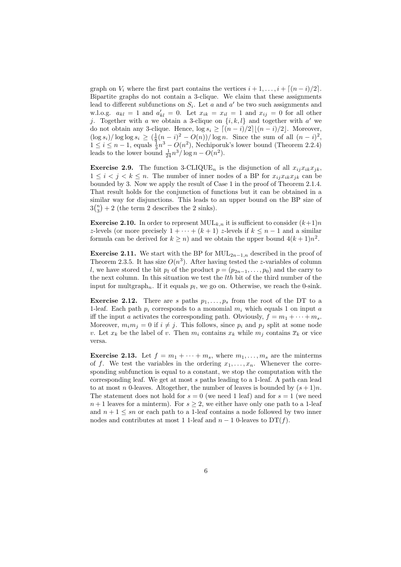graph on  $V_i$  where the first part contains the vertices  $i + 1, \ldots, i + \lceil (n - i)/2 \rceil$ . Bipartite graphs do not contain a 3-clique. We claim that these assignments lead to different subfunctions on  $S_i$ . Let a and a' be two such assignments and w.l.o.g.  $a_{kl} = 1$  and  $a'_{kl} = 0$ . Let  $x_{ik} = x_{il} = 1$  and  $x_{ij} = 0$  for all other j. Together with a we obtain a 3-clique on  $\{i, k, l\}$  and together with a' we do not obtain any 3-clique. Hence,  $\log s_i \geq \frac{(n - i)}{2} \lfloor (n - i)/2 \rfloor$ . Moreover,  $(\log s_i)/\log \log s_i \geq (\frac{1}{8}(n-i)^2 - O(n))/\log n$ . Since the sum of all  $(n-i)^2$ ,  $1 \leq i \leq n-1$ , equals  $\frac{1}{3}n^3 - O(n^2)$ , Nechiporuk's lower bound (Theorem 2.2.4) leads to the lower bound  $\frac{1}{24}n^3/\log n - O(n^2)$ .

**Exercise 2.9.** The function 3-CLIQUE<sub>n</sub> is the disjunction of all  $x_{ij}x_{ik}x_{jk}$ ,  $1 \leq i \leq j \leq k \leq n$ . The number of inner nodes of a BP for  $x_{ij}x_{ik}x_{jk}$  can be bounded by 3. Now we apply the result of Case 1 in the proof of Theorem 2.1.4. That result holds for the conjunction of functions but it can be obtained in a similar way for disjunctions. This leads to an upper bound on the BP size of  $3\binom{n}{3}+2$  (the term 2 describes the 2 sinks).

**Exercise 2.10.** In order to represent  $\text{MUL}_{k,n}$  it is sufficient to consider  $(k+1)n$ z-levels (or more precisely  $1 + \cdots + (k + 1)$  z-levels if  $k \leq n - 1$  and a similar formula can be derived for  $k \ge n$ ) and we obtain the upper bound  $4(k+1)n^2$ .

**Exercise 2.11.** We start with the BP for  $\text{MUL}_{2n-1,n}$  described in the proof of Theorem 2.3.5. It has size  $O(n^3)$ . After having tested the z-variables of column l, we have stored the bit  $p_l$  of the product  $p = (p_{2n-1}, \ldots, p_0)$  and the carry to the next column. In this situation we test the  $lth$  bit of the third number of the input for multgraph<sub>n</sub>. If it equals  $p_l$ , we go on. Otherwise, we reach the 0-sink.

**Exercise 2.12.** There are s paths  $p_1, \ldots, p_s$  from the root of the DT to a 1-leaf. Each path  $p_i$  corresponds to a monomial  $m_i$  which equals 1 on input a iff the input a activates the corresponding path. Obviously,  $f = m_1 + \cdots + m_s$ . Moreover,  $m_i m_j = 0$  if  $i \neq j$ . This follows, since  $p_i$  and  $p_j$  split at some node v. Let  $x_k$  be the label of v. Then  $m_i$  contains  $x_k$  while  $m_j$  contains  $\overline{x}_k$  or vice versa.

**Exercise 2.13.** Let  $f = m_1 + \cdots + m_s$ , where  $m_1, \ldots, m_s$  are the minterms of f. We test the variables in the ordering  $x_1, \ldots, x_n$ . Whenever the corresponding subfunction is equal to a constant, we stop the computation with the corresponding leaf. We get at most s paths leading to a 1-leaf. A path can lead to at most n 0-leaves. Altogether, the number of leaves is bounded by  $(s + 1)n$ . The statement does not hold for  $s = 0$  (we need 1 leaf) and for  $s = 1$  (we need  $n+1$  leaves for a minterm). For  $s \geq 2$ , we either have only one path to a 1-leaf and  $n + 1 \leq sn$  or each path to a 1-leaf contains a node followed by two inner nodes and contributes at most 1 1-leaf and  $n - 1$  0-leaves to DT(f).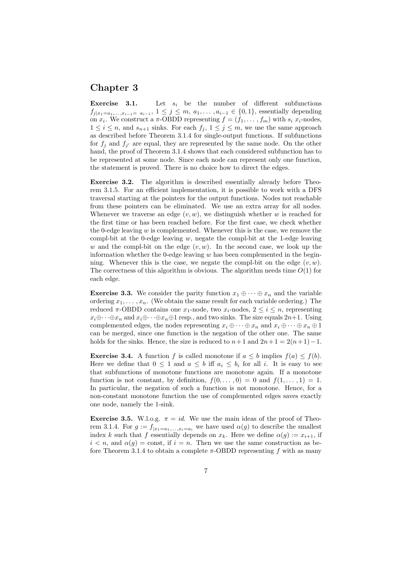# Chapter 3

**Exercise 3.1.** Let  $s_i$  be the number of different subfunctions  $f_{j|x_1=a_1,...,x_{i-1}=a_{i-1}}, 1 \leq j \leq m, a_1,...,a_{i-1} \in \{0,1\}$ , essentially depending on  $x_i$ . We construct a  $\pi$ -OBDD representing  $f = (f_1, \ldots, f_m)$  with  $s_i$   $x_i$ -nodes,  $1 \leq i \leq n$ , and  $s_{n+1}$  sinks. For each  $f_j$ ,  $1 \leq j \leq m$ , we use the same approach as described before Theorem 3.1.4 for single-output functions. If subfunctions for  $f_j$  and  $f_{j'}$  are equal, they are represented by the same node. On the other hand, the proof of Theorem 3.1.4 shows that each considered subfunction has to be represented at some node. Since each node can represent only one function, the statement is proved. There is no choice how to direct the edges.

Exercise 3.2. The algorithm is described essentially already before Theorem 3.1.5. For an efficient implementation, it is possible to work with a DFS traversal starting at the pointers for the output functions. Nodes not reachable from these pointers can be eliminated. We use an extra array for all nodes. Whenever we traverse an edge  $(v, w)$ , we distinguish whether w is reached for the first time or has been reached before. For the first case, we check whether the 0-edge leaving  $w$  is complemented. Whenever this is the case, we remove the compl-bit at the 0-edge leaving  $w$ , negate the compl-bit at the 1-edge leaving w and the compl-bit on the edge  $(v, w)$ . In the second case, we look up the information whether the 0-edge leaving  $w$  has been complemented in the beginning. Whenever this is the case, we negate the compl-bit on the edge  $(v, w)$ . The correctness of this algorithm is obvious. The algorithm needs time  $O(1)$  for each edge.

**Exercise 3.3.** We consider the parity function  $x_1 \oplus \cdots \oplus x_n$  and the variable ordering  $x_1, \ldots, x_n$ . (We obtain the same result for each variable ordering.) The reduced  $\pi$ -OBDD contains one  $x_1$ -node, two  $x_i$ -nodes,  $2 \leq i \leq n$ , representing  $x_i \oplus \cdots \oplus x_n$  and  $x_i \oplus \cdots \oplus x_n \oplus 1$  resp., and two sinks. The size equals  $2n+1$ . Using complemented edges, the nodes representing  $x_i \oplus \cdots \oplus x_n$  and  $x_i \oplus \cdots \oplus x_n \oplus 1$ can be merged, since one function is the negation of the other one. The same holds for the sinks. Hence, the size is reduced to  $n+1$  and  $2n+1 = 2(n+1)-1$ .

**Exercise 3.4.** A function f is called monotone if  $a \leq b$  implies  $f(a) \leq f(b)$ . Here we define that  $0 \leq 1$  and  $a \leq b$  iff  $a_i \leq b_i$  for all i. It is easy to see that subfunctions of monotone functions are monotone again. If a monotone function is not constant, by definition,  $f(0, \ldots, 0) = 0$  and  $f(1, \ldots, 1) = 1$ . In particular, the negation of such a function is not monotone. Hence, for a non-constant monotone function the use of complemented edges saves exactly one node, namely the 1-sink.

Exercise 3.5. W.l.o.g.  $\pi = id$ . We use the main ideas of the proof of Theorem 3.1.4. For  $g := f_{|x_1=a_1,\ldots,x_i=a_i}$  we have used  $\alpha(g)$  to describe the smallest index k such that f essentially depends on  $x_k$ . Here we define  $\alpha(g) := x_{i+1}$ , if  $i < n$ , and  $\alpha(g) = \text{const}$ , if  $i = n$ . Then we use the same construction as before Theorem 3.1.4 to obtain a complete  $\pi$ -OBDD representing f with as many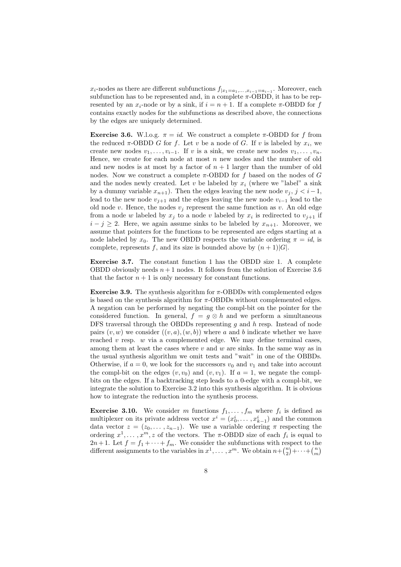$x_i$ -nodes as there are different subfunctions  $f_{|x_1=a_1,\ldots,x_{i-1}=a_{i-1}}$ . Moreover, each subfunction has to be represented and, in a complete  $\pi$ -OBDD, it has to be represented by an  $x_i$ -node or by a sink, if  $i = n + 1$ . If a complete  $\pi$ -OBDD for f contains exactly nodes for the subfunctions as described above, the connections by the edges are uniquely determined.

**Exercise 3.6.** W.l.o.g.  $\pi = id$ . We construct a complete  $\pi$ -OBDD for f from the reduced  $\pi$ -OBDD G for f. Let v be a node of G. If v is labeled by  $x_i$ , we create new nodes  $v_1, \ldots, v_{i-1}$ . If v is a sink, we create new nodes  $v_1, \ldots, v_n$ . Hence, we create for each node at most  $n$  new nodes and the number of old and new nodes is at most by a factor of  $n + 1$  larger than the number of old nodes. Now we construct a complete  $\pi$ -OBDD for f based on the nodes of G and the nodes newly created. Let v be labeled by  $x_i$  (where we "label" a sink by a dummy variable  $x_{n+1}$ ). Then the edges leaving the new node  $v_j$ ,  $j < i-1$ , lead to the new node  $v_{i+1}$  and the edges leaving the new node  $v_{i-1}$  lead to the old node v. Hence, the nodes  $v_i$  represent the same function as v. An old edge from a node w labeled by  $x_j$  to a node v labeled by  $x_i$  is redirected to  $v_{j+1}$  if  $i - j \geq 2$ . Here, we again assume sinks to be labeled by  $x_{n+1}$ . Moreover, we assume that pointers for the functions to be represented are edges starting at a node labeled by  $x_0$ . The new OBDD respects the variable ordering  $\pi = id$ , is complete, represents f, and its size is bounded above by  $(n+1)|G|$ .

Exercise 3.7. The constant function 1 has the OBDD size 1. A complete OBDD obviously needs  $n+1$  nodes. It follows from the solution of Exercise 3.6 that the factor  $n + 1$  is only necessary for constant functions.

Exercise 3.9. The synthesis algorithm for  $\pi$ -OBDDs with complemented edges is based on the synthesis algorithm for  $\pi$ -OBDDs without complemented edges. A negation can be performed by negating the compl-bit on the pointer for the considered function. In general,  $f = q \otimes h$  and we perform a simultaneous DFS traversal through the OBDDs representing  $g$  and  $h$  resp. Instead of node pairs  $(v, w)$  we consider  $((v, a), (w, b))$  where a and b indicate whether we have reached  $v$  resp.  $w$  via a complemented edge. We may define terminal cases, among them at least the cases where  $v$  and  $w$  are sinks. In the same way as in the usual synthesis algorithm we omit tests and "wait" in one of the OBBDs. Otherwise, if  $a = 0$ , we look for the successors  $v_0$  and  $v_1$  and take into account the compl-bit on the edges  $(v, v_0)$  and  $(v, v_1)$ . If  $a = 1$ , we negate the complbits on the edges. If a backtracking step leads to a 0-edge with a compl-bit, we integrate the solution to Exercise 3.2 into this synthesis algorithm. It is obvious how to integrate the reduction into the synthesis process.

**Exercise 3.10.** We consider m functions  $f_1, \ldots, f_m$  where  $f_i$  is defined as multiplexer on its private address vector  $x^i = (x_0^i, \ldots, x_{k-1}^i)$  and the common data vector  $z = (z_0, \ldots, z_{n-1})$ . We use a variable ordering  $\pi$  respecting the ordering  $x^1, \ldots, x^m, z$  of the vectors. The  $\pi$ -OBDD size of each  $f_i$  is equal to  $2n+1$ . Let  $f = f_1 + \cdots + f_m$ . We consider the subfunctions with respect to the different assignments to the variables in  $x^1, \ldots, x^m$ . We obtain  $n + \binom{n}{2} + \cdots + \binom{n}{m}$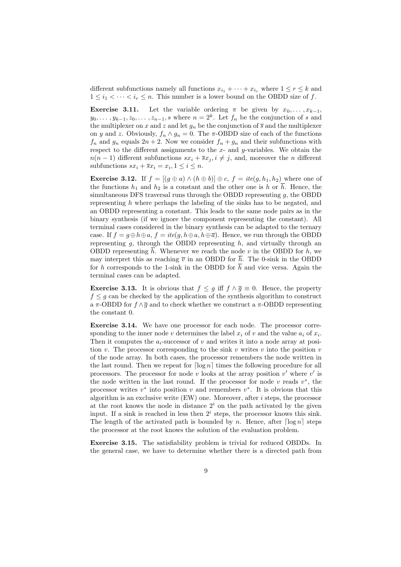different subfunctions namely all functions  $x_{i_1} + \cdots + x_{i_r}$  where  $1 \leq r \leq k$  and  $1 \leq i_1 < \cdots < i_r \leq n$ . This number is a lower bound on the OBDD size of f.

**Exercise 3.11.** Let the variable ordering  $\pi$  be given by  $x_0, \ldots, x_{k-1}$ ,  $y_0, \ldots, y_{k-1}, z_0, \ldots, z_{n-1}, s$  where  $n = 2^k$ . Let  $f_n$  be the conjunction of s and the multiplexer on x and z and let  $g_n$  be the conjunction of  $\overline{s}$  and the multiplexer on y and z. Obviously,  $f_n \wedge g_n = 0$ . The  $\pi$ -OBDD size of each of the functions  $f_n$  and  $g_n$  equals  $2n + 2$ . Now we consider  $f_n + g_n$  and their subfunctions with respect to the different assignments to the  $x$ - and  $y$ -variables. We obtain the  $n(n-1)$  different subfunctions  $sx_i + \overline{sx}_i, i \neq j$ , and, moreover the *n* different subfunctions  $sx_i + \overline{s}x_i = x_i, 1 \leq i \leq n$ .

**Exercise 3.12.** If  $f = [(g \oplus a) \wedge (h \oplus b)] \oplus c$ ,  $f = ite(g, h_1, h_2)$  where one of the functions  $h_1$  and  $h_2$  is a constant and the other one is h or  $\overline{h}$ . Hence, the simultaneous DFS traversal runs through the OBDD representing  $g$ , the OBDD representing h where perhaps the labeling of the sinks has to be negated, and an OBDD representing a constant. This leads to the same node pairs as in the binary synthesis (if we ignore the component representing the constant). All terminal cases considered in the binary synthesis can be adapted to the ternary case. If  $f = g \oplus h \oplus a$ ,  $f = ite(g, h \oplus a, h \oplus \overline{a})$ . Hence, we run through the OBDD representing  $g$ , through the OBDD representing  $h$ , and virtually through an OBDD representing  $\overline{h}$ . Whenever we reach the node v in the OBDD for h, we may interpret this as reaching  $\overline{v}$  in an OBDD for  $\overline{h}$ . The 0-sink in the OBDD for h corresponds to the 1-sink in the OBDD for  $\overline{h}$  and vice versa. Again the terminal cases can be adapted.

**Exercise 3.13.** It is obvious that  $f \leq g$  iff  $f \wedge \overline{g} \equiv 0$ . Hence, the property  $f \leq g$  can be checked by the application of the synthesis algorithm to construct a  $\pi$ -OBDD for  $f \wedge \overline{g}$  and to check whether we construct a  $\pi$ -OBDD representing the constant 0.

Exercise 3.14. We have one processor for each node. The processor corresponding to the inner node v determines the label  $x_i$  of v and the value  $a_i$  of  $x_i$ . Then it computes the  $a_i$ -successor of v and writes it into a node array at position v. The processor corresponding to the sink v writes v into the position v of the node array. In both cases, the processor remembers the node written in the last round. Then we repeat for  $\lceil \log n \rceil$  times the following procedure for all processors. The processor for node v looks at the array position  $v'$  where  $v'$  is the node written in the last round. If the processor for node  $v$  reads  $v^*$ , the processor writes  $v^*$  into position v and remembers  $v^*$ . It is obvious that this algorithm is an exclusive write  $(EW)$  one. Moreover, after i steps, the processor at the root knows the node in distance  $2<sup>i</sup>$  on the path activated by the given input. If a sink is reached in less then  $2<sup>i</sup>$  steps, the processor knows this sink. The length of the activated path is bounded by n. Hence, after  $\lceil \log n \rceil$  steps the processor at the root knows the solution of the evaluation problem.

Exercise 3.15. The satisfiability problem is trivial for reduced OBDDs. In the general case, we have to determine whether there is a directed path from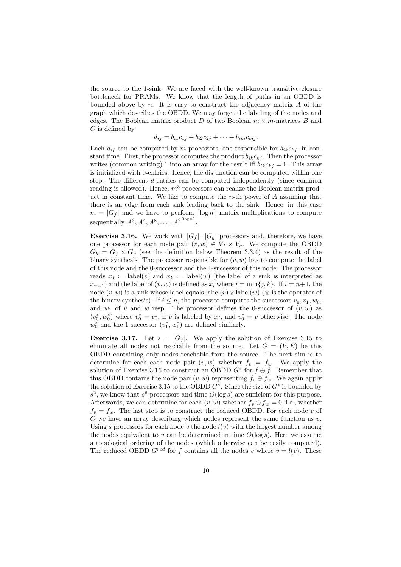the source to the 1-sink. We are faced with the well-known transitive closure bottleneck for PRAMs. We know that the length of paths in an OBDD is bounded above by  $n$ . It is easy to construct the adjacency matrix  $A$  of the graph which describes the OBDD. We may forget the labeling of the nodes and edges. The Boolean matrix product  $D$  of two Boolean  $m \times m$ -matrices  $B$  and  $C$  is defined by

$$
d_{ij} = b_{i1}c_{1j} + b_{i2}c_{2j} + \cdots + b_{im}c_{mj}.
$$

Each  $d_{ij}$  can be computed by m processors, one responsible for  $b_{ik}c_{kj}$ , in constant time. First, the processor computes the product  $b_{ik}c_{kj}$ . Then the processor writes (common writing) 1 into an array for the result iff  $b_{ik}c_{kj} = 1$ . This array is initialized with 0-entries. Hence, the disjunction can be computed within one step. The different d-entries can be computed independently (since common reading is allowed). Hence,  $m<sup>3</sup>$  processors can realize the Boolean matrix product in constant time. We like to compute the  $n$ -th power of  $A$  assuming that there is an edge from each sink leading back to the sink. Hence, in this case  $m = |G_f|$  and we have to perform  $\lceil \log n \rceil$  matrix multiplications to compute sequentially  $A^2, A^4, A^8, \ldots, A^{2^{\lceil \log n \rceil}}$ .

**Exercise 3.16.** We work with  $|G_f| \cdot |G_g|$  processors and, therefore, we have one processor for each node pair  $(v, w) \in V_f \times V_g$ . We compute the OBDD  $G_h = G_f \times G_g$  (see the definition below Theorem 3.3.4) as the result of the binary synthesis. The processor responsible for  $(v, w)$  has to compute the label of this node and the 0-successor and the 1-successor of this node. The processor reads  $x_i := \text{label}(v)$  and  $x_k := \text{label}(w)$  (the label of a sink is interpreted as  $x_{n+1}$ ) and the label of  $(v, w)$  is defined as  $x_i$  where  $i = \min\{j, k\}$ . If  $i = n+1$ , the node  $(v, w)$  is a sink whose label equals label $(v) \otimes$ label $(w)$  ( $\otimes$  is the operator of the binary synthesis). If  $i \leq n$ , the processor computes the successors  $v_0, v_1, w_0$ . and  $w_1$  of v and w resp. The processor defines the 0-successor of  $(v, w)$  as  $(v_0^*, w_0^*)$  where  $v_0^* = v_0$ , if v is labeled by  $x_i$ , and  $v_0^* = v$  otherwise. The node  $w_0^*$  and the 1-successor  $(v_1^*, w_1^*)$  are defined similarly.

**Exercise 3.17.** Let  $s = |G_f|$ . We apply the solution of Exercise 3.15 to eliminate all nodes not reachable from the source. Let  $G = (V, E)$  be this OBDD containing only nodes reachable from the source. The next aim is to determine for each each node pair  $(v, w)$  whether  $f_v = f_w$ . We apply the solution of Exercise 3.16 to construct an OBDD  $G^*$  for  $f \oplus f$ . Remember that this OBDD contains the node pair  $(v, w)$  representing  $f_v \oplus f_w$ . We again apply the solution of Exercise 3.15 to the OBDD  $G^*$ . Since the size of  $G^*$  is bounded by  $s^2$ , we know that  $s^6$  processors and time  $O(\log s)$  are sufficient for this purpose. Afterwards, we can determine for each  $(v, w)$  whether  $f_v \oplus f_w = 0$ , i.e., whether  $f_v = f_w$ . The last step is to construct the reduced OBDD. For each node v of  $G$  we have an array describing which nodes represent the same function as  $v$ . Using s processors for each node v the node  $l(v)$  with the largest number among the nodes equivalent to v can be determined in time  $O(\log s)$ . Here we assume a topological ordering of the nodes (which otherwise can be easily computed). The reduced OBDD  $G^{red}$  for f contains all the nodes v where  $v = l(v)$ . These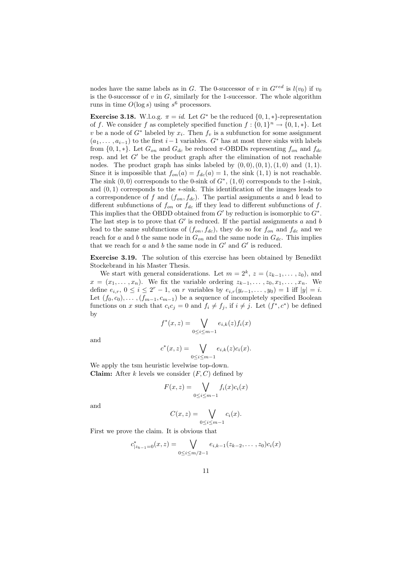nodes have the same labels as in G. The 0-successor of v in  $G^{red}$  is  $l(v_0)$  if  $v_0$ is the 0-successor of  $v$  in  $G$ , similarly for the 1-successor. The whole algorithm runs in time  $O(\log s)$  using  $s^6$  processors.

Exercise 3.18. W.l.o.g.  $\pi = id$ . Let  $G^*$  be the reduced  $\{0, 1, *\}$ -representation of f. We consider f as completely specified function  $f: \{0,1\}^n \to \{0,1,*\}$ . Let v be a node of  $G^*$  labeled by  $x_i$ . Then  $f_v$  is a subfunction for some assignment  $(a_1, \ldots, a_{i-1})$  to the first  $i-1$  variables.  $G^*$  has at most three sinks with labels from  $\{0, 1, *\}$ . Let  $G_{on}$  and  $G_{dc}$  be reduced  $\pi$ -OBDDs representing  $f_{on}$  and  $f_{dc}$ resp. and let  $G'$  be the product graph after the elimination of not reachable nodes. The product graph has sinks labeled by  $(0, 0), (0, 1), (1, 0)$  and  $(1, 1)$ . Since it is impossible that  $f_{on}(a) = f_{dc}(a) = 1$ , the sink  $(1, 1)$  is not reachable. The sink  $(0,0)$  corresponds to the 0-sink of  $G^*$ ,  $(1,0)$  corresponds to the 1-sink, and  $(0, 1)$  corresponds to the  $\ast$ -sink. This identification of the images leads to a correspondence of f and  $(f_{on}, f_{dc})$ . The partial assignments a and b lead to different subfunctions of  $f_{on}$  or  $f_{dc}$  iff they lead to different subfunctions of f. This implies that the OBDD obtained from  $G'$  by reduction is isomorphic to  $G^*$ . The last step is to prove that  $G'$  is reduced. If the partial assignments a and b lead to the same subfunctions of  $(f_{on}, f_{dc})$ , they do so for  $f_{on}$  and  $f_{dc}$  and we reach for a and b the same node in  $G_{on}$  and the same node in  $G_{dc}$ . This implies that we reach for a and b the same node in  $G'$  and  $G'$  is reduced.

Exercise 3.19. The solution of this exercise has been obtained by Benedikt Stockebrand in his Master Thesis.

We start with general considerations. Let  $m = 2^k$ ,  $z = (z_{k-1}, \ldots, z_0)$ , and  $x = (x_1, \ldots, x_n)$ . We fix the variable ordering  $z_{k-1}, \ldots, z_0, x_1, \ldots, x_n$ . We define  $e_{i,r}$ ,  $0 \le i \le 2^r - 1$ , on r variables by  $e_{i,r}(y_{r-1},...,y_0) = 1$  iff  $|y| = i$ . Let  $(f_0, c_0), \ldots, (f_{m-1}, c_{m-1})$  be a sequence of incompletely specified Boolean functions on x such that  $c_i c_j = 0$  and  $f_i \neq f_j$ , if  $i \neq j$ . Let  $(f^*, c^*)$  be defined by

$$
f^*(x, z) = \bigvee_{0 \le i \le m-1} e_{i,k}(z) f_i(x)
$$

and

$$
c^*(x, z) = \bigvee_{0 \leq i \leq m-1} e_{i,k}(z)c_i(x).
$$

We apply the tsm heuristic levelwise top-down. **Claim:** After k levels we consider  $(F, C)$  defined by

$$
F(x, z) = \bigvee_{0 \le i \le m-1} f_i(x)c_i(x)
$$

and

$$
C(x, z) = \bigvee_{0 \le i \le m-1} c_i(x).
$$

First we prove the claim. It is obvious that

$$
c_{|z_{k-1}=0}^*(x,z) = \bigvee_{0 \le i \le m/2-1} e_{i,k-1}(z_{k-2},\ldots,z_0)c_i(x)
$$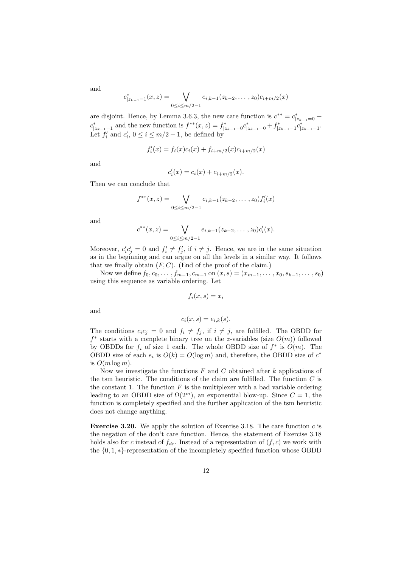$$
c_{|z_{k-1}=1}^*(x,z) = \bigvee_{0 \le i \le m/2-1} e_{i,k-1}(z_{k-2},\ldots,z_0)c_{i+m/2}(x)
$$

are disjoint. Hence, by Lemma 3.6.3, the new care function is  $c^{**} = c^*_{|z_{k-1}=0} +$  $c_{|z_{k-1}=1}^*$  and the new function is  $f^{**}(x, z) = f_{|z_{k-1}=0}^* c_{|z_{k-1}=0}^* + f_{|z_{k-1}=1}^* c_{|z_{k-1}=1}^*$ . Let  $f'_i$  and  $c'_i$ ,  $0 \le i \le m/2 - 1$ , be defined by

$$
f_i'(x) = f_i(x)c_i(x) + f_{i+m/2}(x)c_{i+m/2}(x)
$$

and

$$
c'_{i}(x) = c_{i}(x) + c_{i+m/2}(x).
$$

Then we can conclude that

$$
f^{**}(x, z) = \bigvee_{0 \le i \le m/2 - 1} e_{i,k-1}(z_{k-2}, \dots, z_0) f'_i(x)
$$

and

$$
c^{**}(x,z) = \bigvee_{0 \leq i \leq m/2 - 1} e_{i,k-1}(z_{k-2},\ldots,z_0)c_i'(x).
$$

Moreover,  $c_i' c_j' = 0$  and  $f_i' \neq f_j'$ , if  $i \neq j$ . Hence, we are in the same situation as in the beginning and can argue on all the levels in a similar way. It follows that we finally obtain  $(F, C)$ . (End of the proof of the claim.)

Now we define  $f_0, c_0, \ldots, f_{m-1}, c_{m-1}$  on  $(x, s) = (x_{m-1}, \ldots, x_0, s_{k-1}, \ldots, s_0)$ using this sequence as variable ordering. Let

$$
f_i(x,s) = x_i
$$

and

$$
c_i(x, s) = e_{i,k}(s).
$$

The conditions  $c_i c_j = 0$  and  $f_i \neq f_j$ , if  $i \neq j$ , are fulfilled. The OBDD for  $f^*$  starts with a complete binary tree on the z-variables (size  $O(m)$ ) followed by OBDDs for  $f_i$  of size 1 each. The whole OBDD size of  $f^*$  is  $O(m)$ . The OBDD size of each  $e_i$  is  $O(k) = O(\log m)$  and, therefore, the OBDD size of  $c^*$ is  $O(m \log m)$ .

Now we investigate the functions  $F$  and  $C$  obtained after  $k$  applications of the tsm heuristic. The conditions of the claim are fulfilled. The function  $C$  is the constant 1. The function  $F$  is the multiplexer with a bad variable ordering leading to an OBDD size of  $\Omega(2^m)$ , an exponential blow-up. Since  $C = 1$ , the function is completely specified and the further application of the tsm heuristic does not change anything.

**Exercise 3.20.** We apply the solution of Exercise 3.18. The care function c is the negation of the don't care function. Hence, the statement of Exercise 3.18 holds also for c instead of  $f_{dc}$ . Instead of a representation of  $(f, c)$  we work with the {0, 1, ∗}-representation of the incompletely specified function whose OBDD

and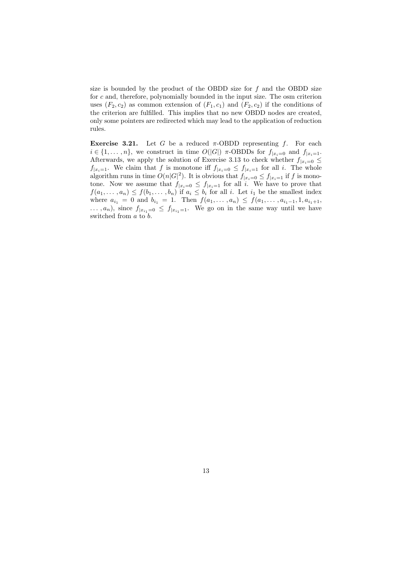size is bounded by the product of the OBDD size for  $f$  and the OBDD size for  $c$  and, therefore, polynomially bounded in the input size. The osm criterion uses  $(F_2, c_2)$  as common extension of  $(F_1, c_1)$  and  $(F_2, c_2)$  if the conditions of the criterion are fulfilled. This implies that no new OBDD nodes are created, only some pointers are redirected which may lead to the application of reduction rules.

Exercise 3.21. Let G be a reduced  $\pi$ -OBDD representing f. For each  $i \in \{1, \ldots, n\}$ , we construct in time  $O(|G|)$   $\pi$ -OBDDs for  $f_{|x_i=0}$  and  $f_{|x_i=1}$ . Afterwards, we apply the solution of Exercise 3.13 to check whether  $f_{|x_i=0} \leq$  $f_{x_i=1}$ . We claim that f is monotone iff  $f_{x_i=0} \leq f_{x_i=1}$  for all i. The whole algorithm runs in time  $O(n|G|^2)$ . It is obvious that  $f_{|x_i=0} \le f_{|x_i=1}$  if f is monotone. Now we assume that  $f_{|x_i=0} \leq f_{|x_i=1}$  for all i. We have to prove that  $f(a_1, \ldots, a_n) \leq f(b_1, \ldots, b_n)$  if  $a_i \leq b_i$  for all i. Let  $i_1$  be the smallest index where  $a_{i_1} = 0$  and  $b_{i_1} = 1$ . Then  $f(a_1, \ldots, a_n) \leq f(a_1, \ldots, a_{i_1-1}, 1, a_{i_1+1},$  $\ldots$ ,  $a_n$ ), since  $f_{|x_{i_1}=0} \leq f_{|x_{i_1}=1}$ . We go on in the same way until we have switched from a to b.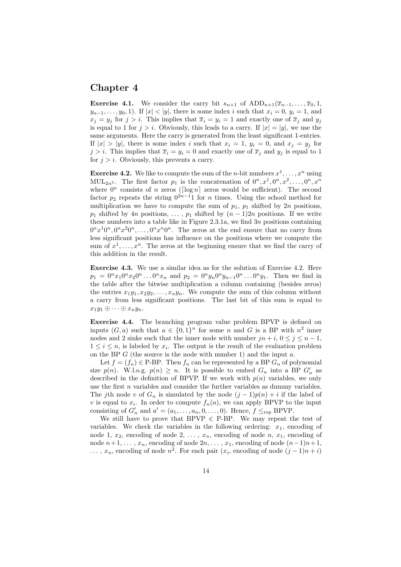### Chapter 4

**Exercise 4.1.** We consider the carry bit  $s_{n+1}$  of  $ADD_{n+1}(\overline{x}_{n-1}, \ldots, \overline{x}_0, 1,$  $y_{n-1}, \ldots, y_0, 1$ . If  $|x| < |y|$ , there is some index i such that  $x_i = 0, y_i = 1$ , and  $x_j = y_j$  for  $j > i$ . This implies that  $\overline{x}_i = y_i = 1$  and exactly one of  $\overline{x}_j$  and  $y_j$ is equal to 1 for  $j > i$ . Obviously, this leads to a carry. If  $|x| = |y|$ , we use the same arguments. Here the carry is generated from the least significant 1-entries. If  $|x| > |y|$ , there is some index i such that  $x_i = 1$ ,  $y_i = 0$ , and  $x_j = y_j$  for  $j > i$ . This implies that  $\overline{x}_i = y_i = 0$  and exactly one of  $\overline{x}_j$  and  $y_j$  is equal to 1 for  $j > i$ . Obviously, this prevents a carry.

**Exercise 4.2.** We like to compute the sum of the *n*-bit numbers  $x^1, \ldots, x^n$  using MUL<sub>2n</sub><sup>2</sup>. The first factor  $p_1$  is the concatenation of  $0^n, x^1, 0^n, x^2, \ldots, 0^n, x^n$ where  $0^n$  consists of n zeros ( $\lceil \log n \rceil$  zeros would be sufficient). The second factor  $p_2$  repeats the string  $0^{2n-1}1$  for n times. Using the school method for multiplication we have to compute the sum of  $p_1$ ,  $p_1$  shifted by 2n positions,  $p_1$  shifted by 4n positions, ...,  $p_1$  shifted by  $(n-1)2n$  positions. If we write these numbers into a table like in Figure 2.3.1a, we find  $3n$  positions containing  $0<sup>n</sup>x<sup>1</sup>0<sup>n</sup>$ ,  $0<sup>n</sup>x<sup>2</sup>0<sup>n</sup>$ , ...,  $0<sup>n</sup>x<sup>n</sup>0<sup>n</sup>$ . The zeros at the end ensure that no carry from less significant positions has influence on the positions where we compute the sum of  $x^1, \ldots, x^n$ . The zeros at the beginning ensure that we find the carry of this addition in the result.

Exercise 4.3. We use a similar idea as for the solution of Exercise 4.2. Here  $p_1 = 0^n x_1 0^n x_2 0^n \dots 0^n x_n$  and  $p_2 = 0^n y_n 0^n y_{n-1} 0^n \dots 0^n y_1$ . Then we find in the table after the bitwise multiplication a column containing (besides zeros) the entries  $x_1y_1, x_2y_2, \ldots, x_ny_n$ . We compute the sum of this column without a carry from less significant positions. The last bit of this sum is equal to  $x_1y_1 \oplus \cdots \oplus x_ny_n.$ 

Exercise 4.4. The branching program value problem BPVP is defined on inputs  $(G, a)$  such that  $a \in \{0, 1\}^n$  for some n and G is a BP with  $n^2$  inner nodes and 2 sinks such that the inner node with number  $jn + i, 0 \le j \le n - 1$ ,  $1 \leq i \leq n$ , is labeled by  $x_i$ . The output is the result of the evaluation problem on the BP  $G$  (the source is the node with number 1) and the input  $a$ .

Let  $f = (f_n) \in \text{P-BP}$ . Then  $f_n$  can be represented by a BP  $G_n$  of polynomial size  $p(n)$ . W.l.o.g.  $p(n) \geq n$ . It is possible to embed  $G_n$  into a BP  $G'_n$  as described in the definition of BPVP. If we work with  $p(n)$  variables, we only use the first  $n$  variables and consider the further variables as dummy variables. The jth node v of  $G_n$  is simulated by the node  $(j-1)p(n) + i$  if the label of v is equal to  $x_i$ . In order to compute  $f_n(a)$ , we can apply BPVP to the input consisting of  $G'_n$  and  $a' = (a_1, \ldots, a_n, 0, \ldots, 0)$ . Hence,  $f \leq_{\text{rop}} B$ PVP.

We still have to prove that BPVP  $\in$  P-BP. We may repeat the test of variables. We check the variables in the following ordering:  $x_1$ , encoding of node 1,  $x_2$ , encoding of node 2, ...,  $x_n$ , encoding of node  $n$ ,  $x_1$ , encoding of node  $n+1, \ldots, x_n$ , encoding of node  $2n, \ldots, x_1$ , encoding of node  $(n-1)n+1$ , ...,  $x_n$ , encoding of node  $n^2$ . For each pair  $(x_i)$ , encoding of node  $(j-1)n + i$ )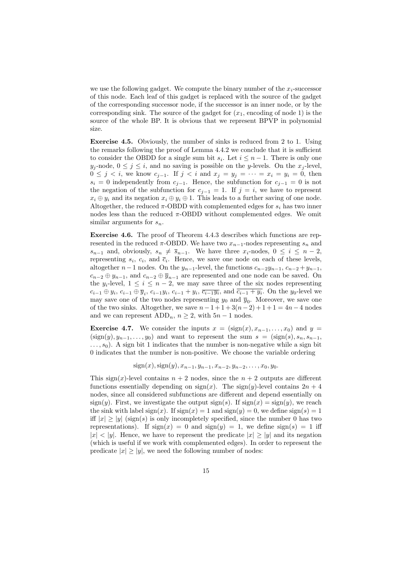we use the following gadget. We compute the binary number of the  $x_i$ -successor of this node. Each leaf of this gadget is replaced with the source of the gadget of the corresponding successor node, if the successor is an inner node, or by the corresponding sink. The source of the gadget for  $(x_1, \text{ encoding of node } 1)$  is the source of the whole BP. It is obvious that we represent BPVP in polynomial size.

Exercise 4.5. Obviously, the number of sinks is reduced from 2 to 1. Using the remarks following the proof of Lemma 4.4.2 we conclude that it is sufficient to consider the OBDD for a single sum bit  $s_i$ . Let  $i \leq n-1$ . There is only one  $y_j$ -node,  $0 \le j \le i$ , and no saving is possible on the y-levels. On the  $x_j$ -level,  $0 \leq j \leq i$ , we know  $c_{j-1}$ . If  $j \leq i$  and  $x_j = y_j = \cdots = x_i = y_i = 0$ , then  $s_i = 0$  independently from  $c_{i-1}$ . Hence, the subfunction for  $c_{i-1} = 0$  is not the negation of the subfunction for  $c_{i-1} = 1$ . If  $j = i$ , we have to represent  $x_i \oplus y_i$  and its negation  $x_i \oplus y_i \oplus 1$ . This leads to a further saving of one node. Altogether, the reduced  $\pi$ -OBDD with complemented edges for  $s_i$  has two inner nodes less than the reduced  $\pi$ -OBDD without complemented edges. We omit similar arguments for  $s_n$ .

Exercise 4.6. The proof of Theorem 4.4.3 describes which functions are represented in the reduced  $\pi$ -OBDD. We have two  $x_{n-1}$ -nodes representing  $s_n$  and  $s_{n-1}$  and, obviously,  $s_n \neq \overline{s}_{n-1}$ . We have three  $x_i$ -nodes,  $0 \leq i \leq n-2$ , representing  $s_i$ ,  $c_i$ , and  $\overline{c}_i$ . Hence, we save one node on each of these levels, altogether  $n-1$  nodes. On the  $y_{n-1}$ -level, the functions  $c_{n-2}y_{n-1}$ ,  $c_{n-2} + y_{n-1}$ ,  $c_{n-2} \oplus y_{n-1}$ , and  $c_{n-2} \oplus \overline{y}_{n-1}$  are represented and one node can be saved. On the  $y_i$ -level,  $1 \leq i \leq n-2$ , we may save three of the six nodes representing  $c_{i-1} \oplus y_i$ ,  $c_{i-1} \oplus \overline{y}_i$ ,  $c_{i-1}y_i$ ,  $c_{i-1} + y_i$ ,  $\overline{c_{i-1}y_i}$ , and  $\overline{c_{i-1} + y_i}$ . On the  $y_0$ -level we may save one of the two nodes representing  $y_0$  and  $\overline{y}_0$ . Moreover, we save one of the two sinks. Altogether, we save  $n-1+1+3(n-2)+1+1 = 4n-4$  nodes and we can represent  $ADD_n$ ,  $n \geq 2$ , with  $5n - 1$  nodes.

**Exercise 4.7.** We consider the inputs  $x = (\text{sign}(x), x_{n-1}, \ldots, x_0)$  and  $y =$  $(\text{sign}(y), y_{n-1}, \ldots, y_0)$  and want to represent the sum  $s = (\text{sign}(s), s_n, s_{n-1},$  $\dots$ ,  $s_0$ ). A sign bit 1 indicates that the number is non-negative while a sign bit 0 indicates that the number is non-positive. We choose the variable ordering

 $sign(x), sign(y), x_{n-1}, y_{n-1}, x_{n-2}, y_{n-2}, \ldots, x_0, y_0.$ 

This sign(x)-level contains  $n + 2$  nodes, since the  $n + 2$  outputs are different functions essentially depending on  $sign(x)$ . The  $sign(y)$ -level contains  $2n + 4$ nodes, since all considered subfunctions are different and depend essentially on  $sign(y)$ . First, we investigate the output  $sign(s)$ . If  $sign(x) = sign(y)$ , we reach the sink with label sign(x). If  $sign(x) = 1$  and  $sign(y) = 0$ , we define  $sign(s) = 1$ iff  $|x| \ge |y|$  (sign(s) is only incompletely specified, since the number 0 has two representations). If  $sign(x) = 0$  and  $sign(y) = 1$ , we define  $sign(s) = 1$  iff  $|x| < |y|$ . Hence, we have to represent the predicate  $|x| \ge |y|$  and its negation (which is useful if we work with complemented edges). In order to represent the predicate  $|x| \ge |y|$ , we need the following number of nodes: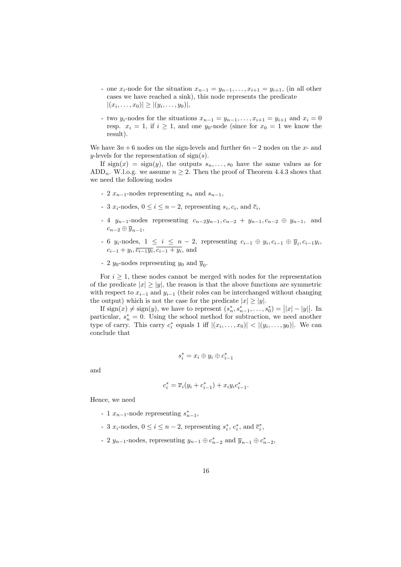- one  $x_i$ -node for the situation  $x_{n-1} = y_{n-1}, \ldots, x_{i+1} = y_{i+1}$ , (in all other cases we have reached a sink), this node represents the predicate  $|(x_i, \ldots, x_0)| \ge |(y_i, \ldots, y_0)|,$
- two  $y_i$ -nodes for the situations  $x_{n-1} = y_{n-1}, \ldots, x_{i+1} = y_{i+1}$  and  $x_i = 0$ resp.  $x_i = 1$ , if  $i \geq 1$ , and one  $y_0$ -node (since for  $x_0 = 1$  we know the result).

We have  $3n + 6$  nodes on the sign-levels and further  $6n - 2$  nodes on the x- and y-levels for the representation of  $sign(s)$ .

If  $sign(x) = sign(y)$ , the outputs  $s_n, \ldots, s_0$  have the same values as for ADD<sub>n</sub>. W.l.o.g. we assume  $n \geq 2$ . Then the proof of Theorem 4.4.3 shows that we need the following nodes

- 2  $x_{n-1}$ -nodes representing  $s_n$  and  $s_{n-1}$ ,
- 3  $x_i$ -nodes,  $0 \le i \le n-2$ , representing  $s_i, c_i$ , and  $\overline{c}_i$ ,
- 4  $y_{n-1}$ -nodes representing  $c_{n-2}y_{n-1}, c_{n-2} + y_{n-1}, c_{n-2} \oplus y_{n-1}$ , and  $c_{n-2}\oplus \overline{y}_{n-1},$
- 6  $y_i$ -nodes,  $1 \leq i \leq n-2$ , representing  $c_{i-1} \oplus y_i, c_{i-1} \oplus \overline{y}_i, c_{i-1}y_i$ ,  $c_{i-1} + y_i, \overline{c_{i-1}y_i}, \overline{c_{i-1} + y_i}$ , and
- 2  $y_0$ -nodes representing  $y_0$  and  $\overline{y}_0$ .

For  $i \geq 1$ , these nodes cannot be merged with nodes for the representation of the predicate  $|x| \ge |y|$ , the reason is that the above functions are symmetric with respect to  $x_{i-1}$  and  $y_{i-1}$  (their roles can be interchanged without changing the output) which is not the case for the predicate  $|x| \ge |y|$ .

If  $\text{sign}(x) \neq \text{sign}(y)$ , we have to represent  $(s_n^*, s_{n-1}^*, \ldots, s_0^*) = ||x| - |y||$ . In particular,  $s_n^* = 0$ . Using the school method for subtraction, we need another type of carry. This carry  $c_i^*$  equals 1 iff  $|(x_i, \ldots, x_0)| < |(y_i, \ldots, y_0)|$ . We can conclude that

$$
s_i^* = x_i \oplus y_i \oplus c_{i-1}^*
$$

and

$$
c_i^* = \overline{x}_i(y_i + c_{i-1}^*) + x_i y_i c_{i-1}^*.
$$

Hence, we need

- 1  $x_{n-1}$ -node representing  $s_{n-1}^*$ ,
- 3  $x_i$ -nodes,  $0 \le i \le n-2$ , representing  $s_i^*, c_i^*$ , and  $\overline{c}_i^*$ ,
- 2  $y_{n-1}$ -nodes, representing  $y_{n-1} \oplus c_{n-2}^*$  and  $\overline{y}_{n-1} \oplus c_{n-2}^*$ ,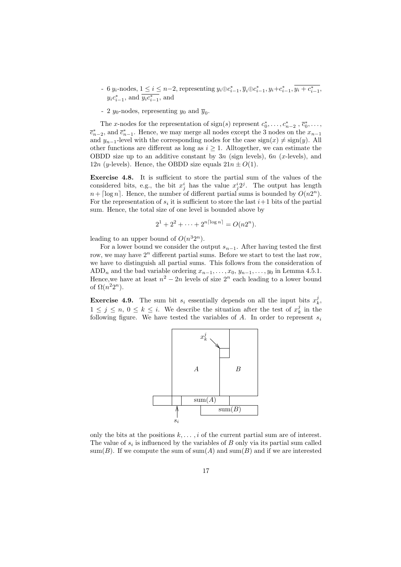- 6 y<sub>i</sub>-nodes,  $1 \le i \le n-2$ , representing  $y_i \oplus c_{i-1}^*, \overline{y}_i \oplus c_{i-1}^*, y_i + c_{i-1}^*, y_i + c_{i-1}^*,$  $y_i c_{i-1}^*$ , and  $y_i c_{i-1}^*$ , and
- 2  $y_0$ -nodes, representing  $y_0$  and  $\overline{y}_0$ .

The x-nodes for the representation of  $\text{sign}(s)$  represent  $c_0^*, \ldots, c_{n-2}^*, \overline{c}_0^*, \ldots,$  $\overline{c}_{n-2}^*$ , and  $\overline{c}_{n-1}^*$ . Hence, we may merge all nodes except the 3 nodes on the  $x_{n-1}$ and  $y_{n-1}$ -level with the corresponding nodes for the case sign(x)  $\neq$  sign(y). All other functions are different as long as  $i \geq 1$ . Alltogether, we can estimate the OBDD size up to an additive constant by  $3n$  (sign levels),  $6n$  (x-levels), and 12n (y-levels). Hence, the OBDD size equals  $21n \pm O(1)$ .

Exercise 4.8. It is sufficient to store the partial sum of the values of the considered bits, e.g., the bit  $x_j^i$  has the value  $x_j^i 2^j$ . The output has length  $n + \lceil \log n \rceil$ . Hence, the number of different partial sums is bounded by  $O(n2^n)$ . For the representation of  $s_i$  it is sufficient to store the last  $i+1$  bits of the partial sum. Hence, the total size of one level is bounded above by

$$
2^1 + 2^2 + \dots + 2^{n\lceil \log n \rceil} = O(n2^n).
$$

leading to an upper bound of  $O(n^32^n)$ .

For a lower bound we consider the output  $s_{n-1}$ . After having tested the first row, we may have  $2^n$  different partial sums. Before we start to test the last row, we have to distinguish all partial sums. This follows from the consideration of ADD<sub>n</sub> and the bad variable ordering  $x_{n-1}, \ldots, x_0, y_{n-1}, \ldots, y_0$  in Lemma 4.5.1. Hence, we have at least  $n^2 - 2n$  levels of size  $2^n$  each leading to a lower bound of  $\Omega(n^2 2^n)$ .

**Exercise 4.9.** The sum bit  $s_i$  essentially depends on all the input bits  $x_k^j$ ,  $1 \leq j \leq n, 0 \leq k \leq i$ . We describe the situation after the test of  $x_k^j$  in the following figure. We have tested the variables of  $A$ . In order to represent  $s_i$ 



only the bits at the positions  $k, \ldots, i$  of the current partial sum are of interest. The value of  $s_i$  is influenced by the variables of  $B$  only via its partial sum called sum(B). If we compute the sum of sum(A) and sum(B) and if we are interested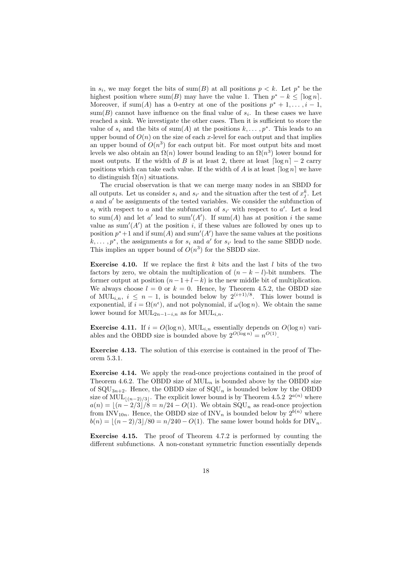in  $s_i$ , we may forget the bits of sum(B) at all positions  $p < k$ . Let  $p^*$  be the highest position where sum(B) may have the value 1. Then  $p^* - k \leq \lceil \log n \rceil$ . Moreover, if sum(A) has a 0-entry at one of the positions  $p^* + 1, \ldots, i - 1$ ,  $sum(B)$  cannot have influence on the final value of  $s_i$ . In these cases we have reached a sink. We investigate the other cases. Then it is sufficient to store the value of  $s_i$  and the bits of sum(A) at the positions  $k, \ldots, p^*$ . This leads to an upper bound of  $O(n)$  on the size of each x-level for each output and that implies an upper bound of  $O(n^3)$  for each output bit. For most output bits and most levels we also obtain an  $\Omega(n)$  lower bound leading to an  $\Omega(n^3)$  lower bound for most outputs. If the width of B is at least 2, there at least  $\lceil \log n \rceil - 2$  carry positions which can take each value. If the width of A is at least  $\lceil \log n \rceil$  we have to distinguish  $\Omega(n)$  situations.

The crucial observation is that we can merge many nodes in an SBDD for all outputs. Let us consider  $s_i$  and  $s_{i'}$  and the situation after the test of  $x_j^k$ . Let a and a' be assignments of the tested variables. We consider the subfunction of  $s_i$  with respect to a and the subfunction of  $s_{i'}$  with respect to a'. Let a lead to sum(A) and let a' lead to sum'(A'). If sum(A) has at position i the same value as sum'( $A'$ ) at the position i, if these values are followed by ones up to position  $p^*+1$  and if sum(A) and sum'(A') have the same values at the positions  $k, \ldots, p^*$ , the assignments a for  $s_i$  and a' for  $s_{i'}$  lead to the same SBDD node. This implies an upper bound of  $O(n^3)$  for the SBDD size.

**Exercise 4.10.** If we replace the first k bits and the last l bits of the two factors by zero, we obtain the multiplication of  $(n - k - l)$ -bit numbers. The former output at position  $(n-1+l-k)$  is the new middle bit of multiplication. We always choose  $l = 0$  or  $k = 0$ . Hence, by Theorem 4.5.2, the OBDD size of MUL<sub>i,n</sub>,  $i \leq n-1$ , is bounded below by  $2^{(i+1)/8}$ . This lower bound is exponential, if  $i = \Omega(n^{\epsilon})$ , and not polynomial, if  $\omega(\log n)$ . We obtain the same lower bound for  $\text{MUL}_{2n-1-i,n}$  as for  $\text{MUL}_{i,n}$ .

**Exercise 4.11.** If  $i = O(\log n)$ , MUL<sub>i,n</sub> essentially depends on  $O(\log n)$  variables and the OBDD size is bounded above by  $2^{O(\log n)} = n^{O(1)}$ .

Exercise 4.13. The solution of this exercise is contained in the proof of Theorem 5.3.1.

Exercise 4.14. We apply the read-once projections contained in the proof of Theorem 4.6.2. The OBDD size of  $MUL_n$  is bounded above by the OBDD size of  $\text{SQU}_{3n+2}$ . Hence, the OBDD size of  $\text{SQU}_n$  is bounded below by the OBDD size of MUL<sub> $\lfloor (n-2)/3 \rfloor$ </sub>. The explicit lower bound is by Theorem 4.5.2  $2^{a(n)}$  where  $a(n) = \lfloor (n - 2/3)/8 \rfloor = n/24 - O(1)$ . We obtain SQU<sub>n</sub> as read-once projection from INV<sub>10n</sub>. Hence, the OBDD size of INV<sub>n</sub> is bounded below by  $2^{b(n)}$  where  $b(n) = |(n-2)/3|/80 = n/240 - O(1)$ . The same lower bound holds for DIV<sub>n</sub>.

Exercise 4.15. The proof of Theorem 4.7.2 is performed by counting the different subfunctions. A non-constant symmetric function essentially depends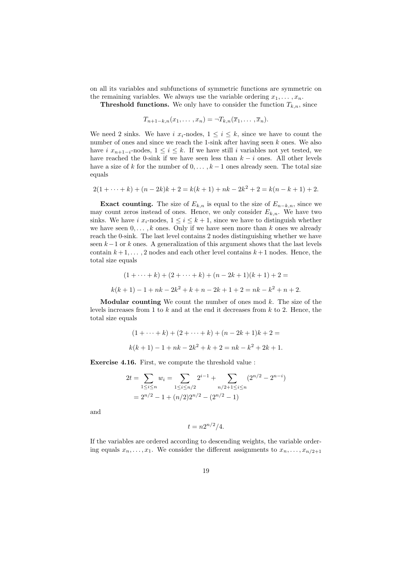on all its variables and subfunctions of symmetric functions are symmetric on the remaining variables. We always use the variable ordering  $x_1, \ldots, x_n$ .

**Threshold functions.** We only have to consider the function  $T_{k,n}$ , since

$$
T_{n+1-k,n}(x_1,\ldots,x_n)=\neg T_{k,n}(\overline{x}_1,\ldots,\overline{x}_n).
$$

We need 2 sinks. We have i  $x_i$ -nodes,  $1 \leq i \leq k$ , since we have to count the number of ones and since we reach the 1-sink after having seen  $k$  ones. We also have i  $x_{n+1-i}$ -nodes,  $1 \leq i \leq k$ . If we have still i variables not yet tested, we have reached the 0-sink if we have seen less than  $k - i$  ones. All other levels have a size of k for the number of  $0, \ldots, k-1$  ones already seen. The total size equals

$$
2(1 + \dots + k) + (n - 2k)k + 2 = k(k + 1) + nk - 2k^2 + 2 = k(n - k + 1) + 2.
$$

Exact counting. The size of  $E_{k,n}$  is equal to the size of  $E_{n-k,n}$ , since we may count zeros instead of ones. Hence, we only consider  $E_{k,n}$ . We have two sinks. We have i  $x_i$ -nodes,  $1 \leq i \leq k+1$ , since we have to distinguish whether we have seen  $0, \ldots, k$  ones. Only if we have seen more than k ones we already reach the 0-sink. The last level contains 2 nodes distinguishing whether we have seen  $k-1$  or k ones. A generalization of this argument shows that the last levels contain  $k+1, \ldots, 2$  nodes and each other level contains  $k+1$  nodes. Hence, the total size equals

$$
(1 + \dots + k) + (2 + \dots + k) + (n - 2k + 1)(k + 1) + 2 =
$$
  

$$
k(k + 1) - 1 + nk - 2k^2 + k + n - 2k + 1 + 2 = nk - k^2 + n + 2.
$$

**Modular counting** We count the number of ones mod  $k$ . The size of the levels increases from 1 to  $k$  and at the end it decreases from  $k$  to 2. Hence, the total size equals

$$
(1 + \dots + k) + (2 + \dots + k) + (n - 2k + 1)k + 2 =
$$
  

$$
k(k + 1) - 1 + nk - 2k^2 + k + 2 = nk - k^2 + 2k + 1.
$$

Exercise 4.16. First, we compute the threshold value :

$$
2t = \sum_{1 \le i \le n} w_i = \sum_{1 \le i \le n/2} 2^{i-1} + \sum_{n/2 + 1 \le i \le n} (2^{n/2} - 2^{n-i})
$$
  
=  $2^{n/2} - 1 + (n/2)2^{n/2} - (2^{n/2} - 1)$ 

and

$$
t = n2^{n/2}/4.
$$

If the variables are ordered according to descending weights, the variable ordering equals  $x_n, \ldots, x_1$ . We consider the different assignments to  $x_n, \ldots, x_{n/2+1}$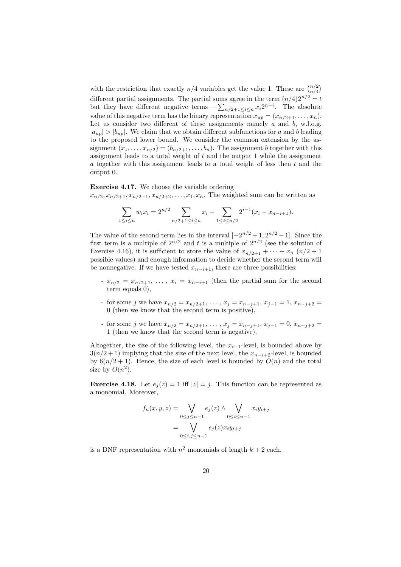with the restriction that exactly  $n/4$  variables get the value 1. These are  $\binom{n/2}{n/4}$ different partial assignments. The partial sums agree in the term  $(n/4)2^{n/2} = t$ but they have different negative terms  $-\sum_{n/2+1\leq i\leq n}x_i2^{n-i}$ . The absolute value of this negative term has the binary representation  $x_{up} = (x_{n/2+1}, \ldots, x_n)$ . Let us consider two different of these assignments namely  $a$  and  $b$ , w.l.o.g.  $|a_{up}| > |b_{up}|$ . We claim that we obtain different subfunctions for a and b leading to the proposed lower bound. We consider the common extension by the assignment  $(x_1, \ldots, x_{n/2}) = (b_{n/2+1}, \ldots, b_n)$ . The assignment b together with this assignment leads to a total weight of  $t$  and the output 1 while the assignment a together with this assignment leads to a total weight of less then  $t$  and the output 0.

Exercise 4.17. We choose the variable ordering  $x_{n/2}, x_{n/2+1}, x_{n/2-1}, x_{n/2+2}, \ldots, x_1, x_n$ . The weighted sum can be written as

$$
\sum_{1 \le i \le n} w_i x_i = 2^{n/2} \sum_{n/2 + 1 \le i \le n} x_i + \sum_{1 \le i \le n/2} 2^{i-1} (x_i - x_{n-i+1}).
$$

The value of the second term lies in the interval  $[-2^{n/2}+1, 2^{n/2}-1]$ . Since the first term is a multiple of  $2^{n/2}$  and t is a multiple of  $2^{n/2}$  (see the solution of Exercise 4.16), it is sufficient to store the value of  $x_{n/2+1} + \cdots + x_n$   $(n/2 + 1)$ possible values) and enough information to decide whether the second term will be nonnegative. If we have tested  $x_{n-i+1}$ , there are three possibilities:

- $x_{n/2} = x_{n/2+1}, \ldots, x_i = x_{n-i+1}$  (then the partial sum for the second term equals 0),
- for some j we have  $x_{n/2} = x_{n/2+1}, \ldots, x_j = x_{n-j+1}, x_{j-1} = 1, x_{n-j+2} =$ 0 (then we know that the second term is positive),
- for some j we have  $x_{n/2} = x_{n/2+1}, \ldots, x_j = x_{n-j+1}, x_{j-1} = 0, x_{n-j+2} =$ 1 (then we know that the second term is negative).

Altogether, the size of the following level, the  $x_{i-1}$ -level, is bounded above by  $3(n/2+1)$  implying that the size of the next level, the  $x_{n-i+2}$ -level, is bounded by  $6(n/2+1)$ . Hence, the size of each level is bounded by  $O(n)$  and the total size by  $O(n^2)$ .

**Exercise 4.18.** Let  $e_i(z) = 1$  iff  $|z| = j$ . This function can be represented as a monomial. Moreover,

$$
f_n(x, y, z) = \bigvee_{0 \le j \le n-1} e_j(z) \wedge \bigvee_{0 \le i \le n-1} x_i y_{i+j}
$$

$$
= \bigvee_{0 \le i, j \le n-1} e_j(z) x_i y_{i+j}
$$

is a DNF representation with  $n^2$  monomials of length  $k + 2$  each.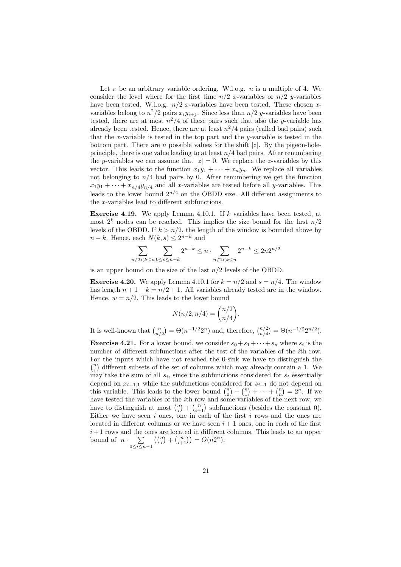Let  $\pi$  be an arbitrary variable ordering. W.l.o.g. *n* is a multiple of 4. We consider the level where for the first time  $n/2$  x-variables or  $n/2$  y-variables have been tested. W.l.o.g.  $n/2$  x-variables have been tested. These chosen xvariables belong to  $n^2/2$  pairs  $x_i y_{i+j}$ . Since less than  $n/2$  y-variables have been tested, there are at most  $n^2/4$  of these pairs such that also the y-variable has already been tested. Hence, there are at least  $n^2/4$  pairs (called bad pairs) such that the x-variable is tested in the top part and the y-variable is tested in the bottom part. There are n possible values for the shift  $|z|$ . By the pigeon-holeprinciple, there is one value leading to at least  $n/4$  bad pairs. After renumbering the y-variables we can assume that  $|z| = 0$ . We replace the z-variables by this vector. This leads to the function  $x_1y_1 + \cdots + x_ny_n$ . We replace all variables not belonging to  $n/4$  bad pairs by 0. After renumbering we get the function  $x_1y_1 + \cdots + x_{n/4}y_{n/4}$  and all x-variables are tested before all y-variables. This leads to the lower bound  $2^{n/4}$  on the OBDD size. All different assignments to the x-variables lead to different subfunctions.

**Exercise 4.19.** We apply Lemma 4.10.1. If k variables have been tested, at most  $2^k$  nodes can be reached. This implies the size bound for the first  $n/2$ levels of the OBDD. If  $k > n/2$ , the length of the window is bounded above by  $n - k$ . Hence, each  $N(k, s) \leq 2^{n-k}$  and

$$
\sum_{n/2 < k \le n} \sum_{0 \le s \le n-k} 2^{n-k} \le n \cdot \sum_{n/2 < k \le n} 2^{n-k} \le 2n 2^{n/2}
$$

is an upper bound on the size of the last  $n/2$  levels of the OBDD.

**Exercise 4.20.** We apply Lemma 4.10.1 for  $k = n/2$  and  $s = n/4$ . The window has length  $n + 1 - k = n/2 + 1$ . All variables already tested are in the window. Hence,  $w = n/2$ . This leads to the lower bound

$$
N(n/2, n/4) = \binom{n/2}{n/4}.
$$

It is well-known that  $\binom{n}{n/2} = \Theta(n^{-1/2}2^n)$  and, therefore,  $\binom{n/2}{n/4} = \Theta(n^{-1/2}2^{n/2})$ .

**Exercise 4.21.** For a lower bound, we consider  $s_0 + s_1 + \cdots + s_n$  where  $s_i$  is the number of different subfunctions after the test of the variables of the ith row. For the inputs which have not reached the 0-sink we have to distinguish the  $\binom{n}{i}$  different subsets of the set of columns which may already contain a 1. We may take the sum of all  $s_i$ , since the subfunctions considered for  $s_i$  essentially depend on  $x_{i+1,1}$  while the subfunctions considered for  $s_{i+1}$  do not depend on this variable. This leads to the lower bound  $\binom{n}{0} + \binom{n}{1} + \cdots + \binom{n}{n} = 2^n$ . If we have tested the variables of the ith row and some variables of the next row, we have to distinguish at most  $\binom{n}{i} + \binom{n}{i+1}$  subfunctions (besides the constant 0). Either we have seen  $i$  ones, one in each of the first  $i$  rows and the ones are located in different columns or we have seen  $i + 1$  ones, one in each of the first  $i+1$  rows and the ones are located in different columns. This leads to an upper bound of  $n \cdot \sum_{n=1}^{\infty}$  $0 \leq i \leq n-1$  $\left( \binom{n}{i} + \binom{n}{i+1} \right) = O(n2^n).$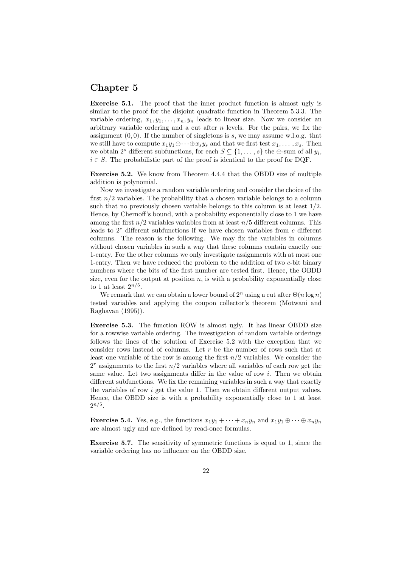### Chapter 5

Exercise 5.1. The proof that the inner product function is almost ugly is similar to the proof for the disjoint quadratic function in Theorem 5.3.3. The variable ordering,  $x_1, y_1, \ldots, x_n, y_n$  leads to linear size. Now we consider an arbitrary variable ordering and a cut after  $n$  levels. For the pairs, we fix the assignment  $(0, 0)$ . If the number of singletons is s, we may assume w.l.o.g. that we still have to compute  $x_1y_1\oplus \cdots \oplus x_sy_s$  and that we first test  $x_1, \ldots, x_s$ . Then we obtain  $2^s$  different subfunctions, for each  $S \subseteq \{1, \ldots, s\}$  the  $\bigoplus$ -sum of all  $y_i$ ,  $i \in S$ . The probabilistic part of the proof is identical to the proof for DQF.

Exercise 5.2. We know from Theorem 4.4.4 that the OBDD size of multiple addition is polynomial.

Now we investigate a random variable ordering and consider the choice of the first  $n/2$  variables. The probability that a chosen variable belongs to a column such that no previously chosen variable belongs to this column is at least  $1/2$ . Hence, by Chernoff's bound, with a probability exponentially close to 1 we have among the first  $n/2$  variables variables from at least  $n/5$  different columns. This leads to  $2<sup>c</sup>$  different subfunctions if we have chosen variables from  $c$  different columns. The reason is the following. We may fix the variables in columns without chosen variables in such a way that these columns contain exactly one 1-entry. For the other columns we only investigate assignments with at most one 1-entry. Then we have reduced the problem to the addition of two c-bit binary numbers where the bits of the first number are tested first. Hence, the OBDD size, even for the output at position  $n$ , is with a probability exponentially close to 1 at least  $2^{n/5}$ .

We remark that we can obtain a lower bound of  $2^n$  using a cut after  $\Theta(n \log n)$ tested variables and applying the coupon collector's theorem (Motwani and Raghavan (1995)).

Exercise 5.3. The function ROW is almost ugly. It has linear OBDD size for a rowwise variable ordering. The investigation of random variable orderings follows the lines of the solution of Exercise 5.2 with the exception that we consider rows instead of columns. Let r be the number of rows such that at least one variable of the row is among the first  $n/2$  variables. We consider the  $2<sup>r</sup>$  assignments to the first  $n/2$  variables where all variables of each row get the same value. Let two assignments differ in the value of row  $i$ . Then we obtain different subfunctions. We fix the remaining variables in such a way that exactly the variables of row i get the value 1. Then we obtain different output values. Hence, the OBDD size is with a probability exponentially close to 1 at least  $2^{n/5}$ .

**Exercise 5.4.** Yes, e.g., the functions  $x_1y_1 + \cdots + x_ny_n$  and  $x_1y_1 \oplus \cdots \oplus x_ny_n$ are almost ugly and are defined by read-once formulas.

Exercise 5.7. The sensitivity of symmetric functions is equal to 1, since the variable ordering has no influence on the OBDD size.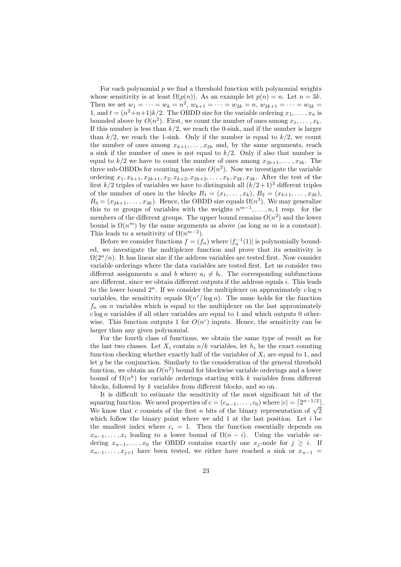For each polynomial  $p$  we find a threshold function with polynomial weights whose sensitivity is at least  $\Omega(p(n))$ . As an example let  $p(n) = n$ . Let  $n = 3k$ . Then we set  $w_1 = \cdots = w_k = n^2$ ,  $w_{k+1} = \cdots = w_{2k} = n$ ,  $w_{2k+1} = \cdots = w_{3k} =$ 1, and  $t = (n^2+n+1)k/2$ . The OBDD size for the variable ordering  $x_1, \ldots, x_n$  is bounded above by  $O(n^2)$ . First, we count the number of ones among  $x_1, \ldots, x_k$ . If this number is less than  $k/2$ , we reach the 0-sink, and if the number is larger than  $k/2$ , we reach the 1-sink. Only if the number is equal to  $k/2$ , we count the number of ones among  $x_{k+1}, \ldots, x_{2k}$  and, by the same arguments, reach a sink if the number of ones is not equal to  $k/2$ . Only if also that number is equal to  $k/2$  we have to count the number of ones among  $x_{2k+1}, \ldots, x_{3k}$ . The three sub-OBDDs for counting have size  $O(n^2)$ . Now we investigate the variable ordering  $x_1, x_{k+1}, x_{2k+1}, x_2, x_{k+2}, x_{2k+2}, \ldots, x_k, x_{2k}, x_{3k}$ . After the test of the first  $k/2$  triples of variables we have to distinguish all  $(k/2+1)^3$  different triples of the number of ones in the blocks  $B_1 = (x_1, \ldots, x_k)$ ,  $B_2 = (x_{k+1}, \ldots, x_{2k})$ ,  $B_3 = (x_{2k+1}, \ldots, x_{3k})$ . Hence, the OBDD size equals  $\Omega(n^3)$ . We may generalize this to m groups of variables with the weights  $n^{m-1}, \ldots, n, 1$  resp. for the members of the different groups. The upper bound remains  $O(n^2)$  and the lower bound is  $\Omega(n^m)$  by the same arguments as above (as long as m is a constant). This leads to a sensitivity of  $\Omega(n^{m-2})$ .

Before we consider functions  $f = (f_n)$  where  $|f_n^{-1}(1)|$  is polynomially bounded, we investigate the multiplexer function and prove that its sensitivity is  $\Omega(2^n/n)$ . It has linear size if the address variables are tested first. Now consider variable orderings where the data variables are tested first. Let us consider two different assignments a and b where  $a_i \neq b_i$ . The corresponding subfunctions are different, since we obtain different outputs if the address equals i. This leads to the lower bound  $2^n$ . If we consider the multiplexer on approximately  $c \log n$ variables, the sensitivity equals  $\Omega(n^c/\log n)$ . The same holds for the function  $f_n$  on n variables which is equal to the multiplexer on the last approximately  $c \log n$  variables if all other variables are equal to 1 and which outputs 0 otherwise. This function outputs 1 for  $O(n^c)$  inputs. Hence, the sensitivity can be larger than any given polynomial.

For the fourth class of functions, we obtain the same type of result as for the last two classes. Let  $X_i$  contain  $n/k$  variables, let  $h_i$  be the exact counting function checking whether exactly half of the variables of  $X_i$  are equal to 1, and let  $q$  be the conjunction. Similarly to the consideration of the general threshold function, we obtain an  $O(n^2)$  bound for blockwise variable orderings and a lower bound of  $\Omega(n^k)$  for variable orderings starting with k variables from different blocks, followed by k variables from different blocks, and so on.

It is difficult to estimate the sensitivity of the most significant bit of the squaring function. We need properties of  $c = (c_{n-1}, \ldots, c_0)$  where  $|c| = \lceil 2^{n-1/2} \rceil$ . We know that c consists of the first *n* bits of the binary representation of  $\sqrt{2}$ which follow the binary point where we add 1 at the last position. Let  $i$  be the smallest index where  $c_i = 1$ . Then the function essentially depends on  $x_{n-1}, \ldots, x_i$  leading to a lower bound of  $\Omega(n-i)$ . Using the variable ordering  $x_{n-1}, \ldots, x_0$  the OBDD contains exactly one  $x_j$ -node for  $j \geq i$ . If  $x_{n-1}, \ldots, x_{i+1}$  have been tested, we either have reached a sink or  $x_{n-1}$  =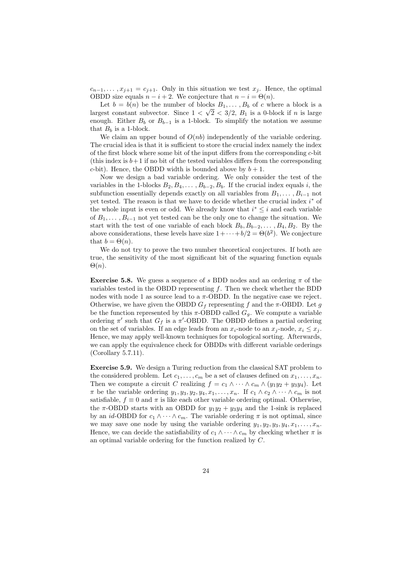$c_{n-1}, \ldots, x_{j+1} = c_{j+1}$ . Only in this situation we test  $x_j$ . Hence, the optimal OBDD size equals  $n - i + 2$ . We conjecture that  $n - i = \Theta(n)$ .

Let  $b = b(n)$  be the number of blocks  $B_1, \ldots, B_b$  of c where a block is a largest constant subvector. Since  $1 < \sqrt{2} < 3/2$ ,  $B_1$  is a 0-block if *n* is large enough. Either  $B_b$  or  $B_{b-1}$  is a 1-block. To simplify the notation we assume that  $B_b$  is a 1-block.

We claim an upper bound of  $O(nb)$  independently of the variable ordering. The crucial idea is that it is sufficient to store the crucial index namely the index of the first block where some bit of the input differs from the corresponding c-bit (this index is  $b+1$  if no bit of the tested variables differs from the corresponding c-bit). Hence, the OBDD width is bounded above by  $b + 1$ .

Now we design a bad variable ordering. We only consider the test of the variables in the 1-blocks  $B_2, B_4, \ldots, B_{b-2}, B_b$ . If the crucial index equals i, the subfunction essentially depends exactly on all variables from  $B_1, \ldots, B_{i-1}$  not yet tested. The reason is that we have to decide whether the crucial index  $i^*$  of the whole input is even or odd. We already know that  $i^* \leq i$  and each variable of  $B_1, \ldots, B_{i-1}$  not yet tested can be the only one to change the situation. We start with the test of one variable of each block  $B_b, B_{b-2}, \ldots, B_4, B_2$ . By the above considerations, these levels have size  $1 + \cdots + b/2 = \Theta(b^2)$ . We conjecture that  $b = \Theta(n)$ .

We do not try to prove the two number theoretical conjectures. If both are true, the sensitivity of the most significant bit of the squaring function equals  $\Theta(n)$ .

**Exercise 5.8.** We guess a sequence of s BDD nodes and an ordering  $\pi$  of the variables tested in the OBDD representing  $f$ . Then we check whether the BDD nodes with node 1 as source lead to a  $\pi$ -OBDD. In the negative case we reject. Otherwise, we have given the OBDD  $G_f$  representing f and the  $\pi$ -OBDD. Let g be the function represented by this  $\pi$ -OBDD called  $G_g$ . We compute a variable ordering  $\pi'$  such that  $G_f$  is a  $\pi'$ -OBDD. The OBDD defines a partial ordering on the set of variables. If an edge leads from an  $x_i$ -node to an  $x_j$ -node,  $x_i \leq x_j$ . Hence, we may apply well-known techniques for topological sorting. Afterwards, we can apply the equivalence check for OBDDs with different variable orderings (Corollary 5.7.11).

Exercise 5.9. We design a Turing reduction from the classical SAT problem to the considered problem. Let  $c_1, \ldots, c_m$  be a set of clauses defined on  $x_1, \ldots, x_n$ . Then we compute a circuit C realizing  $f = c_1 \wedge \cdots \wedge c_m \wedge (y_1y_2 + y_3y_4)$ . Let  $\pi$  be the variable ordering  $y_1, y_3, y_2, y_4, x_1, \ldots, x_n$ . If  $c_1 \wedge c_2 \wedge \cdots \wedge c_m$  is not satisfiable,  $f \equiv 0$  and  $\pi$  is like each other variable ordering optimal. Otherwise, the  $\pi$ -OBDD starts with an OBDD for  $y_1y_2 + y_3y_4$  and the 1-sink is replaced by an id-OBDD for  $c_1 \wedge \cdots \wedge c_m$ . The variable ordering  $\pi$  is not optimal, since we may save one node by using the variable ordering  $y_1, y_2, y_3, y_4, x_1, \ldots, x_n$ . Hence, we can decide the satisfiability of  $c_1 \wedge \cdots \wedge c_m$  by checking whether  $\pi$  is an optimal variable ordering for the function realized by C.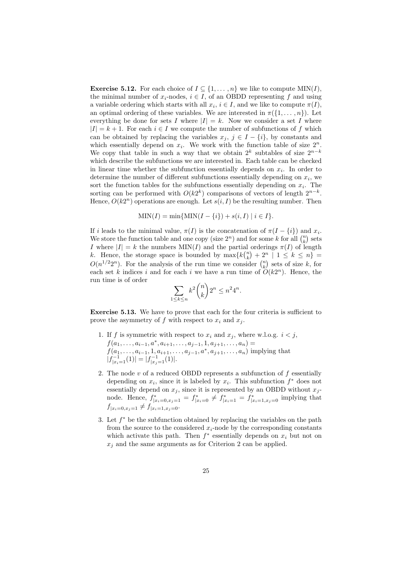**Exercise 5.12.** For each choice of  $I \subseteq \{1, ..., n\}$  we like to compute MIN(*I*), the minimal number of  $x_i$ -nodes,  $i \in I$ , of an OBDD representing f and using a variable ordering which starts with all  $x_i$ ,  $i \in I$ , and we like to compute  $\pi(I)$ , an optimal ordering of these variables. We are interested in  $\pi({1,\ldots,n})$ . Let everything be done for sets I where  $|I| = k$ . Now we consider a set I where  $|I| = k + 1$ . For each  $i \in I$  we compute the number of subfunctions of f which can be obtained by replacing the variables  $x_j, j \in I - \{i\}$ , by constants and which essentially depend on  $x_i$ . We work with the function table of size  $2^n$ . We copy that table in such a way that we obtain  $2^k$  subtables of size  $2^{n-k}$ which describe the subfunctions we are interested in. Each table can be checked in linear time whether the subfunction essentially depends on  $x_i$ . In order to determine the number of different subfunctions essentially depending on  $x_i$ , we sort the function tables for the subfunctions essentially depending on  $x_i$ . The sorting can be performed with  $O(k2^k)$  comparisons of vectors of length  $2^{n-k}$ . Hence,  $O(k2^n)$  operations are enough. Let  $s(i, I)$  be the resulting number. Then

$$
\text{MIN}(I) = \min\{\text{MIN}(I - \{i\}) + s(i, I) \mid i \in I\}.
$$

If i leads to the minimal value,  $\pi(I)$  is the concatenation of  $\pi(I - \{i\})$  and  $x_i$ . We store the function table and one copy (size  $2^n$ ) and for some k for all  $\binom{n}{k}$  sets I where  $|I| = k$  the numbers  $MIN(I)$  and the partial orderings  $\pi(I)$  of length k. Hence, the storage space is bounded by  $\max\{k\binom{n}{k} + 2^n \mid 1 \leq k \leq n\}$  $O(n^{1/2}2^n)$ . For the analysis of the run time we consider  $\binom{n}{k}$  sets of size k, for each set k indices i and for each i we have a run time of  $O(k2^n)$ . Hence, the run time is of order

$$
\sum_{1 \le k \le n} k^2 \binom{n}{k} 2^n \le n^2 4^n.
$$

Exercise 5.13. We have to prove that each for the four criteria is sufficient to prove the asymmetry of  $f$  with respect to  $x_i$  and  $x_j$ .

- 1. If f is symmetric with respect to  $x_i$  and  $x_j$ , where w.l.o.g.  $i < j$ ,  $f(a_1, \ldots, a_{i-1}, a^*, a_{i+1}, \ldots, a_{j-1}, 1, a_{j+1}, \ldots, a_n) =$  $f(a_1, \ldots, a_{i-1}, 1, a_{i+1}, \ldots, a_{j-1}, a^*, a_{j+1}, \ldots, a_n)$  implying that  $|f_{|x_i=1}^{-1}(1)| = |f_{|x_j=1}^{-1}(1)|.$
- 2. The node  $v$  of a reduced OBDD represents a subfunction of  $f$  essentially depending on  $x_i$ , since it is labeled by  $x_i$ . This subfunction  $f^*$  does not essentially depend on  $x_j$ , since it is represented by an OBDD without  $x_j$ node. Hence,  $f^*_{|x_i=0,x_j=1} = f^*_{|x_i=0} \neq f^*_{|x_i=1} = f^*_{|x_i=1,x_j=0}$  implying that  $f_{|x_i=0,x_j=1} \neq f_{|x_i=1,x_j=0}.$
- 3. Let  $f^*$  be the subfunction obtained by replacing the variables on the path from the source to the considered  $x_i$ -node by the corresponding constants which activate this path. Then  $f^*$  essentially depends on  $x_i$  but not on  $x_j$  and the same arguments as for Criterion 2 can be applied.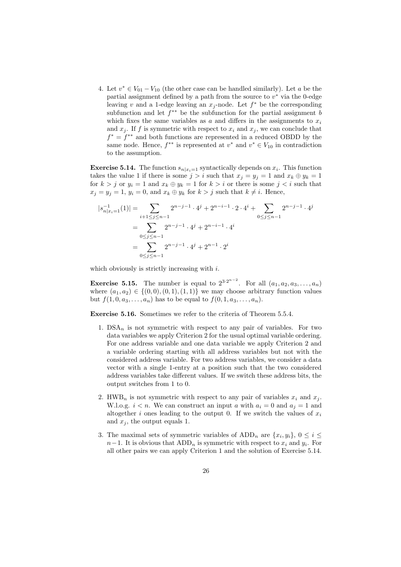4. Let  $v^* \in V_{01} - V_{10}$  (the other case can be handled similarly). Let a be the partial assignment defined by a path from the source to  $v^*$  via the 0-edge leaving v and a 1-edge leaving an  $x_j$ -node. Let  $f^*$  be the corresponding subfunction and let  $f^{**}$  be the subfunction for the partial assignment b which fixes the same variables as  $a$  and differs in the assignments to  $x_i$ and  $x_j$ . If f is symmetric with respect to  $x_i$  and  $x_j$ , we can conclude that  $f^* = f^{**}$  and both functions are represented in a reduced OBDD by the same node. Hence,  $f^{**}$  is represented at  $v^*$  and  $v^* \in V_{10}$  in contradiction to the assumption.

**Exercise 5.14.** The function  $s_{n|x_i=1}$  syntactically depends on  $x_i$ . This function takes the value 1 if there is some  $j > i$  such that  $x_j = y_j = 1$  and  $x_k \oplus y_k = 1$ for  $k > j$  or  $y_i = 1$  and  $x_k \oplus y_k = 1$  for  $k > i$  or there is some  $j < i$  such that  $x_i = y_i = 1$ ,  $y_i = 0$ , and  $x_k \oplus y_k$  for  $k > j$  such that  $k \neq i$ . Hence,

$$
|s_{n|x_{i}=1}^{-1}(1)| = \sum_{i+1 \leq j \leq n-1} 2^{n-j-1} \cdot 4^{j} + 2^{n-i-1} \cdot 2 \cdot 4^{i} + \sum_{0 \leq j \leq n-1} 2^{n-j-1} \cdot 4^{j}
$$
  
= 
$$
\sum_{0 \leq j \leq n-1} 2^{n-j-1} \cdot 4^{j} + 2^{n-i-1} \cdot 4^{i}
$$
  
= 
$$
\sum_{0 \leq j \leq n-1} 2^{n-j-1} \cdot 4^{j} + 2^{n-1} \cdot 2^{i}
$$

which obviously is strictly increasing with  $i$ .

**Exercise 5.15.** The number is equal to  $2^{3 \cdot 2^{n-2}}$ . For all  $(a_1, a_2, a_3, \ldots, a_n)$ where  $(a_1, a_2) \in \{(0, 0), (0, 1), (1, 1)\}$  we may choose arbitrary function values but  $f(1, 0, a_3, \ldots, a_n)$  has to be equal to  $f(0, 1, a_3, \ldots, a_n)$ .

Exercise 5.16. Sometimes we refer to the criteria of Theorem 5.5.4.

- 1.  $DSA_n$  is not symmetric with respect to any pair of variables. For two data variables we apply Criterion 2 for the usual optimal variable ordering. For one address variable and one data variable we apply Criterion 2 and a variable ordering starting with all address variables but not with the considered address variable. For two address variables, we consider a data vector with a single 1-entry at a position such that the two considered address variables take different values. If we switch these address bits, the output switches from 1 to 0.
- 2. HWB<sub>n</sub> is not symmetric with respect to any pair of variables  $x_i$  and  $x_j$ . W.l.o.g.  $i < n$ . We can construct an input a with  $a_i = 0$  and  $a_j = 1$  and altogether i ones leading to the output 0. If we switch the values of  $x_i$ and  $x_j$ , the output equals 1.
- 3. The maximal sets of symmetric variables of  $ADD_n$  are  $\{x_i, y_i\}, 0 \le i \le j$  $n-1$ . It is obvious that  $ADD_n$  is symmetric with respect to  $x_i$  and  $y_i$ . For all other pairs we can apply Criterion 1 and the solution of Exercise 5.14.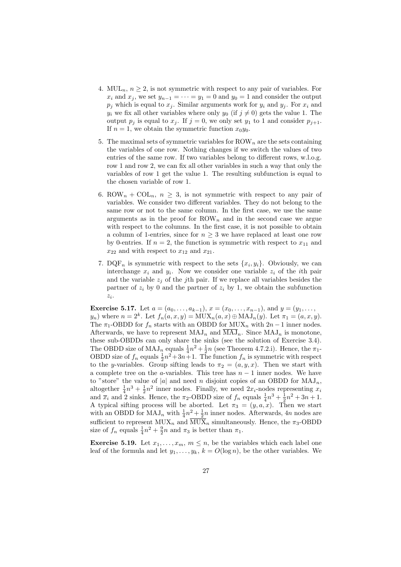- 4. MUL<sub>n</sub>,  $n \geq 2$ , is not symmetric with respect to any pair of variables. For  $x_i$  and  $x_j$ , we set  $y_{n-1} = \cdots = y_1 = 0$  and  $y_0 = 1$  and consider the output  $p_i$  which is equal to  $x_i$ . Similar arguments work for  $y_i$  and  $y_j$ . For  $x_i$  and  $y_i$  we fix all other variables where only  $y_0$  (if  $j \neq 0$ ) gets the value 1. The output  $p_j$  is equal to  $x_j$ . If  $j = 0$ , we only set  $y_1$  to 1 and consider  $p_{j+1}$ . If  $n = 1$ , we obtain the symmetric function  $x_0y_0$ .
- 5. The maximal sets of symmetric variables for  $\text{ROW}_n$  are the sets containing the variables of one row. Nothing changes if we switch the values of two entries of the same row. If two variables belong to different rows, w.l.o.g. row 1 and row 2, we can fix all other variables in such a way that only the variables of row 1 get the value 1. The resulting subfunction is equal to the chosen variable of row 1.
- 6. ROW<sub>n</sub> + COL<sub>n</sub>,  $n \geq 3$ , is not symmetric with respect to any pair of variables. We consider two different variables. They do not belong to the same row or not to the same column. In the first case, we use the same arguments as in the proof for  $\text{ROW}_n$  and in the second case we argue with respect to the columns. In the first case, it is not possible to obtain a column of 1-entries, since for  $n \geq 3$  we have replaced at least one row by 0-entries. If  $n = 2$ , the function is symmetric with respect to  $x_{11}$  and  $x_{22}$  and with respect to  $x_{12}$  and  $x_{21}$ .
- 7. DQF<sub>n</sub> is symmetric with respect to the sets  $\{x_i, y_i\}$ . Obviously, we can interchange  $x_i$  and  $y_i$ . Now we consider one variable  $z_i$  of the *i*th pair and the variable  $z_i$  of the j<sup>th</sup> pair. If we replace all variables besides the partner of  $z_i$  by 0 and the partner of  $z_i$  by 1, we obtain the subfunction  $z_i$ .

Exercise 5.17. Let  $a = (a_0, \ldots, a_{k-1}), x = (x_0, \ldots, x_{n-1}),$  and  $y = (y_1, \ldots, y_n)$  $y_n$ ) where  $n = 2^k$ . Let  $f_n(a, x, y) = \text{MUX}_n(a, x) \oplus \text{MAJ}_n(y)$ . Let  $\pi_1 = (a, x, y)$ . The  $\pi_1$ -OBDD for  $f_n$  starts with an OBDD for MUX<sub>n</sub> with  $2n-1$  inner nodes. Afterwards, we have to represent  $\text{MAJ}_n$  and  $\overline{\text{MAJ}}_n$ . Since  $\text{MAJ}_n$  is monotone, these sub-OBDDs can only share the sinks (see the solution of Exercise 3.4). The OBDD size of  $\text{MAJ}_n$  equals  $\frac{1}{4}n^2 + \frac{1}{2}n$  (see Theorem 4.7.2.i). Hence, the  $\pi_1$ -OBDD size of  $f_n$  equals  $\frac{1}{2}n^2+3n+1$ . The function  $f_n$  is symmetric with respect to the y-variables. Group sifting leads to  $\pi_2 = (a, y, x)$ . Then we start with a complete tree on the a-variables. This tree has  $n-1$  inner nodes. We have to "store" the value of |a| and need n disjoint copies of an OBDD for  $MAJ_n$ , altogether  $\frac{1}{4}n^3 + \frac{1}{2}n^2$  inner nodes. Finally, we need  $2x_i$ -nodes representing  $x_i$ and  $\overline{x}_i$  and 2 sinks. Hence, the  $\pi_2$ -OBDD size of  $f_n$  equals  $\frac{1}{4}n^3 + \frac{1}{2}n^2 + 3n + 1$ . A typical sifting process will be aborted. Let  $\pi_3 = (y, a, x)$ . Then we start with an OBDD for  $\text{MAJ}_n$  with  $\frac{1}{4}n^2 + \frac{1}{2}n$  inner nodes. Afterwards, 4n nodes are sufficient to represent  $MUX_n$  and  $\overline{MUX}_n$  simultaneously. Hence, the  $\pi_3$ -OBDD size of  $f_n$  equals  $\frac{1}{4}n^2 + \frac{9}{2}n$  and  $\pi_3$  is better than  $\pi_1$ .

**Exercise 5.19.** Let  $x_1, \ldots, x_m, m \leq n$ , be the variables which each label one leaf of the formula and let  $y_1, \ldots, y_k, k = O(\log n)$ , be the other variables. We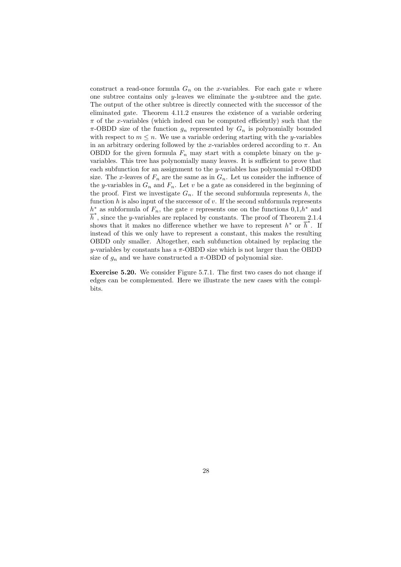construct a read-once formula  $G_n$  on the x-variables. For each gate v where one subtree contains only y-leaves we eliminate the y-subtree and the gate. The output of the other subtree is directly connected with the successor of the eliminated gate. Theorem 4.11.2 ensures the existence of a variable ordering  $\pi$  of the x-variables (which indeed can be computed efficiently) such that the  $\pi$ -OBDD size of the function  $g_n$  represented by  $G_n$  is polynomially bounded with respect to  $m \leq n$ . We use a variable ordering starting with the *y*-variables in an arbitrary ordering followed by the x-variables ordered according to  $\pi$ . An OBDD for the given formula  $F_n$  may start with a complete binary on the yvariables. This tree has polynomially many leaves. It is sufficient to prove that each subfunction for an assignment to the y-variables has polynomial  $\pi$ -OBDD size. The x-leaves of  $F_n$  are the same as in  $G_n$ . Let us consider the influence of the y-variables in  $G_n$  and  $F_n$ . Let v be a gate as considered in the beginning of the proof. First we investigate  $G_n$ . If the second subformula represents h, the function  $h$  is also input of the successor of  $v$ . If the second subformula represents  $h^*$  as subformula of  $F_n$ , the gate v represents one on the functions  $0,1,h^*$  and  $\overline{h}^*$ , since the y-variables are replaced by constants. The proof of Theorem 2.1.4 shows that it makes no difference whether we have to represent  $h^*$  or  $\overline{h}^*$ . If instead of this we only have to represent a constant, this makes the resulting OBDD only smaller. Altogether, each subfunction obtained by replacing the y-variables by constants has a  $\pi$ -OBDD size which is not larger than the OBDD size of  $g_n$  and we have constructed a  $\pi$ -OBDD of polynomial size.

Exercise 5.20. We consider Figure 5.7.1. The first two cases do not change if edges can be complemented. Here we illustrate the new cases with the complbits.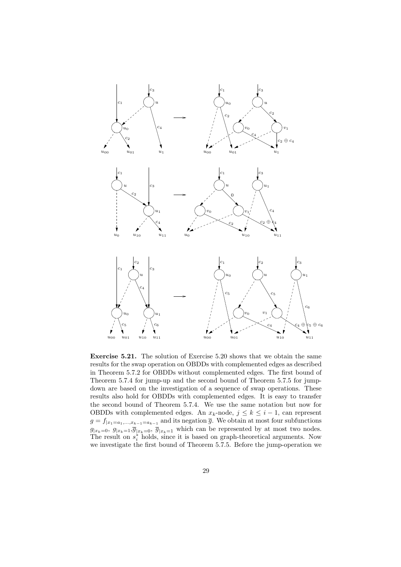

Exercise 5.21. The solution of Exercise 5.20 shows that we obtain the same results for the swap operation on OBDDs with complemented edges as described in Theorem 5.7.2 for OBDDs without complemented edges. The first bound of Theorem 5.7.4 for jump-up and the second bound of Theorem 5.7.5 for jumpdown are based on the investigation of a sequence of swap operations. These results also hold for OBDDs with complemented edges. It is easy to transfer the second bound of Theorem 5.7.4. We use the same notation but now for OBDDs with complemented edges. An  $x_k$ -node,  $j \leq k \leq i-1$ , can represent  $g = f_{|x_1=a_1,\dots,x_{k-1}=a_{k-1}}$  and its negation  $\overline{g}$ . We obtain at most four subfunctions  $g_{|x_k=0}, g_{|x_k=1}, \overline{g}_{|x_k=0}, \overline{g}_{|x_k=1}$  which can be represented by at most two nodes. The result on  $s_i^*$  holds, since it is based on graph-theoretical arguments. Now we investigate the first bound of Theorem 5.7.5. Before the jump-operation we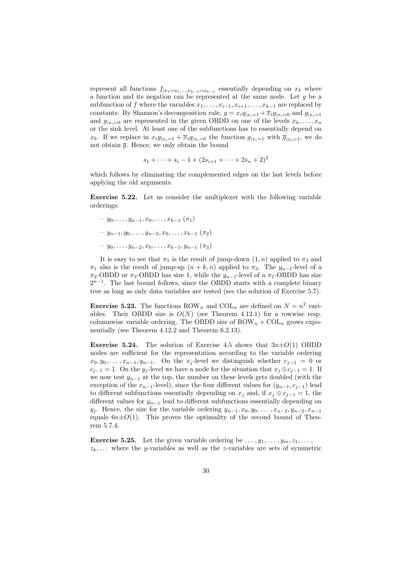represent all functions  $f_{|x_1=a_1,\dots,x_{k-1}=a_{k-1}}$  essentially depending on  $x_k$  where a function and its negation can be represented at the same node. Let g be a subfunction of f where the variables  $x_1, \ldots, x_{i-1}, x_{i+1}, \ldots, x_{k-1}$  are replaced by constants. By Shannon's decomposition rule,  $g = x_i g_{|x_i=1} + \overline{x}_i g_{|x_i=0}$  and  $g_{|x_i=1}$ and  $g_{x_i=0}$  are represented in the given OBDD on one of the levels  $x_k, \ldots, x_n$ or the sink level. At least one of the subfunctions has to essentially depend on  $x_k$ . If we replace in  $x_i g_{x_i=1} + \overline{x}_i g_{x_i=0}$  the function  $g_{x_i=1}$  with  $\overline{g}_{x_i=1}$ , we do not obtain  $\overline{q}$ . Hence, we only obtain the bound

$$
s_1 + \cdots + s_i - 1 + (2s_{i+1} + \cdots + 2s_n + 2)^2
$$

which follows by eliminating the complemented edges on the last levels before applying the old arguments.

Exercise 5.22. Let us consider the multiplexer with the following variable orderings:

- $y_0, \ldots, y_{n-1}, x_0, \ldots, x_{k-1} (\pi_1)$
- $y_{n-1}, y_0, \ldots, y_{n-2}, x_0, \ldots, x_{k-1} \ (\pi_2)$
- $y_0, \ldots, y_{n-2}, x_0, \ldots, x_{k-1}, y_{n-1} (\pi_3)$

It is easy to see that  $\pi_1$  is the result of jump-down  $(1, n)$  applied to  $\pi_2$  and  $\pi_1$  also is the result of jump-up  $(n + k, n)$  applied to  $\pi_3$ . The  $y_{n-1}$ -level of a  $\pi_2$ -OBDD or  $\pi_3$ -OBDD has size 1, while the  $y_{n-1}$ -level of a  $\pi_1$ -OBDD has size  $2^{n-1}$ . The last bound follows, since the OBDD starts with a complete binary tree as long as only data variables are tested (see the solution of Exercise 5.7).

**Exercise 5.23.** The functions ROW<sub>n</sub> and COL<sub>n</sub> are defined on  $N = n^2$  variables. Their OBDD size is  $O(N)$  (see Theorem 4.12.1) for a rowwise resp. columnwise variable ordering. The OBDD size of  $\text{ROW}_n + \text{COL}_n$  grows exponentially (see Theorem 4.12.2 and Theorem 6.2.13).

**Exercise 5.24.** The solution of Exercise 4.5 shows that  $3n\pm O(1)$  OBDD nodes are sufficient for the representation according to the variable ordering  $x_0, y_0, \ldots, x_{n-1}, y_{n-1}$ . On the  $x_j$ -level we distinguish whether  $c_{j-1} = 0$  or  $c_{j-1} = 1$ . On the  $y_j$ -level we have a node for the situation that  $x_j \oplus c_{j-1} = 1$ . If we now test  $y_{n-1}$  at the top, the number on these levels gets doubled (with the exception of the  $x_{n-1}$ -level), since the four different values for  $(y_{n-1}, c_{i-1})$  lead to different subfunctions essentially depending on  $x_j$  and, if  $x_j \oplus c_{j-1} = 1$ , the different values for  $y_{n-1}$  lead to different subfunctions essentially depending on  $y_i$ . Hence, the size for the variable ordering  $y_{n-1}, x_0, y_0, \ldots, x_{n-2}, y_{n-2}, x_{n-1}$ equals  $6n\pm O(1)$ . This proves the optimality of the second bound of Theorem 5.7.4.

**Exercise 5.25.** Let the given variable ordering be  $\dots, y_1, \dots, y_m, z_1, \dots$ ,  $z_k$ ,... where the y-variables as well as the z-variables are sets of symmetric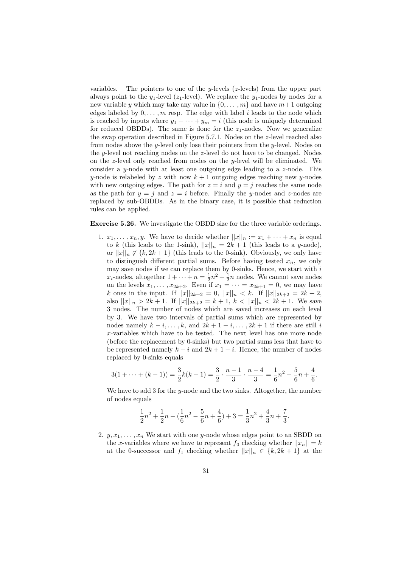variables. The pointers to one of the  $y$ -levels ( $z$ -levels) from the upper part always point to the y<sub>1</sub>-level (z<sub>1</sub>-level). We replace the y<sub>1</sub>-nodes by nodes for a new variable y which may take any value in  $\{0, \ldots, m\}$  and have  $m+1$  outgoing edges labeled by  $0, \ldots, m$  resp. The edge with label i leads to the node which is reached by inputs where  $y_1 + \cdots + y_m = i$  (this node is uniquely determined for reduced OBDDs). The same is done for the  $z_1$ -nodes. Now we generalize the swap operation described in Figure 5.7.1. Nodes on the z-level reached also from nodes above the y-level only lose their pointers from the y-level. Nodes on the *y*-level not reaching nodes on the *z*-level do not have to be changed. Nodes on the z-level only reached from nodes on the  $y$ -level will be eliminated. We consider a y-node with at least one outgoing edge leading to a z-node. This y-node is relabeled by z with now  $k + 1$  outgoing edges reaching new y-nodes with new outgoing edges. The path for  $z = i$  and  $y = j$  reaches the same node as the path for  $y = j$  and  $z = i$  before. Finally the y-nodes and z-nodes are replaced by sub-OBDDs. As in the binary case, it is possible that reduction rules can be applied.

#### Exercise 5.26. We investigate the OBDD size for the three variable orderings.

1.  $x_1, \ldots, x_n, y$ . We have to decide whether  $||x||_n := x_1 + \cdots + x_n$  is equal to k (this leads to the 1-sink),  $||x||_n = 2k + 1$  (this leads to a y-node), or  $||x||_n \notin \{k, 2k+1\}$  (this leads to the 0-sink). Obviously, we only have to distinguish different partial sums. Before having tested  $x_n$ , we only may save nodes if we can replace them by 0-sinks. Hence, we start with  $i$  $x_i$ -nodes, altogether  $1 + \cdots + n = \frac{1}{2}n^2 + \frac{1}{2}n$  nodes. We cannot save nodes on the levels  $x_1, \ldots, x_{2k+2}$ . Even if  $x_1 = \cdots = x_{2k+1} = 0$ , we may have k ones in the input. If  $||x||_{2k+2} = 0$ ,  $||x||_n < k$ . If  $||x||_{2k+2} = 2k + 2$ , also  $||x||_n > 2k + 1$ . If  $||x||_{2k+2} = k + 1$ ,  $k < ||x||_n < 2k + 1$ . We save 3 nodes. The number of nodes which are saved increases on each level by 3. We have two intervals of partial sums which are represented by nodes namely  $k - i, \ldots, k$ , and  $2k + 1 - i, \ldots, 2k + 1$  if there are still i x-variables which have to be tested. The next level has one more node (before the replacement by 0-sinks) but two partial sums less that have to be represented namely  $k - i$  and  $2k + 1 - i$ . Hence, the number of nodes replaced by 0-sinks equals

$$
3(1 + \dots + (k - 1)) = \frac{3}{2}k(k - 1) = \frac{3}{2} \cdot \frac{n - 1}{3} \cdot \frac{n - 4}{3} = \frac{1}{6}n^2 - \frac{5}{6}n + \frac{4}{6}.
$$

We have to add 3 for the y-node and the two sinks. Altogether, the number of nodes equals

$$
\frac{1}{2}n^2 + \frac{1}{2}n - (\frac{1}{6}n^2 - \frac{5}{6}n + \frac{4}{6}) + 3 = \frac{1}{3}n^2 + \frac{4}{3}n + \frac{7}{3}.
$$

2.  $y, x_1, \ldots, x_n$  We start with one y-node whose edges point to an SBDD on the x-variables where we have to represent  $f_0$  checking whether  $||x_n|| = k$ at the 0-successor and  $f_1$  checking whether  $||x||_n \in \{k, 2k+1\}$  at the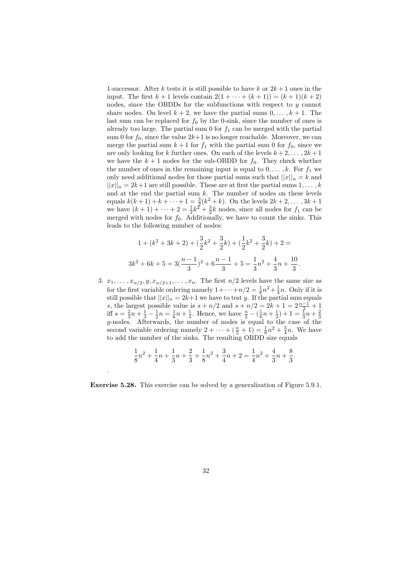1-successor. After k tests it is still possible to have k or  $2k+1$  ones in the input. The first  $k + 1$  levels contain  $2(1 + \cdots + (k + 1)) = (k + 1)(k + 2)$ nodes, since the OBDDs for the subfunctions with respect to y cannot share nodes. On level  $k + 2$ , we have the partial sums  $0, \ldots, k + 1$ . The last sum can be replaced for  $f_0$  by the 0-sink, since the number of ones is already too large. The partial sum  $0$  for  $f_1$  can be merged with the partial sum 0 for  $f_0$ , since the value  $2k+1$  is no longer reachable. Moreover, we can merge the partial sum  $k + 1$  for  $f_1$  with the partial sum 0 for  $f_0$ , since we are only looking for k further ones. On each of the levels  $k + 2, \ldots, 2k + 1$ we have the  $k + 1$  nodes for the sub-OBDD for  $f_0$ . They check whether the number of ones in the remaining input is equal to  $0, \ldots, k$ . For  $f_1$  we only need additional nodes for those partial sums such that  $||x||_n = k$  and  $||x||_n = 2k+1$  are still possible. These are at first the partial sums  $1, \ldots, k$ and at the end the partial sum  $k$ . The number of nodes on these levels equals  $k(k+1) + k + \cdots + 1 = \frac{3}{2}(k^2 + k)$ . On the levels  $2k + 2, \ldots, 3k + 1$ we have  $(k+1)+\cdots+2=\frac{1}{2}k^2+\frac{3}{2}k$  nodes, since all nodes for  $f_1$  can be merged with nodes for  $f_0$ . Additionally, we have to count the sinks. This leads to the following number of nodes:

$$
1 + (k^2 + 3k + 2) + (\frac{3}{2}k^2 + \frac{3}{2}k) + (\frac{1}{2}k^2 + \frac{3}{2}k) + 2 =
$$
  

$$
3k^2 + 6k + 5 = 3(\frac{n-1}{3})^2 + 6\frac{n-1}{3} + 5 = \frac{1}{3}n^2 + \frac{4}{3}n + \frac{10}{3}.
$$

3.  $x_1, \ldots, x_{n/2}, y, x_{n/2+1}, \ldots, x_n$ . The first  $n/2$  levels have the same size as for the first variable ordering namely  $1 + \cdots + n/2 = \frac{1}{8}n^2 + \frac{1}{4}n$ . Only if it is still possible that  $||x||_n = 2k+1$  we have to test y. If the partial sum equals s, the largest possible value is  $s + n/2$  and  $s + n/2 = 2k + 1 = 2\frac{n-1}{3} + 1$ iff  $s = \frac{2}{3}n + \frac{1}{3} - \frac{1}{2}n = \frac{1}{6}n + \frac{1}{3}$ . Hence, we have  $\frac{n}{2} - (\frac{1}{6}n + \frac{1}{3}) + 1 = \frac{1}{3}n + \frac{2}{3}$ y-nodes. Afterwards, the number of nodes is equal to the case of the second variable ordering namely  $2 + \cdots + \left(\frac{n}{2} + 1\right) = \frac{1}{8}n^2 + \frac{3}{4}n$ . We have to add the number of the sinks. The resulting OBDD size equals

$$
\frac{1}{8}n^2 + \frac{1}{4}n + \frac{1}{3}n + \frac{2}{3} + \frac{1}{8}n^2 + \frac{3}{4}n + 2 = \frac{1}{4}n^2 + \frac{4}{3}n + \frac{8}{3}.
$$

Exercise 5.28. This exercise can be solved by a generalization of Figure 5.9.1.

.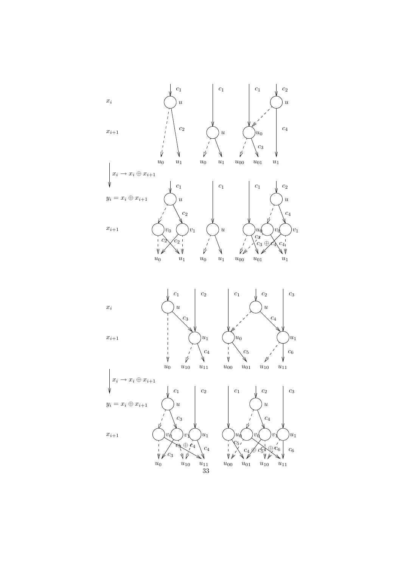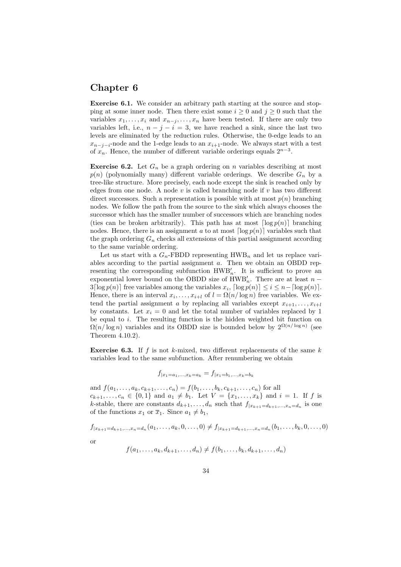#### Chapter 6

Exercise 6.1. We consider an arbitrary path starting at the source and stopping at some inner node. Then there exist some  $i \geq 0$  and  $j \geq 0$  such that the variables  $x_1, \ldots, x_i$  and  $x_{n-j}, \ldots, x_n$  have been tested. If there are only two variables left, i.e.,  $n - j - i = 3$ , we have reached a sink, since the last two levels are eliminated by the reduction rules. Otherwise, the 0-edge leads to an  $x_{n-j-i}$ -node and the 1-edge leads to an  $x_{i+1}$ -node. We always start with a test of  $x_n$ . Hence, the number of different variable orderings equals  $2^{n-3}$ .

**Exercise 6.2.** Let  $G_n$  be a graph ordering on n variables describing at most  $p(n)$  (polynomially many) different variable orderings. We describe  $G_n$  by a tree-like structure. More precisely, each node except the sink is reached only by edges from one node. A node v is called branching node if v has two different direct successors. Such a representation is possible with at most  $p(n)$  branching nodes. We follow the path from the source to the sink which always chooses the successor which has the smaller number of successors which are branching nodes (ties can be broken arbitrarily). This path has at most  $\lceil \log p(n) \rceil$  branching nodes. Hence, there is an assignment a to at most  $\lceil \log p(n) \rceil$  variables such that the graph ordering  $G_n$  checks all extensions of this partial assignment according to the same variable ordering.

Let us start with a  $G_n$ -FBDD representing HWB<sub>n</sub> and let us replace variables according to the partial assignment a. Then we obtain an OBDD representing the corresponding subfunction  $HWB'_{n}$ . It is sufficient to prove an exponential lower bound on the OBDD size of  $HWB'_{n}$ . There are at least  $n 3\lceil \log p(n) \rceil$  free variables among the variables  $x_i$ ,  $\lceil \log p(n) \rceil \leq i \leq n - \lceil \log p(n) \rceil$ . Hence, there is an interval  $x_i, \ldots, x_{i+l}$  of  $l = \Omega(n/\log n)$  free variables. We extend the partial assignment a by replacing all variables except  $x_{i+1}, \ldots, x_{i+l}$ by constants. Let  $x_i = 0$  and let the total number of variables replaced by 1 be equal to  $i$ . The resulting function is the hidden weighted bit function on  $\Omega(n/\log n)$  variables and its OBDD size is bounded below by  $2^{\Omega(n/\log n)}$  (see Theorem 4.10.2).

**Exercise 6.3.** If f is not k-mixed, two different replacements of the same  $k$ variables lead to the same subfunction. After renumbering we obtain

$$
f_{|x_1=a_1,...,x_k=a_k}=f_{|x_1=b_1,...,x_k=b_k}
$$

and  $f(a_1, \ldots, a_k, c_{k+1}, \ldots, c_n) = f(b_1, \ldots, b_k, c_{k+1}, \ldots, c_n)$  for all  $c_{k+1}, \ldots, c_n \in \{0,1\}$  and  $a_1 \neq b_1$ . Let  $V = \{x_1, \ldots, x_k\}$  and  $i = 1$ . If f is k-stable, there are constants  $d_{k+1}, \ldots, d_n$  such that  $f_{|x_{k+1}=d_{k+1},\ldots,x_n=d_n}$  is one of the functions  $x_1$  or  $\overline{x}_1$ . Since  $a_1 \neq b_1$ ,

$$
f_{|x_{k+1}=d_{k+1},...,x_n=d_n}(a_1,...,a_k,0,...,0) \neq f_{|x_{k+1}=d_{k+1},...,x_n=d_n}(b_1,...,b_k,0,...,0)
$$

$$
\alpha
$$

$$
f(a_1,\ldots,a_k,d_{k+1},\ldots,d_n)\neq f(b_1,\ldots,b_k,d_{k+1},\ldots,d_n)
$$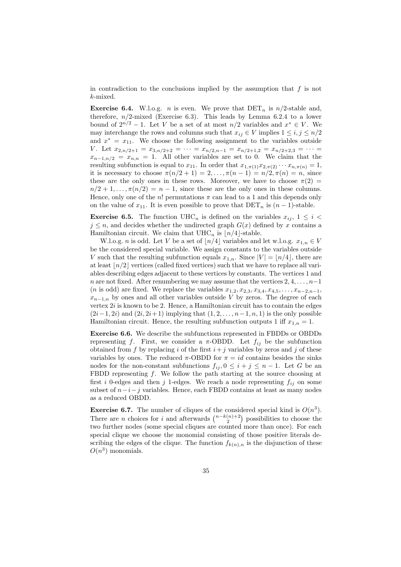in contradiction to the conclusions implied by the assumption that  $f$  is not k-mixed.

**Exercise 6.4.** W.l.o.g. *n* is even. We prove that  $\text{DET}_n$  is  $n/2$ -stable and, therefore,  $n/2$ -mixed (Exercise 6.3). This leads by Lemma 6.2.4 to a lower bound of  $2^{n/2} - 1$ . Let V be a set of at most  $n/2$  variables and  $x^* \in V$ . We may interchange the rows and columns such that  $x_{ij} \in V$  implies  $1 \le i, j \le n/2$ and  $x^* = x_{11}$ . We choose the following assignment to the variables outside V. Let  $x_{2,n/2+1} = x_{3,n/2+2} = \cdots = x_{n/2,n-1} = x_{n/2+1,2} = x_{n/2+2,3} = \cdots$  $x_{n-1,n/2} = x_{n,n} = 1$ . All other variables are set to 0. We claim that the resulting subfunction is equal to  $x_{11}$ . In order that  $x_{1,\pi(1)}x_{2,\pi(2)}\cdots x_{n,\pi(n)}=1$ , it is necessary to choose  $\pi(n/2 + 1) = 2, ..., \pi(n - 1) = n/2, \pi(n) = n$ , since these are the only ones in these rows. Moreover, we have to choose  $\pi(2)$  =  $n/2 + 1, \ldots, \pi(n/2) = n - 1$ , since these are the only ones in these columns. Hence, only one of the n! permutations  $\pi$  can lead to a 1 and this depends only on the value of  $x_{11}$ . It is even possible to prove that  $\text{DET}_n$  is  $(n-1)$ -stable.

**Exercise 6.5.** The function UHC<sub>n</sub> is defined on the variables  $x_{ij}$ ,  $1 \leq i <$  $j \leq n$ , and decides whether the undirected graph  $G(x)$  defined by x contains a Hamiltonian circuit. We claim that  $\mathrm{UHC}_n$  is  $\lfloor n/4 \rfloor$  stable.

W.l.o.g. *n* is odd. Let V be a set of  $n/4$  variables and let w.l.o.g.  $x_{1,n} \in V$ be the considered special variable. We assign constants to the variables outside V such that the resulting subfunction equals  $x_{1,n}$ . Since  $|V| = |n/4|$ , there are at least  $n/2$  vertices (called fixed vertices) such that we have to replace all variables describing edges adjacent to these vertices by constants. The vertices 1 and n are not fixed. After renumbering we may assume that the vertices  $2, 4, \ldots, n-1$ (*n* is odd) are fixed. We replace the variables  $x_{1,2}, x_{2,3}, x_{3,4}, x_{4,5}, \ldots, x_{n-2,n-1}$ ,  $x_{n-1,n}$  by ones and all other variables outside V by zeros. The degree of each vertex 2i is known to be 2. Hence, a Hamiltonian circuit has to contain the edges  $(2i-1, 2i)$  and  $(2i, 2i+1)$  implying that  $(1, 2, \ldots, n-1, n, 1)$  is the only possible Hamiltonian circuit. Hence, the resulting subfunction outputs 1 iff  $x_{1,n} = 1$ .

Exercise 6.6. We describe the subfunctions represented in FBDDs or OBDDs representing f. First, we consider a  $\pi$ -OBDD. Let  $f_{ij}$  be the subfunction obtained from  $f$  by replacing  $i$  of the first  $i+j$  variables by zeros and  $j$  of these variables by ones. The reduced  $\pi$ -OBDD for  $\pi = id$  contains besides the sinks nodes for the non-constant subfunctions  $f_{ij}$ ,  $0 \leq i + j \leq n - 1$ . Let G be an FBDD representing  $f$ . We follow the path starting at the source choosing at first i 0-edges and then j 1-edges. We reach a node representing  $f_{ij}$  on some subset of  $n-i-j$  variables. Hence, each FBDD contains at least as many nodes as a reduced OBDD.

**Exercise 6.7.** The number of cliques of the considered special kind is  $O(n^3)$ . There are *n* choices for *i* and afterwards  $\binom{n-k(n)+2}{2}$  possibilities to choose the two further nodes (some special cliques are counted more than once). For each special clique we choose the monomial consisting of those positive literals describing the edges of the clique. The function  $f_{k(n),n}$  is the disjunction of these  $O(n^3)$  monomials.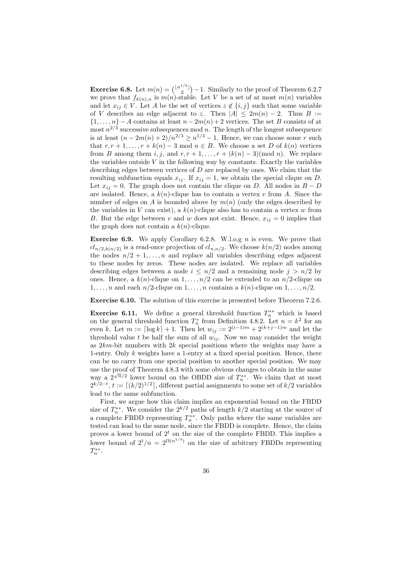**Exercise 6.8.** Let  $m(n) = \binom{\lfloor n^{1/3} \rfloor}{2} - 1$ . Similarly to the proof of Theorem 6.2.7 we prove that  $f_{k(n),n}$  is  $m(n)$ -stable. Let V be a set of at most  $m(n)$  variables and let  $x_{ij} \in V$ . Let A be the set of vertices  $z \notin \{i, j\}$  such that some variable of V describes an edge adjacent to z. Then  $|A| \leq 2m(n) - 2$ . Thus B :=  $\{1, \ldots, n\}$  – A contains at least  $n - 2m(n) + 2$  vertices. The set B consists of at most  $n^{2/3}$  successive subsequences mod n. The length of the longest subsequence is at least  $(n-2m(n)+2)/n^{2/3} \ge n^{1/3}-1$ . Hence, we can choose some r such that  $r, r + 1, \ldots, r + k(n) - 3 \mod n \in B$ . We choose a set D of  $k(n)$  vertices from B among them i, j, and  $r, r+1, \ldots, r+(k(n)-3)(\text{mod } n)$ . We replace the variables outside  $V$  in the following way by constants. Exactly the variables describing edges between vertices of D are replaced by ones. We claim that the resulting subfunction equals  $x_{ij}$ . If  $x_{ij} = 1$ , we obtain the special clique on D. Let  $x_{ij} = 0$ . The graph does not contain the clique on D. All nodes in  $B - D$ are isolated. Hence, a  $k(n)$ -clique has to contain a vertex v from A. Since the number of edges on A is bounded above by  $m(n)$  (only the edges described by the variables in V can exist), a  $k(n)$ -clique also has to contain a vertex w from B. But the edge between v and w does not exist. Hence,  $x_{ij} = 0$  implies that the graph does not contain a  $k(n)$ -clique.

**Exercise 6.9.** We apply Corollary 6.2.8. W.l.o.g  $n$  is even. We prove that  $cl_{n/2,k(n/2)}$  is a read-once projection of  $cl_{n,n/2}$ . We choose  $k(n/2)$  nodes among the nodes  $n/2 + 1, \ldots, n$  and replace all variables describing edges adjacent to these nodes by zeros. These nodes are isolated. We replace all variables describing edges between a node  $i \leq n/2$  and a remaining node  $j > n/2$  by ones. Hence, a  $k(n)$ -clique on  $1, \ldots, n/2$  can be extended to an  $n/2$ -clique on  $1, \ldots, n$  and each  $n/2$ -clique on  $1, \ldots, n$  contains a  $k(n)$ -clique on  $1, \ldots, n/2$ .

Exercise 6.10. The solution of this exercise is presented before Theorem 7.2.6.

**Exercise 6.11.** We define a general threshold function  $T_n^{**}$  which is based on the general threshold function  $T_n^*$  from Definition 4.8.2. Let  $n = k^2$  for an even k. Let  $m := \lceil \log k \rceil + 1$ . Then let  $w_{ij} := 2^{(i-1)m} + 2^{(k+j-1)m}$  and let the threshold value t be half the sum of all  $w_{ij}$ . Now we may consider the weight as  $2km$ -bit numbers with  $2k$  special positions where the weights may have a 1-entry. Only  $k$  weights have a 1-entry at a fixed special position. Hence, there can be no carry from one special position to another special position. We may use the proof of Theorem 4.8.3 with some obvious changes to obtain in the same way a  $2^{\sqrt{n}/2}$  lower bound on the OBDD size of  $T_n^{**}$ . We claim that at most  $2^{k/2-t}, t := \lceil (k/2)^{1/2} \rceil$ , different partial assignments to some set of  $k/2$  variables lead to the same subfunction.

First, we argue how this claim implies an exponential bound on the FBDD size of  $T_n^{**}$ . We consider the  $2^{k/2}$  paths of length  $k/2$  starting at the source of a complete FBDD representing  $T_n^{**}$ . Only paths where the same variables are tested can lead to the same node, since the FBDD is complete. Hence, the claim proves a lower bound of  $2<sup>t</sup>$  on the size of the complete FBDD. This implies a lower bound of  $2^t/n = 2^{\Omega(n^{1/4})}$  on the size of arbitrary FBDDs representing  $T_n^{**}.$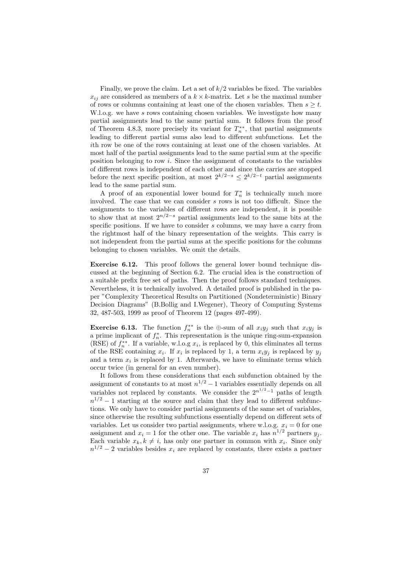Finally, we prove the claim. Let a set of  $k/2$  variables be fixed. The variables  $x_{ij}$  are considered as members of a  $k \times k$ -matrix. Let s be the maximal number of rows or columns containing at least one of the chosen variables. Then  $s \geq t$ . W.l.o.g. we have s rows containing chosen variables. We investigate how many partial assignments lead to the same partial sum. It follows from the proof of Theorem 4.8.3, more precisely its variant for  $T_n^{**}$ , that partial assignments leading to different partial sums also lead to different subfunctions. Let the ith row be one of the rows containing at least one of the chosen variables. At most half of the partial assignments lead to the same partial sum at the specific position belonging to row i. Since the assignment of constants to the variables of different rows is independent of each other and since the carries are stopped before the next specific position, at most  $2^{k/2-s} \leq 2^{k/2-t}$  partial assignments lead to the same partial sum.

A proof of an exponential lower bound for  $T_n^*$  is technically much more involved. The case that we can consider s rows is not too difficult. Since the assignments to the variables of different rows are independent, it is possible to show that at most  $2^{n/2-s}$  partial assignments lead to the same bits at the specific positions. If we have to consider s columns, we may have a carry from the rightmost half of the binary representation of the weights. This carry is not independent from the partial sums at the specific positions for the columns belonging to chosen variables. We omit the details.

Exercise 6.12. This proof follows the general lower bound technique discussed at the beginning of Section 6.2. The crucial idea is the construction of a suitable prefix free set of paths. Then the proof follows standard techniques. Nevertheless, it is technically involved. A detailed proof is published in the paper "Complexity Theoretical Results on Partitioned (Nondeterministic) Binary Decision Diagrams" (B.Bollig and I.Wegener), Theory of Computing Systems 32, 487-503, 1999 as proof of Theorem 12 (pages 497-499).

**Exercise 6.13.** The function  $f_n^{**}$  is the  $\bigoplus$ -sum of all  $x_iy_j$  such that  $x_iy_j$  is a prime implicant of  $f_n^*$ . This representation is the unique ring-sum-expansion (RSE) of  $f_n^{**}$ . If a variable, w.l.o.g  $x_i$ , is replaced by 0, this eliminates all terms of the RSE containing  $x_i$ . If  $x_i$  is replaced by 1, a term  $x_i y_j$  is replaced by  $y_j$ and a term  $x_i$  is replaced by 1. Afterwards, we have to eliminate terms which occur twice (in general for an even number).

It follows from these considerations that each subfunction obtained by the assignment of constants to at most  $n^{1/2} - 1$  variables essentially depends on all variables not replaced by constants. We consider the  $2^{n^{1/2}-1}$  paths of length  $n^{1/2} - 1$  starting at the source and claim that they lead to different subfunctions. We only have to consider partial assignments of the same set of variables, since otherwise the resulting subfunctions essentially depend on different sets of variables. Let us consider two partial assignments, where w.l.o.g.  $x_i = 0$  for one assignment and  $x_i = 1$  for the other one. The variable  $x_i$  has  $n^{1/2}$  partners  $y_j$ . Each variable  $x_k, k \neq i$ , has only one partner in common with  $x_i$ . Since only  $n^{1/2} - 2$  variables besides  $x_i$  are replaced by constants, there exists a partner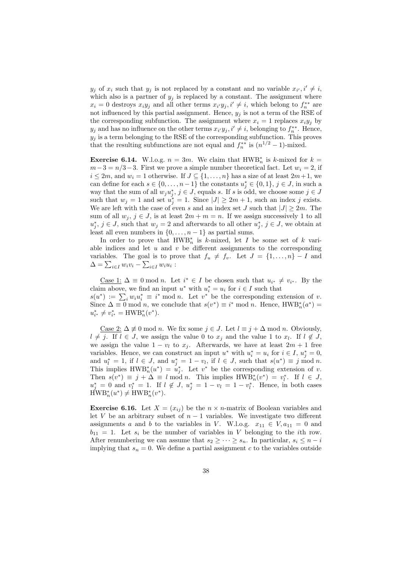$y_j$  of  $x_i$  such that  $y_j$  is not replaced by a constant and no variable  $x_{i'}, i' \neq i$ , which also is a partner of  $y_j$  is replaced by a constant. The assignment where  $x_i = 0$  destroys  $x_i y_j$  and all other terms  $x_{i'} y_j, i' \neq i$ , which belong to  $f_i^*$  are not influenced by this partial assignment. Hence,  $y_j$  is not a term of the RSE of the corresponding subfunction. The assignment where  $x_i = 1$  replaces  $x_i y_j$  by  $y_j$  and has no influence on the other terms  $x_{i'}y_j$ ,  $i' \neq i$ , belonging to  $f_n^{**}$ . Hence,  $y_j$  is a term belonging to the RSE of the corresponding subfunction. This proves that the resulting subfunctions are not equal and  $f_n^{**}$  is  $(n^{1/2} - 1)$ -mixed.

**Exercise 6.14.** W.l.o.g.  $n = 3m$ . We claim that HWB<sup>\*</sup><sub>n</sub> is k-mixed for  $k =$  $m-3 = n/3-3$ . First we prove a simple number theoretical fact. Let  $w_i = 2$ , if  $i \leq 2m$ , and  $w_i = 1$  otherwise. If  $J \subseteq \{1, \ldots, n\}$  has a size of at least  $2m+1$ , we can define for each  $s \in \{0, \ldots, n-1\}$  the constants  $u_j^* \in \{0,1\}, j \in J$ , in such a way that the sum of all  $w_j u_j^*, j \in J$ , equals s. If s is odd, we choose some  $j \in J$ such that  $w_j = 1$  and set  $u_j^* = 1$ . Since  $|J| \geq 2m + 1$ , such an index j exists. We are left with the case of even s and an index set J such that  $|J| \geq 2m$ . The sum of all  $w_j$ ,  $j \in J$ , is at least  $2m + m = n$ . If we assign successively 1 to all  $u_j^*, j \in J$ , such that  $w_j = 2$  and afterwards to all other  $u_j^*, j \in J$ , we obtain at least all even numbers in  $\{0, \ldots, n-1\}$  as partial sums.

In order to prove that  $\text{HWB}_{n}^{*}$  is k-mixed, let I be some set of k variable indices and let  $u$  and  $v$  be different assignments to the corresponding variables. The goal is to prove that  $f_u \neq f_v$ . Let  $J = \{1, \ldots, n\} - I$  and  $\Delta = \sum_{i \in I} w_i v_i - \sum_{i \in I} w_i u_i$ :

<u>Case 1:</u>  $\Delta \equiv 0 \mod n$ . Let  $i^* \in I$  be chosen such that  $u_{i^*} \neq v_{i^*}$ . By the claim above, we find an input  $u^*$  with  $u_i^* = u_i$  for  $i \in I$  such that  $s(u^*) := \sum_i w_i u_i^* \equiv i^* \mod n$ . Let  $v^*$  be the corresponding extension of v. Since  $\Delta \equiv 0 \mod n$ , we conclude that  $s(v^*) \equiv i^* \mod n$ . Hence,  $HWB_n^*(a^*) =$  $u_{i^*}^* \neq v_{i^*}^* = \text{HWB}_n^*(v^*).$ 

Case 2:  $\Delta \neq 0$  mod *n*. We fix some  $j \in J$ . Let  $l \equiv j + \Delta$  mod *n*. Obviously,  $l \neq j$ . If  $l \in J$ , we assign the value 0 to  $x_j$  and the value 1 to  $x_l$ . If  $l \notin J$ , we assign the value  $1 - v_l$  to  $x_i$ . Afterwards, we have at least  $2m + 1$  free variables. Hence, we can construct an input  $u^*$  with  $u_i^* = u_i$  for  $i \in I$ ,  $u_j^* = 0$ , and  $u_l^* = 1$ , if  $l \in J$ , and  $u_j^* = 1 - v_l$ , if  $l \in J$ , such that  $s(u^*) \equiv j \mod n$ . This implies  $\text{HWB}_{n}^{*}(u^{*}) = u_{j}^{*}$ . Let  $v^{*}$  be the corresponding extension of v. Then  $s(v^*) \equiv j + \Delta \equiv l \mod n$ . This implies  $HWB_n^*(v^*) = v_l^*$ . If  $l \in J$ ,  $u_j^* = 0$  and  $v_l^* = 1$ . If  $l \notin J$ ,  $u_j^* = 1 - v_l = 1 - v_l^*$ . Hence, in both cases  $HWB<sub>n</sub><sup>*</sup>(u<sup>*</sup>) \neq HWB<sub>n</sub><sup>*</sup>(v<sup>*</sup>).$ 

**Exercise 6.16.** Let  $X = (x_{ij})$  be the  $n \times n$ -matrix of Boolean variables and let  $V$  be an arbitrary subset of  $n-1$  variables. We investigate two different assignments a and b to the variables in V. W.l.o.g.  $x_{11} \in V, a_{11} = 0$  and  $b_{11} = 1$ . Let  $s_i$  be the number of variables in V belonging to the *i*th row. After renumbering we can assume that  $s_2 \geq \cdots \geq s_n$ . In particular,  $s_i \leq n - i$ implying that  $s_n = 0$ . We define a partial assignment c to the variables outside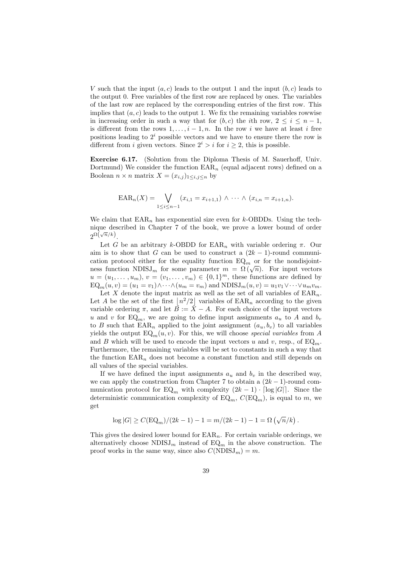V such that the input  $(a, c)$  leads to the output 1 and the input  $(b, c)$  leads to the output 0. Free variables of the first row are replaced by ones. The variables of the last row are replaced by the corresponding entries of the first row. This implies that  $(a, c)$  leads to the output 1. We fix the remaining variables rowwise in increasing order in such a way that for  $(b, c)$  the *i*th row,  $2 \le i \le n - 1$ , is different from the rows  $1, \ldots, i-1, n$ . In the row i we have at least i free positions leading to  $2^i$  possible vectors and we have to ensure there the row is different from *i* given vectors. Since  $2^i > i$  for  $i \geq 2$ , this is possible.

Exercise 6.17. (Solution from the Diploma Thesis of M. Sauerhoff, Univ. Dortmund) We consider the function  $EAR_n$  (equal adjacent rows) defined on a Boolean  $n \times n$  matrix  $X = (x_{i,j})_{1 \leq i,j \leq n}$  by

$$
EAR_n(X) = \bigvee_{1 \leq i \leq n-1} (x_{i,1} = x_{i+1,1}) \wedge \cdots \wedge (x_{i,n} = x_{i+1,n}).
$$

We claim that  $\text{EAR}_n$  has exponential size even for k-OBDDs. Using the technique described in Chapter 7 of the book, we prove a lower bound of order  $2^{\Omega(\sqrt{n}/k)}$ .

Let G be an arbitrary k-OBDD for  $\text{EAR}_n$  with variable ordering  $\pi$ . Our aim is to show that G can be used to construct a  $(2k-1)$ -round communication protocol either for the equality function  $EQ_m$  or for the nondisjointness function NDISJ<sub>m</sub> for some parameter  $m = \Omega(\sqrt{n})$ . For input vectors  $u = (u_1, \ldots, u_m), v = (v_1, \ldots, v_m) \in \{0, 1\}^m$ , these functions are defined by  $EQ_m(u, v) = (u_1 = v_1) \wedge \cdots \wedge (u_m = v_m)$  and  $NDISJ_m(u, v) = u_1v_1 \vee \cdots \vee u_mv_m$ .

Let X denote the input matrix as well as the set of all variables of  $EAR_n$ . Let A be the set of the first  $\lfloor n^2/2 \rfloor$  variables of  $\text{EAR}_n$  according to the given variable ordering  $\pi$ , and let  $\overline{B} := \overline{X} - A$ . For each choice of the input vectors u and v for  $EQ_m$ , we are going to define input assignments  $a_u$  to A and  $b_v$ to B such that  $\text{EAR}_n$  applied to the joint assignment  $(a_u, b_v)$  to all variables yields the output  $EQ_m(u, v)$ . For this, we will choose special variables from A and B which will be used to encode the input vectors u and v, resp., of  $EQ<sub>m</sub>$ . Furthermore, the remaining variables will be set to constants in such a way that the function  $EAR_n$  does not become a constant function and still depends on all values of the special variables.

If we have defined the input assignments  $a_u$  and  $b_v$  in the described way, we can apply the construction from Chapter 7 to obtain a  $(2k-1)$ -round communication protocol for  $EQ_m$  with complexity  $(2k-1) \cdot \lceil \log |G| \rceil$ . Since the deterministic communication complexity of  $EQ_m$ ,  $C(EQ_m)$ , is equal to m, we get

$$
\log |G| \ge C(\text{EQ}_m)/(2k-1) - 1 = m/(2k-1) - 1 = \Omega(\sqrt{n}/k).
$$

This gives the desired lower bound for  $EAR_n$ . For certain variable orderings, we alternatively choose  $NDISJ_m$  instead of  $EQ_m$  in the above construction. The proof works in the same way, since also  $C(NDISJ_m) = m$ .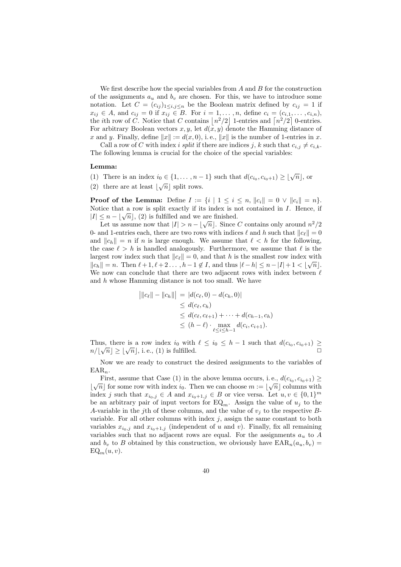We first describe how the special variables from  $A$  and  $B$  for the construction of the assignments  $a_u$  and  $b_v$  are chosen. For this, we have to introduce some notation. Let  $C = (c_{ij})_{1 \le i,j \le n}$  be the Boolean matrix defined by  $c_{ij} = 1$  if  $x_{ij} \in A$ , and  $c_{ij} = 0$  if  $x_{ij} \in B$ . For  $i = 1, ..., n$ , define  $c_i = (c_{i,1}, ..., c_{i,n})$ , the *i*th row of C. Notice that C contains  $\lfloor n^2/2 \rfloor$  1-entries and  $\lfloor n^2/2 \rfloor$  0-entries. For arbitrary Boolean vectors  $x, y$ , let  $d(x, y)$  denote the Hamming distance of x and y. Finally, define  $||x|| := d(x, 0)$ , i.e.,  $||x||$  is the number of 1-entries in x.

Call a row of C with index i split if there are indices j, k such that  $c_{i,j} \neq c_{i,k}$ . The following lemma is crucial for the choice of the special variables:

### Lemma:

- (1) There is an index  $i_0 \in \{1, \ldots, n-1\}$  such that  $d(c_{i_0}, c_{i_0+1}) \geq \lfloor \sqrt{n} \rfloor$ , or
- (2) there are at least  $\lfloor\sqrt{n}\rfloor$  split rows.

**Proof of the Lemma:** Define  $I := \{i \mid 1 \le i \le n, ||c_i|| = 0 \lor ||c_i|| = n\}.$ Notice that a row is split exactly if its index is not contained in  $I$ . Hence, if  $|I| \leq n - \lfloor \sqrt{n} \rfloor$ , (2) is fulfilled and we are finished.

Let us assume now that  $|I| > n - \lfloor \sqrt{n} \rfloor$ . Since C contains only around  $n^2/2$ 0- and 1-entries each, there are two rows with indices  $\ell$  and h such that  $||c_{\ell}|| = 0$ and  $||c_h|| = n$  if n is large enough. We assume that  $\ell < h$  for the following, the case  $\ell > h$  is handled analogously. Furthermore, we assume that  $\ell$  is the largest row index such that  $||c_\ell|| = 0$ , and that h is the smallest row index with  $||c_h|| = n$ . Then  $\ell + 1, \ell + 2 \ldots, h-1 \notin I$ , and thus  $|\ell - h| \leq n - |I| + 1 < \lfloor \sqrt{n} \rfloor$ . We now can conclude that there are two adjacent rows with index between  $\ell$ and h whose Hamming distance is not too small. We have

$$
||c_{\ell}|| - ||c_h||| = |d(c_{\ell}, 0) - d(c_h, 0)|
$$
  
\n
$$
\leq d(c_{\ell}, c_h)
$$
  
\n
$$
\leq d(c_{\ell}, c_{\ell+1}) + \cdots + d(c_{h-1}, c_h)
$$
  
\n
$$
\leq (h - \ell) \cdot \max_{\ell \leq i \leq h-1} d(c_i, c_{i+1}).
$$

Thus, there is a row index  $i_0$  with  $\ell \leq i_0 \leq h-1$  such that  $d(c_{i_0}, c_{i_0+1}) \geq$  $n/\lfloor\sqrt{n}\rfloor \geq \lfloor\sqrt{n}\rfloor$  $\overline{n}$ , i.e., (1) is fulfilled.

Now we are ready to construct the desired assignments to the variables of  $EAR_n$ .

First, assume that Case (1) in the above lemma occurs, i.e.,  $d(c_{i_0}, c_{i_0+1}) \ge$  $\lfloor \sqrt{n} \rfloor$  for some row with index  $i_0$ . Then we can choose  $m := \lfloor \sqrt{n} \rfloor$  columns with index j such that  $x_{i_0,j} \in A$  and  $x_{i_0+1,j} \in B$  or vice versa. Let  $u, v \in \{0,1\}^m$ be an arbitrary pair of input vectors for  $EQ_m$ . Assign the value of  $u_j$  to the A-variable in the j<sup>th</sup> of these columns, and the value of  $v_j$  to the respective Bvariable. For all other columns with index  $j$ , assign the same constant to both variables  $x_{i_0,j}$  and  $x_{i_0+1,j}$  (independent of u and v). Finally, fix all remaining variables such that no adjacent rows are equal. For the assignments  $a_u$  to A and  $b_v$  to B obtained by this construction, we obviously have  $\text{EAR}_n(a_u, b_v)$  =  $EQ_m(u, v)$ .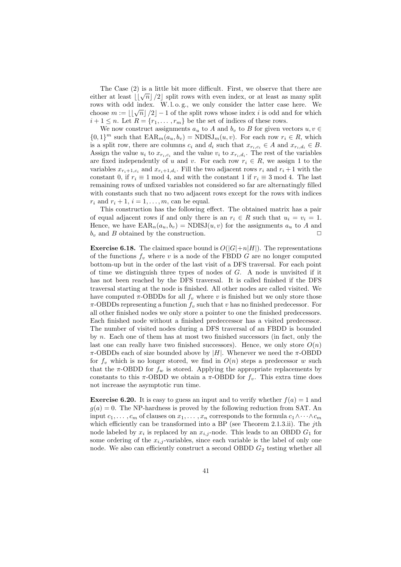The Case (2) is a little bit more difficult. First, we observe that there are either at least  $\lfloor \lfloor \sqrt{n} \rfloor /2 \rfloor$  split rows with even index, or at least as many split rows with odd index. W.l.o.g., we only consider the latter case here. We choose  $m := \lfloor \lfloor \sqrt{n} \rfloor /2 \rfloor - 1$  of the split rows whose index i is odd and for which  $i+1 \leq n$ . Let  $R = \{r_1, \ldots, r_m\}$  be the set of indices of these rows.

We now construct assignments  $a_u$  to A and  $b_v$  to B for given vectors  $u, v \in$  ${0,1}^m$  such that  $\text{EAR}_m(a_u, b_v) = \text{NDISJ}_m(u, v)$ . For each row  $r_i \in R$ , which is a split row, there are columns  $c_i$  and  $d_i$  such that  $x_{r_i,c_i} \in A$  and  $x_{r_i,d_i} \in B$ . Assign the value  $u_i$  to  $x_{r_i,c_i}$  and the value  $v_i$  to  $x_{r_i,d_i}$ . The rest of the variables are fixed independently of u and v. For each row  $r_i \in R$ , we assign 1 to the variables  $x_{r_i+1,c_i}$  and  $x_{r_i+1,d_i}$ . Fill the two adjacent rows  $r_i$  and  $r_i+1$  with the constant 0, if  $r_i \equiv 1 \mod 4$ , and with the constant 1 if  $r_i \equiv 3 \mod 4$ . The last remaining rows of unfixed variables not considered so far are alternatingly filled with constants such that no two adjacent rows except for the rows with indices  $r_i$  and  $r_i + 1$ ,  $i = 1, \ldots, m$ , can be equal.

This construction has the following effect. The obtained matrix has a pair of equal adjacent rows if and only there is an  $r_i \in R$  such that  $u_i = v_i = 1$ . Hence, we have  $\text{EAR}_n(a_u, b_v) = \text{NDISJ}(u, v)$  for the assignments  $a_u$  to A and  $b_v$  and B obtained by the construction.  $\Box$ 

**Exercise 6.18.** The claimed space bound is  $O(|G|+n|H|)$ . The representations of the functions  $f_v$  where v is a node of the FBDD G are no longer computed bottom-up but in the order of the last visit of a DFS traversal. For each point of time we distinguish three types of nodes of G. A node is unvisited if it has not been reached by the DFS traversal. It is called finished if the DFS traversal starting at the node is finished. All other nodes are called visited. We have computed  $\pi$ -OBDDs for all  $f_v$  where v is finished but we only store those  $\pi$ -OBDDs representing a function  $f_v$  such that v has no finished predecessor. For all other finished nodes we only store a pointer to one the finished predecessors. Each finished node without a finished predeccessor has a visited predecessor. The number of visited nodes during a DFS traversal of an FBDD is bounded by n. Each one of them has at most two finished successors (in fact, only the last one can really have two finished successors). Hence, we only store  $O(n)$  $\pi$ -OBDDs each of size bounded above by |H|. Whenever we need the  $\pi$ -OBDD for  $f_v$  which is no longer stored, we find in  $O(n)$  steps a predecessor w such that the  $\pi$ -OBDD for  $f_w$  is stored. Applying the appropriate replacements by constants to this  $\pi$ -OBDD we obtain a  $\pi$ -OBDD for  $f_v$ . This extra time does not increase the asymptotic run time.

**Exercise 6.20.** It is easy to guess an input and to verify whether  $f(a) = 1$  and  $q(a) = 0$ . The NP-hardness is proved by the following reduction from SAT. An input  $c_1, \ldots, c_m$  of clauses on  $x_1, \ldots, x_n$  corresponds to the formula  $c_1 \wedge \cdots \wedge c_m$ which efficiently can be transformed into a BP (see Theorem 2.1.3.ii). The jth node labeled by  $x_i$  is replaced by an  $x_{i,j}$ -node. This leads to an OBDD  $G_1$  for some ordering of the  $x_{i,j}$ -variables, since each variable is the label of only one node. We also can efficiently construct a second OBDD  $G_2$  testing whether all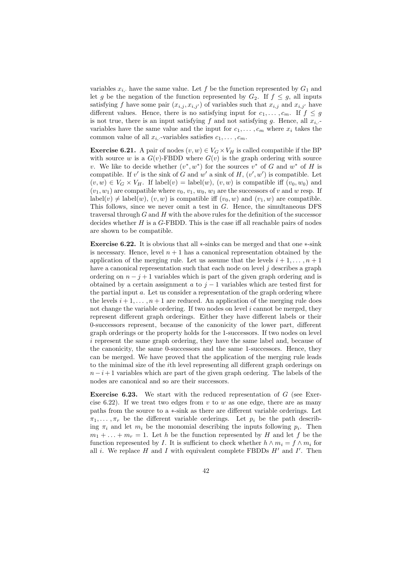variables  $x_i$ , have the same value. Let f be the function represented by  $G_1$  and let g be the negation of the function represented by  $G_2$ . If  $f \leq g$ , all inputs satisfying f have some pair  $(x_{i,j}, x_{i,j'})$  of variables such that  $x_{i,j}$  and  $x_{i,j'}$  have different values. Hence, there is no satisfying input for  $c_1, \ldots, c_m$ . If  $f \leq g$ is not true, there is an input satisfying f and not satisfying g. Hence, all  $x_{i,}$ . variables have the same value and the input for  $c_1, \ldots, c_m$  where  $x_i$  takes the common value of all  $x_i$ , variables satisfies  $c_1, \ldots, c_m$ .

**Exercise 6.21.** A pair of nodes  $(v, w) \in V_G \times V_H$  is called compatible if the BP with source w is a  $G(v)$ -FBDD where  $G(v)$  is the graph ordering with source v. We like to decide whether  $(v^*, w^*)$  for the sources  $v^*$  of G and  $w^*$  of H is compatible. If v' is the sink of G and w' a sink of H,  $(v', w')$  is compatible. Let  $(v, w) \in V_G \times V_H$ . If label $(v) =$ label $(w)$ ,  $(v, w)$  is compatible iff  $(v_0, w_0)$  and  $(v_1, w_1)$  are compatible where  $v_0, v_1, w_0, w_1$  are the successors of v and w resp. If label(v)  $\neq$  label(w),  $(v, w)$  is compatible iff  $(v_0, w)$  and  $(v_1, w)$  are compatible. This follows, since we never omit a test in G. Hence, the simultaneous DFS traversal through  $G$  and  $H$  with the above rules for the definition of the successor decides whether  $H$  is a  $G$ -FBDD. This is the case iff all reachable pairs of nodes are shown to be compatible.

Exercise 6.22. It is obvious that all ∗-sinks can be merged and that one ∗-sink is necessary. Hence, level  $n + 1$  has a canonical representation obtained by the application of the merging rule. Let us assume that the levels  $i + 1, \ldots, n + 1$ have a canonical representation such that each node on level  $j$  describes a graph ordering on  $n - j + 1$  variables which is part of the given graph ordering and is obtained by a certain assignment a to  $j-1$  variables which are tested first for the partial input  $a$ . Let us consider a representation of the graph ordering where the levels  $i + 1, \ldots, n + 1$  are reduced. An application of the merging rule does not change the variable ordering. If two nodes on level  $i$  cannot be merged, they represent different graph orderings. Either they have different labels or their 0-successors represent, because of the canonicity of the lower part, different graph orderings or the property holds for the 1-successors. If two nodes on level i represent the same graph ordering, they have the same label and, because of the canonicity, the same 0-successors and the same 1-successors. Hence, they can be merged. We have proved that the application of the merging rule leads to the minimal size of the ith level representing all different graph orderings on  $n-i+1$  variables which are part of the given graph ordering. The labels of the nodes are canonical and so are their successors.

**Exercise 6.23.** We start with the reduced representation of  $G$  (see Exercise 6.22). If we treat two edges from  $v$  to  $w$  as one edge, there are as many paths from the source to a ∗-sink as there are different variable orderings. Let  $\pi_1, \ldots, \pi_r$  be the different variable orderings. Let  $p_i$  be the path describing  $\pi_i$  and let  $m_i$  be the monomial describing the inputs following  $p_i$ . Then  $m_1 + \ldots + m_r = 1$ . Let h be the function represented by H and let f be the function represented by I. It is sufficient to check whether  $h \wedge m_i = f \wedge m_i$  for all *i*. We replace H and I with equivalent complete FBDDs  $H'$  and I'. Then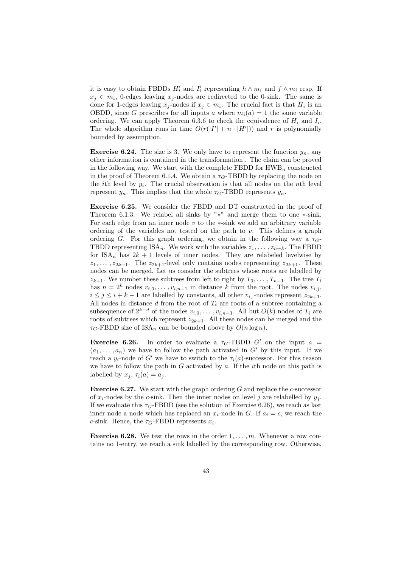it is easy to obtain FBDDs  $H'_i$  and  $I'_i$  representing  $h \wedge m_i$  and  $f \wedge m_i$  resp. If  $x_j \in m_i$ , 0-edges leaving  $x_j$ -nodes are redirected to the 0-sink. The same is done for 1-edges leaving  $x_j$ -nodes if  $\overline{x}_j \in m_i$ . The crucial fact is that  $H_i$  is an OBDD, since G prescribes for all inputs a where  $m_i(a) = 1$  the same variable ordering. We can apply Theorem 6.3.6 to check the equivalence of  $H_i$  and  $I_i$ . The whole algorithm runs in time  $O(r(|I'| + n \cdot |H'|))$  and r is polynomially bounded by assumption.

**Exercise 6.24.** The size is 3. We only have to represent the function  $y_n$ , any other information is contained in the transformation . The claim can be proved in the following way. We start with the complete FBDD for  $HWB_n$  constructed in the proof of Theorem 6.1.4. We obtain a  $\tau_G$ -TBDD by replacing the node on the *i*th level by  $y_i$ . The crucial observation is that all nodes on the *n*th level represent  $y_n$ . This implies that the whole  $\tau_G$ -TBDD represents  $y_n$ .

Exercise 6.25. We consider the FBDD and DT constructed in the proof of Theorem 6.1.3. We relabel all sinks by "∗" and merge them to one ∗-sink. For each edge from an inner node  $v$  to the  $\ast$ -sink we add an arbitrary variable ordering of the variables not tested on the path to  $v$ . This defines a graph ordering G. For this graph ordering, we obtain in the following way a  $\tau_G$ -TBDD representing  $ISA_n$ . We work with the variables  $z_1, \ldots, z_{n+k}$ . The FBDD for  $ISA_n$  has  $2k + 1$  levels of inner nodes. They are relabeled levelwise by  $z_1, \ldots, z_{2k+1}$ . The  $z_{2k+1}$ -level only contains nodes representing  $z_{2k+1}$ . These nodes can be merged. Let us consider the subtrees whose roots are labelled by  $z_{k+1}$ . We number these subtrees from left to right by  $T_0, \ldots, T_{n-1}$ . The tree  $T_i$ has  $n = 2^k$  nodes  $v_{i,0}, \ldots, v_{i,n-1}$  in distance k from the root. The nodes  $v_{i,j}$ ,  $i \leq j \leq i + k - 1$  are labelled by constants, all other  $v_i$ , nodes represent  $z_{2k+1}$ . All nodes in distance  $d$  from the root of  $T_i$  are roots of a subtree containing a subsequence of  $2^{k-d}$  of the nodes  $v_{i,0}, \ldots, v_{i,n-1}$ . All but  $O(k)$  nodes of  $T_i$  are roots of subtrees which represent  $z_{2k+1}$ . All these nodes can be merged and the  $\tau_G$ -FBDD size of ISA<sub>n</sub> can be bounded above by  $O(n \log n)$ .

**Exercise 6.26.** In order to evaluate a  $\tau_G$ -TBDD G' on the input  $a =$  $(a_1, \ldots, a_n)$  we have to follow the path activated in G' by this input. If we reach a  $y_i$ -node of G' we have to switch to the  $\tau_i(a)$ -successor. For this reason we have to follow the path in  $G$  activated by  $a$ . If the *i*th node on this path is labelled by  $x_i$ ,  $\tau_i(a) = a_i$ .

**Exercise 6.27.** We start with the graph ordering  $G$  and replace the c-successor of  $x_i$ -nodes by the c-sink. Then the inner nodes on level j are relabelled by  $y_i$ . If we evaluate this  $\tau_G$ -FBDD (see the solution of Exercise 6.26), we reach as last inner node a node which has replaced an  $x_i$ -node in G. If  $a_i = c$ , we reach the c-sink. Hence, the  $\tau_G$ -FBDD represents  $x_i$ .

**Exercise 6.28.** We test the rows in the order  $1, \ldots, m$ . Whenever a row contains no 1-entry, we reach a sink labelled by the corresponding row. Otherwise,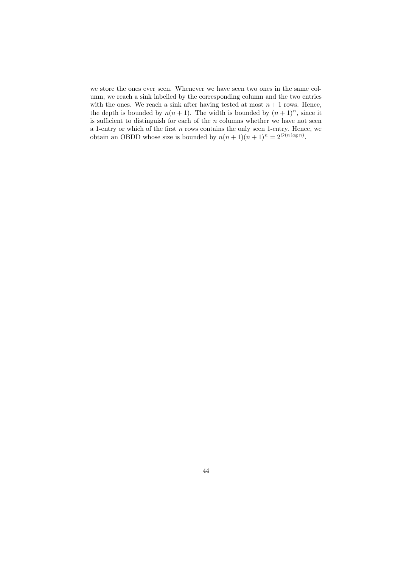we store the ones ever seen. Whenever we have seen two ones in the same column, we reach a sink labelled by the corresponding column and the two entries with the ones. We reach a sink after having tested at most  $n + 1$  rows. Hence, the depth is bounded by  $n(n + 1)$ . The width is bounded by  $(n + 1)^n$ , since it is sufficient to distinguish for each of the  $n$  columns whether we have not seen a 1-entry or which of the first  $n$  rows contains the only seen 1-entry. Hence, we obtain an OBDD whose size is bounded by  $n(n+1)(n+1)^n = 2^{O(n \log n)}$ .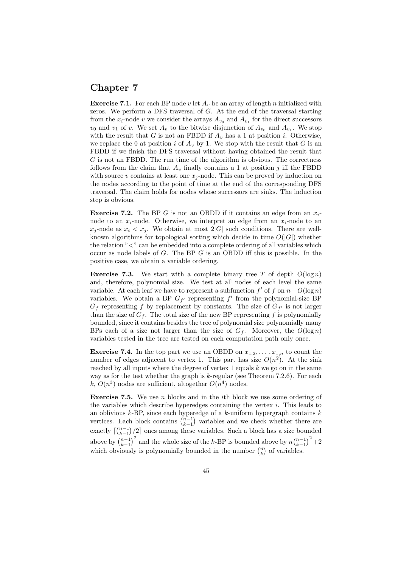# Chapter 7

**Exercise 7.1.** For each BP node v let  $A_v$  be an array of length n initialized with zeros. We perform a DFS traversal of G. At the end of the traversal starting from the  $x_i$ -node v we consider the arrays  $A_{v_0}$  and  $A_{v_1}$  for the direct successors  $v_0$  and  $v_1$  of v. We set  $A_v$  to the bitwise disjunction of  $A_{v_0}$  and  $A_{v_1}$ . We stop with the result that G is not an FBDD if  $A_v$  has a 1 at position *i*. Otherwise, we replace the 0 at position i of  $A_v$  by 1. We stop with the result that G is an FBDD if we finish the DFS traversal without having obtained the result that G is not an FBDD. The run time of the algorithm is obvious. The correctness follows from the claim that  $A_v$  finally contains a 1 at position j iff the FBDD with source v contains at least one  $x_i$ -node. This can be proved by induction on the nodes according to the point of time at the end of the corresponding DFS traversal. The claim holds for nodes whose successors are sinks. The induction step is obvious.

**Exercise 7.2.** The BP G is not an OBDD if it contains an edge from an  $x_i$ node to an  $x_i$ -node. Otherwise, we interpret an edge from an  $x_i$ -node to an  $x_j$ -node as  $x_i < x_j$ . We obtain at most  $2|G|$  such conditions. There are wellknown algorithms for topological sorting which decide in time  $O(|G|)$  whether the relation  $\sim$   $\sim$  can be embedded into a complete ordering of all variables which occur as node labels of G. The BP G is an OBDD iff this is possible. In the positive case, we obtain a variable ordering.

**Exercise 7.3.** We start with a complete binary tree T of depth  $O(\log n)$ and, therefore, polynomial size. We test at all nodes of each level the same variable. At each leaf we have to represent a subfunction  $f'$  of  $f$  on  $n-O(\log n)$ variables. We obtain a BP  $G_{f'}$  representing  $f'$  from the polynomial-size BP  $G_f$  representing f by replacement by constants. The size of  $G_{f'}$  is not larger than the size of  $G_f$ . The total size of the new BP representing f is polynomially bounded, since it contains besides the tree of polynomial size polynomially many BPs each of a size not larger than the size of  $G_f$ . Moreover, the  $O(\log n)$ variables tested in the tree are tested on each computation path only once.

**Exercise 7.4.** In the top part we use an OBDD on  $x_{1,2}, \ldots, x_{1,n}$  to count the number of edges adjacent to vertex 1. This part has size  $O(n^2)$ . At the sink reached by all inputs where the degree of vertex  $1$  equals  $k$  we go on in the same way as for the test whether the graph is  $k$ -regular (see Theorem 7.2.6). For each k,  $O(n^3)$  nodes are sufficient, altogether  $O(n^4)$  nodes.

**Exercise 7.5.** We use n blocks and in the *i*th block we use some ordering of the variables which describe hyperedges containing the vertex  $i$ . This leads to an oblivious  $k$ -BP, since each hyperedge of a  $k$ -uniform hypergraph contains  $k$ vertices. Each block contains  $\binom{n-1}{k-1}$  variables and we check whether there are exactly  $\lceil {n-1 \choose k-1}/2 \rceil$  ones among these variables. Such a block has a size bounded above by  $\binom{n-1}{k-1}^2$  and the whole size of the k-BP is bounded above by  $n\binom{n-1}{k-1}^2+2$ which obviously is polynomially bounded in the number  $\binom{n}{k}$  of variables.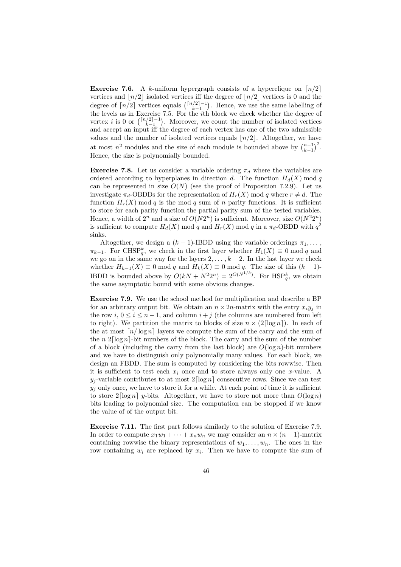**Exercise 7.6.** A k-uniform hypergraph consists of a hyperclique on  $\lceil n/2 \rceil$ vertices and  $\lfloor n/2 \rfloor$  isolated vertices iff the degree of  $\lfloor n/2 \rfloor$  vertices is 0 and the degree of  $\lceil n/2 \rceil$  vertices equals  $\binom{\lceil n/2 \rceil - 1}{k-1}$ . Hence, we use the same labelling of the levels as in Exercise 7.5. For the ith block we check whether the degree of vertex *i* is 0 or  $\binom{\lceil n/2 \rceil - 1}{k-1}$ . Moreover, we count the number of isolated vertices and accept an input iff the degree of each vertex has one of the two admissible values and the number of isolated vertices equals  $\lfloor n/2 \rfloor$ . Altogether, we have at most  $n^2$  modules and the size of each module is bounded above by  $\binom{n-1}{k-1}^2$ . Hence, the size is polynomially bounded.

**Exercise 7.8.** Let us consider a variable ordering  $\pi_d$  where the variables are ordered according to hyperplanes in direction d. The function  $H_d(X)$  mod q can be represented in size  $O(N)$  (see the proof of Proposition 7.2.9). Let us investigate  $\pi_d$ -OBDDs for the representation of  $H_r(X)$  mod q where  $r \neq d$ . The function  $H_r(X)$  mod q is the mod q sum of n parity functions. It is sufficient to store for each parity function the partial parity sum of the tested variables. Hence, a width of  $2^n$  and a size of  $O(N2^n)$  is sufficient. Moreover, size  $O(N^22^n)$ is sufficient to compute  $H_d(X) \text{ mod } q$  and  $H_r(X) \text{ mod } q$  in a  $\pi_d$ -OBDD with  $q^2$ sinks.

Altogether, we design a  $(k-1)$ -IBDD using the variable orderings  $\pi_1, \ldots$  $\pi_{k-1}$ . For CHSP<sup>k</sup><sub>q</sub>, we check in the first layer whether  $H_1(X) \equiv 0 \mod q$  and we go on in the same way for the layers  $2, \ldots, k-2$ . In the last layer we check whether  $H_{k-1}(X) \equiv 0 \mod q$  and  $H_k(X) \equiv 0 \mod q$ . The size of this  $(k-1)$ -IBDD is bounded above by  $O(kN + N^2 2^n) = 2^{O(N^{1/k})}$ . For  $HSP_q^k$ , we obtain the same asymptotic bound with some obvious changes.

Exercise 7.9. We use the school method for multiplication and describe a BP for an arbitrary output bit. We obtain an  $n \times 2n$ -matrix with the entry  $x_i y_i$  in the row i,  $0 \le i \le n-1$ , and column  $i + j$  (the columns are numbered from left to right). We partition the matrix to blocks of size  $n \times (2 \lceil \log n \rceil)$ . In each of the at most  $\lceil n/\log n \rceil$  layers we compute the sum of the carry and the sum of the n  $2\lceil \log n \rceil$ -bit numbers of the block. The carry and the sum of the number of a block (including the carry from the last block) are  $O(\log n)$ -bit numbers and we have to distinguish only polynomially many values. For each block, we design an FBDD. The sum is computed by considering the bits rowwise. Then it is sufficient to test each  $x_i$  once and to store always only one x-value. A  $y_i$ -variable contributes to at most  $2\lceil \log n \rceil$  consecutive rows. Since we can test  $y_i$  only once, we have to store it for a while. At each point of time it is sufficient to store  $2\lceil \log n \rceil$  y-bits. Altogether, we have to store not more than  $O(\log n)$ bits leading to polynomial size. The computation can be stopped if we know the value of of the output bit.

Exercise 7.11. The first part follows similarly to the solution of Exercise 7.9. In order to compute  $x_1w_1 + \cdots + x_nw_n$  we may consider an  $n \times (n+1)$ -matrix containing rowwise the binary representations of  $w_1, \ldots, w_n$ . The ones in the row containing  $w_i$  are replaced by  $x_i$ . Then we have to compute the sum of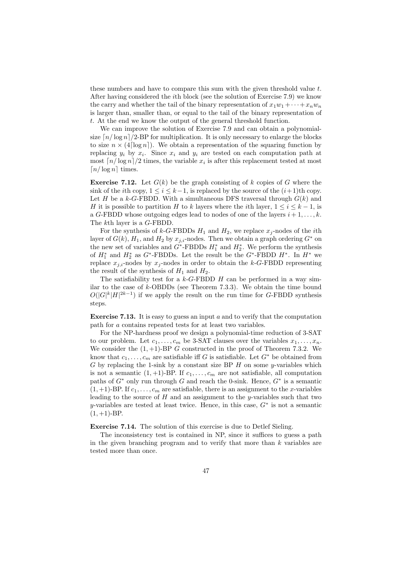these numbers and have to compare this sum with the given threshold value t. After having considered the ith block (see the solution of Exercise 7.9) we know the carry and whether the tail of the binary representation of  $x_1w_1 + \cdots + x_nw_n$ is larger than, smaller than, or equal to the tail of the binary representation of t. At the end we know the output of the general threshold function.

We can improve the solution of Exercise 7.9 and can obtain a polynomialsize  $\lceil n/\log n \rceil/2$ -BP for multiplication. It is only necessary to enlarge the blocks to size  $n \times (4 \lceil \log n \rceil)$ . We obtain a representation of the squaring function by replacing  $y_i$  by  $x_i$ . Since  $x_i$  and  $y_i$  are tested on each computation path at most  $\lceil n/\log n \rceil/2$  times, the variable  $x_i$  is after this replacement tested at most  $\lceil n/\log n \rceil$  times.

**Exercise 7.12.** Let  $G(k)$  be the graph consisting of k copies of G where the sink of the *i*th copy,  $1 \le i \le k-1$ , is replaced by the source of the  $(i+1)$ th copy. Let H be a k-G-FBDD. With a simultaneous DFS traversal through  $G(k)$  and H it is possible to partition H to k layers where the *i*th layer,  $1 \le i \le k - 1$ , is a G-FBDD whose outgoing edges lead to nodes of one of the layers  $i+1,\ldots,k$ . The kth layer is a G-FBDD.

For the synthesis of k-G-FBDDs  $H_1$  and  $H_2$ , we replace  $x_j$ -nodes of the *i*th layer of  $G(k)$ ,  $H_1$ , and  $H_2$  by  $x_{j,i}$ -nodes. Then we obtain a graph ordering  $G^*$  on the new set of variables and  $G^*$ -FBDDs  $H_1^*$  and  $H_2^*$ . We perform the synthesis of  $H_1^*$  and  $H_2^*$  as  $G^*$ -FBDDs. Let the result be the  $G^*$ -FBDD  $H^*$ . In  $H^*$  we replace  $x_{j,i}$ -nodes by  $x_j$ -nodes in order to obtain the k-G-FBDD representing the result of the synthesis of  $H_1$  and  $H_2$ .

The satisfiability test for a  $k$ -G-FBDD  $H$  can be performed in a way similar to the case of  $k$ -OBDDs (see Theorem 7.3.3). We obtain the time bound  $O(|G|^k|H|^{2k-1})$  if we apply the result on the run time for G-FBDD synthesis steps.

Exercise 7.13. It is easy to guess an input a and to verify that the computation path for a contains repeated tests for at least two variables.

For the NP-hardness proof we design a polynomial-time reduction of 3-SAT to our problem. Let  $c_1, \ldots, c_m$  be 3-SAT clauses over the variables  $x_1, \ldots, x_n$ . We consider the  $(1, +1)$ -BP G constructed in the proof of Theorem 7.3.2. We know that  $c_1, \ldots, c_m$  are satisfiable iff G is satisfiable. Let  $G^*$  be obtained from G by replacing the 1-sink by a constant size BP  $H$  on some y-variables which is not a semantic  $(1, +1)$ -BP. If  $c_1, \ldots, c_m$  are not satisfiable, all computation paths of  $G^*$  only run through G and reach the 0-sink. Hence,  $G^*$  is a semantic  $(1, +1)$ -BP. If  $c_1, \ldots, c_m$  are satisfiable, there is an assignment to the x-variables leading to the source of  $H$  and an assignment to the y-variables such that two y-variables are tested at least twice. Hence, in this case,  $G^*$  is not a semantic  $(1, +1)$ -BP.

Exercise 7.14. The solution of this exercise is due to Detlef Sieling.

The inconsistency test is contained in NP, since it suffices to guess a path in the given branching program and to verify that more than  $k$  variables are tested more than once.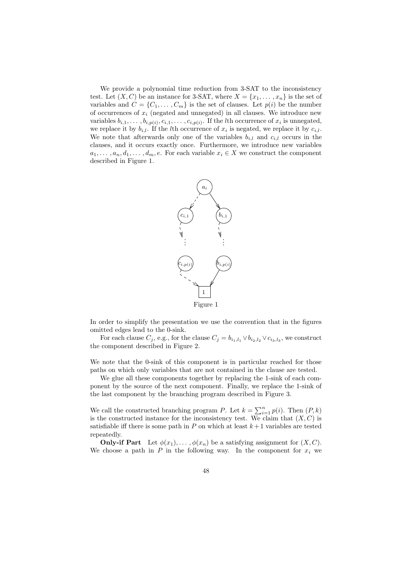We provide a polynomial time reduction from 3-SAT to the inconsistency test. Let  $(X, C)$  be an instance for 3-SAT, where  $X = \{x_1, \ldots, x_n\}$  is the set of variables and  $C = \{C_1, \ldots, C_m\}$  is the set of clauses. Let  $p(i)$  be the number of occurrences of  $x_i$  (negated and unnegated) in all clauses. We introduce new variables  $b_{i,1}, \ldots, b_{i,p(i)}, c_{i,1}, \ldots, c_{i,p(i)}$ . If the *l*th occurrence of  $x_i$  is unnegated, we replace it by  $b_{i,l}$ . If the *l*th occurrence of  $x_i$  is negated, we replace it by  $c_{i,l}$ . We note that afterwards only one of the variables  $b_{i,l}$  and  $c_{i,l}$  occurs in the clauses, and it occurs exactly once. Furthermore, we introduce new variables  $a_1, \ldots, a_n, d_1, \ldots, d_m, e$ . For each variable  $x_i \in X$  we construct the component described in Figure 1.



In order to simplify the presentation we use the convention that in the figures omitted edges lead to the 0-sink.

For each clause  $C_j$ , e.g., for the clause  $C_j = b_{i_1, l_1} \vee b_{i_2, l_2} \vee c_{i_3, l_3}$ , we construct the component described in Figure 2.

We note that the 0-sink of this component is in particular reached for those paths on which only variables that are not contained in the clause are tested.

We glue all these components together by replacing the 1-sink of each component by the source of the next component. Finally, we replace the 1-sink of the last component by the branching program described in Figure 3.

We call the constructed branching program P. Let  $k = \sum_{i=1}^{n} p(i)$ . Then  $(P, k)$ is the constructed instance for the inconsistency test. We claim that  $(X, C)$  is satisfiable iff there is some path in  $P$  on which at least  $k+1$  variables are tested repeatedly.

**Only-if Part** Let  $\phi(x_1), \ldots, \phi(x_n)$  be a satisfying assignment for  $(X, C)$ . We choose a path in  $P$  in the following way. In the component for  $x_i$  we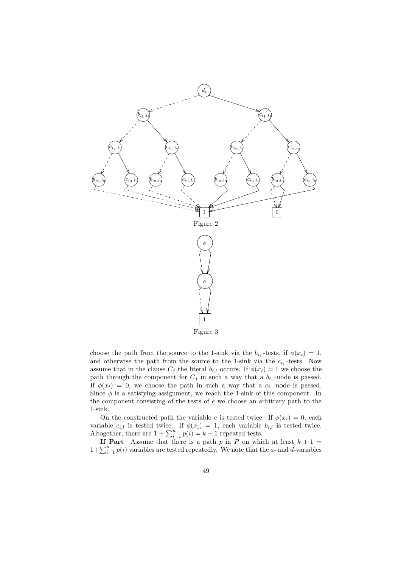

choose the path from the source to the 1-sink via the  $b_{i, \cdot}$ -tests, if  $\phi(x_i) = 1$ , and otherwise the path from the source to the 1-sink via the  $c_i$ ,-tests. Now assume that in the clause  $C_j$  the literal  $b_{i,l}$  occurs. If  $\phi(x_i) = 1$  we choose the path through the component for  $C_j$  in such a way that a  $b_i$ ,-node is passed. If  $\phi(x_i) = 0$ , we choose the path in such a way that a  $c_i$ -node is passed. Since  $\phi$  is a satisfying assignment, we reach the 1-sink of this component. In the component consisting of the tests of  $e$  we choose an arbitrary path to the 1-sink.

On the constructed path the variable e is tested twice. If  $\phi(x_i) = 0$ , each variable  $c_{i,l}$  is tested twice. If  $\phi(x_i) = 1$ , each variable  $b_{i,l}$  is tested twice. Altogether, there are  $1 + \sum_{i=1}^{n} p(i) = k + 1$  repeated tests.

If Part Assume that there is a path p in P on which at least  $k + 1 =$  $1+\sum_{i=1}^{n} p(i)$  variables are tested repeatedly. We note that the a- and d-variables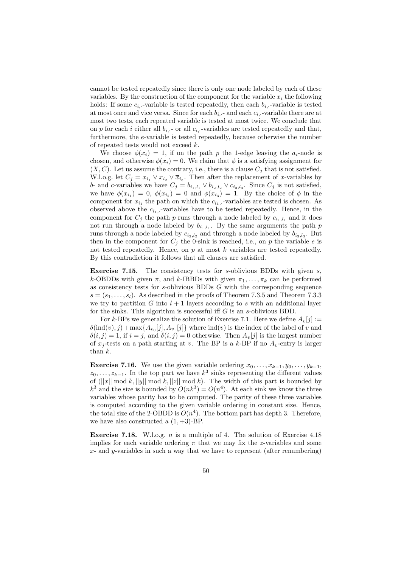cannot be tested repeatedly since there is only one node labeled by each of these variables. By the construction of the component for the variable  $x_i$  the following holds: If some  $c_i$ , variable is tested repeatedly, then each  $b_i$ , variable is tested at most once and vice versa. Since for each  $b_i$ , - and each  $c_i$ , - variable there are at most two tests, each repeated variable is tested at most twice. We conclude that on p for each i either all  $b_i$  - or all  $c_i$  variables are tested repeatedly and that, furthermore, the e-variable is tested repeatedly, because otherwise the number of repeated tests would not exceed k.

We choose  $\phi(x_i) = 1$ , if on the path p the 1-edge leaving the  $a_i$ -node is chosen, and otherwise  $\phi(x_i) = 0$ . We claim that  $\phi$  is a satisfying assignment for  $(X, C)$ . Let us assume the contrary, i.e., there is a clause  $C_i$  that is not satisfied. W.l.o.g. let  $C_j = x_{i_1} \vee x_{i_2} \vee \overline{x}_{i_3}$ . Then after the replacement of x-variables by b- and c-variables we have  $C_j = b_{i_1, l_1} \vee b_{i_2, l_2} \vee c_{i_3, l_3}$ . Since  $C_j$  is not satisfied, we have  $\phi(x_{i_1}) = 0$ ,  $\phi(x_{i_2}) = 0$  and  $\phi(x_{i_3}) = 1$ . By the choice of  $\phi$  in the component for  $x_{i_1}$  the path on which the  $c_{i_1}$ , variables are tested is chosen. As observed above the  $c_{i_1}$ ,-variables have to be tested repeatedly. Hence, in the component for  $C_j$  the path p runs through a node labeled by  $c_{i_1, l_1}$  and it does not run through a node labeled by  $b_{i_1, l_1}$ . By the same arguments the path p runs through a node labeled by  $c_{i_2, l_2}$  and through a node labeled by  $b_{i_3, l_3}$ . But then in the component for  $C_j$  the 0-sink is reached, i.e., on p the variable e is not tested repeatedly. Hence, on  $p$  at most  $k$  variables are tested repeatedly. By this contradiction it follows that all clauses are satisfied.

**Exercise 7.15.** The consistency tests for  $s$ -oblivious BDDs with given  $s$ , k-OBDDs with given  $\pi$ , and k-IBBDs with given  $\pi_1, \ldots, \pi_k$  can be performed as consistency tests for  $s$ -oblivious BDDs  $G$  with the corresponding sequence  $s = (s_1, \ldots, s_l)$ . As described in the proofs of Theorem 7.3.5 and Theorem 7.3.3 we try to partition G into  $l + 1$  layers according to s with an additional layer for the sinks. This algorithm is successful iff  $G$  is an s-oblivious BDD.

For k-BPs we generalize the solution of Exercise 7.1. Here we define  $A_v[j] :=$  $\delta(\text{ind}(v), j) + \max\{A_{v_0}[j], A_{v_1}[j]\}$  where  $\text{ind}(v)$  is the index of the label of v and  $\delta(i, j) = 1$ , if  $i = j$ , and  $\delta(i, j) = 0$  otherwise. Then  $A_{\nu}[j]$  is the largest number of  $x_j$ -tests on a path starting at v. The BP is a k-BP if no  $A_v$ -entry is larger than k.

**Exercise 7.16.** We use the given variable ordering  $x_0, \ldots, x_{k-1}, y_0, \ldots, y_{k-1}$ ,  $z_0, \ldots, z_{k-1}$ . In the top part we have  $k^3$  sinks representing the different values of  $(||x|| \mod k, ||y|| \mod k, ||z|| \mod k)$ . The width of this part is bounded by  $k^3$  and the size is bounded by  $O(nk^3) = O(n^4)$ . At each sink we know the three variables whose parity has to be computed. The parity of these three variables is computed according to the given variable ordering in constant size. Hence, the total size of the 2-OBDD is  $O(n^4)$ . The bottom part has depth 3. Therefore, we have also constructed a  $(1, +3)$ -BP.

**Exercise 7.18.** W.l.o.g. *n* is a multiple of 4. The solution of Exercise 4.18 implies for each variable ordering  $\pi$  that we may fix the z-variables and some  $x$ - and  $y$ -variables in such a way that we have to represent (after renumbering)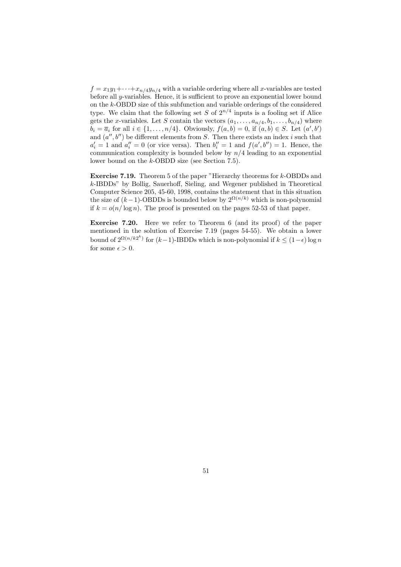$f = x_1y_1 + \cdots + x_{n/4}y_{n/4}$  with a variable ordering where all x-variables are tested before all y-variables. Hence, it is sufficient to prove an exponential lower bound on the k-OBDD size of this subfunction and variable orderings of the considered type. We claim that the following set  $S$  of  $2^{n/4}$  inputs is a fooling set if Alice gets the x-variables. Let S contain the vectors  $(a_1, \ldots, a_{n/4}, b_1, \ldots, b_{n/4})$  where  $b_i = \overline{a_i}$  for all  $i \in \{1, \ldots, n/4\}$ . Obviously,  $f(a, b) = 0$ , if  $(a, b) \in S$ . Let  $(a', b')$ and  $(a'', b'')$  be different elements from S. Then there exists an index i such that  $a'_i = 1$  and  $a''_i = 0$  (or vice versa). Then  $b''_i = 1$  and  $f(a', b'') = 1$ . Hence, the communication complexity is bounded below by  $n/4$  leading to an exponential lower bound on the k-OBDD size (see Section 7.5).

Exercise 7.19. Theorem 5 of the paper "Hierarchy theorems for k-OBDDs and k-IBDDs" by Bollig, Sauerhoff, Sieling, and Wegener published in Theoretical Computer Science 205, 45-60, 1998, contains the statement that in this situation the size of  $(k-1)$ -OBDDs is bounded below by  $2^{\Omega(n/k)}$  which is non-polynomial if  $k = o(n/\log n)$ . The proof is presented on the pages 52-53 of that paper.

Exercise 7.20. Here we refer to Theorem 6 (and its proof) of the paper mentioned in the solution of Exercise 7.19 (pages 54-55). We obtain a lower bound of  $2^{\Omega(n/k2^k)}$  for  $(k-1)$ -IBDDs which is non-polynomial if  $k \leq (1-\epsilon) \log n$ for some  $\epsilon > 0$ .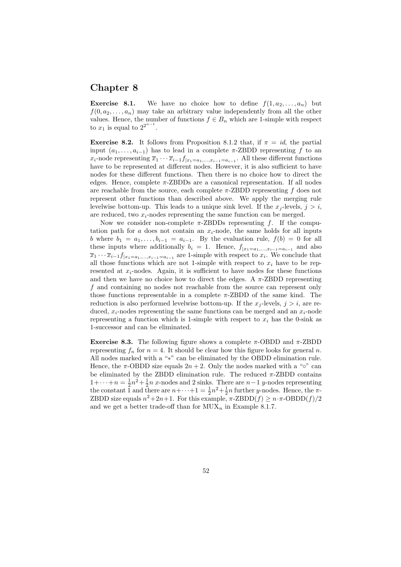### Chapter 8

**Exercise 8.1.** We have no choice how to define  $f(1, a_2, \ldots, a_n)$  but  $f(0, a_2, \ldots, a_n)$  may take an arbitrary value independently from all the other values. Hence, the number of functions  $f \in B_n$  which are 1-simple with respect to  $x_1$  is equal to  $2^{2^{n-1}}$ .

**Exercise 8.2.** It follows from Proposition 8.1.2 that, if  $\pi = id$ , the partial input  $(a_1, \ldots, a_{i-1})$  has to lead in a complete  $\pi$ -ZBDD representing f to an  $x_i$ -node representing  $\overline{x}_1 \cdots \overline{x}_{i-1} f_{|x_1=a_1,...,x_{i-1}=a_{i-1}}$ . All these different functions have to be represented at different nodes. However, it is also sufficient to have nodes for these different functions. Then there is no choice how to direct the edges. Hence, complete  $\pi$ -ZBDDs are a canonical representation. If all nodes are reachable from the source, each complete  $\pi$ -ZBDD representing f does not represent other functions than described above. We apply the merging rule levelwise bottom-up. This leads to a unique sink level. If the  $x_j$ -levels,  $j > i$ , are reduced, two  $x_i$ -nodes representing the same function can be merged.

Now we consider non-complete  $\pi$ -ZBDDs representing f. If the computation path for a does not contain an  $x_i$ -node, the same holds for all inputs b where  $b_1 = a_1, \ldots, b_{i-1} = a_{i-1}$ . By the evaluation rule,  $f(b) = 0$  for all these inputs where additionally  $b_i = 1$ . Hence,  $f_{|x_1=a_1,...,x_{i-1}=a_{i-1}}$  and also  $\overline{x}_1 \cdots \overline{x}_{i-1} f_{|x_1 = a_1, ..., x_{i-1} = a_{i-1}}$  are 1-simple with respect to  $x_i$ . We conclude that all those functions which are not 1-simple with respect to  $x_i$  have to be represented at  $x_i$ -nodes. Again, it is sufficient to have nodes for these functions and then we have no choice how to direct the edges. A  $\pi$ -ZBDD representing f and containing no nodes not reachable from the source can represent only those functions representable in a complete  $\pi$ -ZBDD of the same kind. The reduction is also performed levelwise bottom-up. If the  $x_j$ -levels,  $j > i$ , are reduced,  $x_i$ -nodes representing the same functions can be merged and an  $x_i$ -node representing a function which is 1-simple with respect to  $x_i$  has the 0-sink as 1-successor and can be eliminated.

Exercise 8.3. The following figure shows a complete  $\pi$ -OBDD and  $\pi$ -ZBDD representing  $f_n$  for  $n = 4$ . It should be clear how this figure looks for general n. All nodes marked with a "∗" can be eliminated by the OBDD elimination rule. Hence, the  $\pi$ -OBDD size equals  $2n + 2$ . Only the nodes marked with a "∘" can be eliminated by the ZBDD elimination rule. The reduced  $\pi$ -ZBDD contains  $1+\cdots+n=\frac{1}{2}n^2+\frac{1}{2}n$  x-nodes and 2 sinks. There are  $n-1$  y-nodes representing the constant 1 and there are  $n+\cdots+1=\frac{1}{2}n^2+\frac{1}{2}n$  further y-nodes. Hence, the  $\pi$ -ZBDD size equals  $n^2+2n+1$ . For this example,  $\pi$ -ZBDD $(f) \geq n \cdot \pi$ -OBDD $(f)/2$ and we get a better trade-off than for  $MUX_n$  in Example 8.1.7.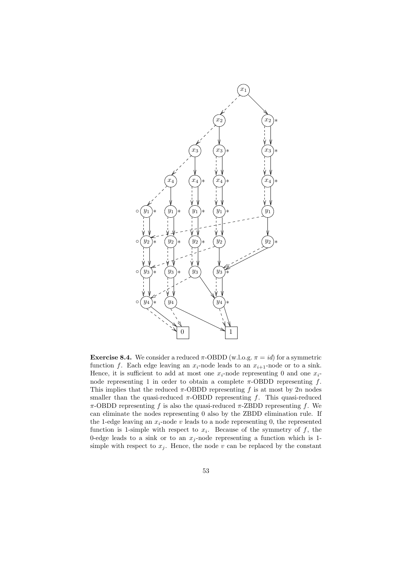

**Exercise 8.4.** We consider a reduced  $\pi$ -OBDD (w.l.o.g.  $\pi = id$ ) for a symmetric function f. Each edge leaving an  $x_i$ -node leads to an  $x_{i+1}$ -node or to a sink. Hence, it is sufficient to add at most one  $x_i$ -node representing 0 and one  $x_i$ node representing 1 in order to obtain a complete  $\pi$ -OBDD representing f. This implies that the reduced  $\pi$ -OBDD representing f is at most by 2n nodes smaller than the quasi-reduced  $\pi$ -OBDD representing f. This quasi-reduced π-OBDD representing f is also the quasi-reduced π-ZBDD representing f. We can eliminate the nodes representing 0 also by the ZBDD elimination rule. If the 1-edge leaving an  $x_i$ -node v leads to a node representing 0, the represented function is 1-simple with respect to  $x_i$ . Because of the symmetry of f, the 0-edge leads to a sink or to an  $x_j$ -node representing a function which is 1simple with respect to  $x_j$ . Hence, the node v can be replaced by the constant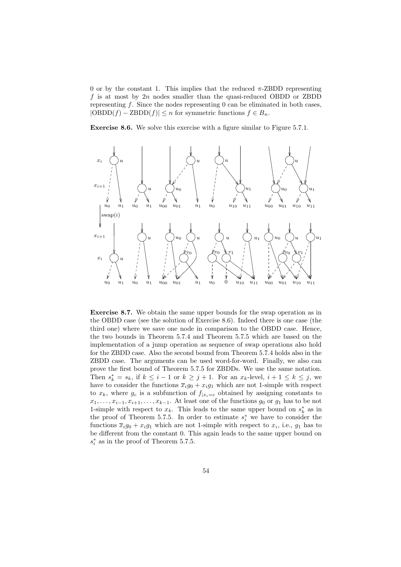0 or by the constant 1. This implies that the reduced  $\pi$ -ZBDD representing f is at most by  $2n$  nodes smaller than the quasi-reduced OBDD or ZBDD representing  $f$ . Since the nodes representing  $0$  can be eliminated in both cases,  $|\text{OBDD}(f) - \text{ZBDD}(f)| \leq n$  for symmetric functions  $f \in B_n$ .

Exercise 8.6. We solve this exercise with a figure similar to Figure 5.7.1.



Exercise 8.7. We obtain the same upper bounds for the swap operation as in the OBDD case (see the solution of Exercise 8.6). Indeed there is one case (the third one) where we save one node in comparison to the OBDD case. Hence, the two bounds in Theorem 5.7.4 and Theorem 5.7.5 which are based on the implementation of a jump operation as sequence of swap operations also hold for the ZBDD case. Also the second bound from Theorem 5.7.4 holds also in the ZBDD case. The arguments can be used word-for-word. Finally, we also can prove the first bound of Theorem 5.7.5 for ZBDDs. We use the same notation. Then  $s_k^* = s_k$ , if  $k \leq i - 1$  or  $k \geq j + 1$ . For an  $x_k$ -level,  $i + 1 \leq k \leq j$ , we have to consider the functions  $\overline{x}_i g_0 + x_i g_1$  which are not 1-simple with respect to  $x_k$ , where  $g_c$  is a subfunction of  $f_{x_i=c}$  obtained by assigning constants to  $x_1, \ldots, x_{i-1}, x_{i+1}, \ldots, x_{k-1}$ . At least one of the functions  $g_0$  or  $g_1$  has to be not 1-simple with respect to  $x_k$ . This leads to the same upper bound on  $s_k^*$  as in the proof of Theorem 5.7.5. In order to estimate  $s_i^*$  we have to consider the functions  $\overline{x}_i g_0 + x_i g_1$  which are not 1-simple with respect to  $x_i$ , i.e.,  $g_1$  has to be different from the constant 0. This again leads to the same upper bound on  $s_i^*$  as in the proof of Theorem 5.7.5.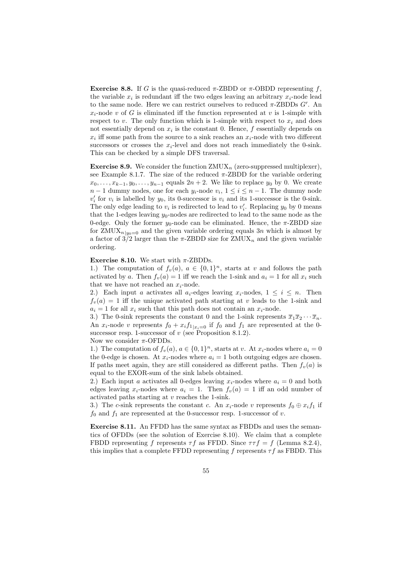Exercise 8.8. If G is the quasi-reduced  $\pi$ -ZBDD or  $\pi$ -OBDD representing f, the variable  $x_i$  is redundant iff the two edges leaving an arbitrary  $x_i$ -node lead to the same node. Here we can restrict ourselves to reduced  $\pi$ -ZBDDs  $G'$ . An  $x_i$ -node v of G is eliminated iff the function represented at v is 1-simple with respect to v. The only function which is 1-simple with respect to  $x_i$  and does not essentially depend on  $x_i$  is the constant 0. Hence,  $f$  essentially depends on  $x_i$  iff some path from the source to a sink reaches an  $x_i$ -node with two different successors or crosses the  $x_i$ -level and does not reach immediately the 0-sink. This can be checked by a simple DFS traversal.

**Exercise 8.9.** We consider the function  $ZMUX_n$  (zero-suppressed multiplexer), see Example 8.1.7. The size of the reduced  $\pi$ -ZBDD for the variable ordering  $x_0, \ldots, x_{k-1}, y_0, \ldots, y_{n-1}$  equals  $2n + 2$ . We like to replace  $y_0$  by 0. We create  $n-1$  dummy nodes, one for each  $y_i$ -node  $v_i$ ,  $1 \leq i \leq n-1$ . The dummy node  $v_i'$  for  $v_i$  is labelled by  $y_0$ , its 0-successor is  $v_i$  and its 1-successor is the 0-sink. The only edge leading to  $v_i$  is redirected to lead to  $v'_i$ . Replacing  $y_0$  by 0 means that the 1-edges leaving  $y_0$ -nodes are redirected to lead to the same node as the 0-edge. Only the former  $y_0$ -node can be eliminated. Hence, the  $\pi$ -ZBDD size for  $ZMUX_{n|y_0=0}$  and the given variable ordering equals  $3n$  which is almost by a factor of  $3/2$  larger than the  $\pi$ -ZBDD size for ZMUX<sub>n</sub> and the given variable ordering.

#### Exercise 8.10. We start with  $\pi$ -ZBDDs.

1.) The computation of  $f_v(a)$ ,  $a \in \{0,1\}^n$ , starts at v and follows the path activated by a. Then  $f_v(a) = 1$  iff we reach the 1-sink and  $a_i = 1$  for all  $x_i$  such that we have not reached an  $x_i$ -node.

2.) Each input a activates all  $a_i$ -edges leaving  $x_i$ -nodes,  $1 \leq i \leq n$ . Then  $f_v(a) = 1$  iff the unique activated path starting at v leads to the 1-sink and  $a_i = 1$  for all  $x_i$  such that this path does not contain an  $x_i$ -node.

3.) The 0-sink represents the constant 0 and the 1-sink represents  $\overline{x}_1\overline{x}_2\cdots\overline{x}_n$ . An  $x_i$ -node v represents  $f_0 + x_i f_{1|x_i=0}$  if  $f_0$  and  $f_1$  are represented at the 0successor resp. 1-successor of  $v$  (see Proposition 8.1.2). Now we consider  $\pi$ -OFDDs.

1.) The computation of  $f_v(a)$ ,  $a \in \{0,1\}^n$ , starts at v. At  $x_i$ -nodes where  $a_i = 0$ the 0-edge is chosen. At  $x_i$ -nodes where  $a_i = 1$  both outgoing edges are chosen. If paths meet again, they are still considered as different paths. Then  $f_n(a)$  is equal to the EXOR-sum of the sink labels obtained.

2.) Each input a activates all 0-edges leaving  $x_i$ -nodes where  $a_i = 0$  and both edges leaving  $x_i$ -nodes where  $a_i = 1$ . Then  $f_v(a) = 1$  iff an odd number of activated paths starting at v reaches the 1-sink.

3.) The c-sink represents the constant c. An  $x_i$ -node v represents  $f_0 \oplus x_i f_1$  if  $f_0$  and  $f_1$  are represented at the 0-successor resp. 1-successor of v.

Exercise 8.11. An FFDD has the same syntax as FBDDs and uses the semantics of OFDDs (see the solution of Exercise 8.10). We claim that a complete FBDD representing f represents  $\tau f$  as FFDD. Since  $\tau \tau f = f$  (Lemma 8.2.4), this implies that a complete FFDD representing f represents  $\tau f$  as FBDD. This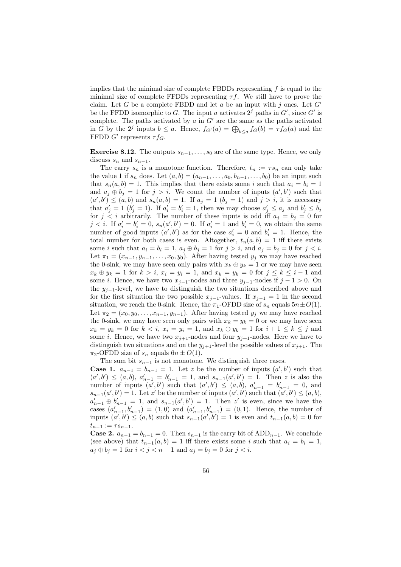implies that the minimal size of complete FBDDs representing  $f$  is equal to the minimal size of complete FFDDs representing  $\tau f$ . We still have to prove the claim. Let G be a complete FBDD and let a be an input with j ones. Let  $G'$ be the FFDD isomorphic to G. The input a activates  $2<sup>j</sup>$  paths in  $G'$ , since  $G'$  is complete. The paths activated by  $a$  in  $G'$  are the same as the paths activated in G by the 2<sup>j</sup> inputs  $b \le a$ . Hence,  $f_{G'}(a) = \bigoplus_{b \le a} f_G(b) = \tau f_G(a)$  and the FFDD  $G'$  represents  $\tau f_G$ .

**Exercise 8.12.** The outputs  $s_{n-1}, \ldots, s_0$  are of the same type. Hence, we only discuss  $s_n$  and  $s_{n-1}$ .

The carry  $s_n$  is a monotone function. Therefore,  $t_n := \tau s_n$  can only take the value 1 if  $s_n$  does. Let  $(a, b) = (a_{n-1}, \ldots, a_0, b_{n-1}, \ldots, b_0)$  be an input such that  $s_n(a, b) = 1$ . This implies that there exists some i such that  $a_i = b_i = 1$ and  $a_j \oplus b_j = 1$  for  $j > i$ . We count the number of inputs  $(a', b')$  such that  $(a', b') \leq (a, b)$  and  $s_n(a, b) = 1$ . If  $a_j = 1$   $(b_j = 1)$  and  $j > i$ , it is necessary that  $a'_j = 1$   $(b'_j = 1)$ . If  $a'_i = b'_i = 1$ , then we may choose  $a'_j \le a_j$  and  $b'_j \le b_j$ for  $j \lt i$  arbitrarily. The number of these inputs is odd iff  $a_j = b_j = 0$  for  $j < i$ . If  $a'_i = b'_i = 0$ ,  $s_n(a', b') = 0$ . If  $a'_i = 1$  and  $b'_i = 0$ , we obtain the same number of good inputs  $(a', b')$  as for the case  $a'_i = 0$  and  $b'_i = 1$ . Hence, the total number for both cases is even. Altogether,  $t_n(a, b) = 1$  iff there exists some i such that  $a_i = b_i = 1$ ,  $a_j \oplus b_j = 1$  for  $j > i$ , and  $a_j = b_j = 0$  for  $j < i$ . Let  $\pi_1 = (x_{n-1}, y_{n-1}, \ldots, x_0, y_0)$ . After having tested  $y_j$  we may have reached the 0-sink, we may have seen only pairs with  $x_k \oplus y_k = 1$  or we may have seen  $x_k \oplus y_k = 1$  for  $k > i$ ,  $x_i = y_i = 1$ , and  $x_k = y_k = 0$  for  $j \le k \le i - 1$  and some *i*. Hence, we have two  $x_{i-1}$ -nodes and three  $y_{i-1}$ -nodes if  $j-1>0$ . On the  $y_{j-1}$ -level, we have to distinguish the two situations described above and for the first situation the two possible  $x_{j-1}$ -values. If  $x_{j-1} = 1$  in the second situation, we reach the 0-sink. Hence, the  $\pi_1$ -OFDD size of  $s_n$  equals  $5n \pm O(1)$ . Let  $\pi_2 = (x_0, y_0, \ldots, x_{n-1}, y_{n-1})$ . After having tested  $y_j$  we may have reached the 0-sink, we may have seen only pairs with  $x_k = y_k = 0$  or we may have seen  $x_k = y_k = 0$  for  $k < i$ ,  $x_i = y_i = 1$ , and  $x_k \oplus y_k = 1$  for  $i + 1 \leq k \leq j$  and some *i*. Hence, we have two  $x_{j+1}$ -nodes and four  $y_{j+1}$ -nodes. Here we have to distinguish two situations and on the  $y_{j+1}$ -level the possible values of  $x_{j+1}$ . The  $\pi_2$ -OFDD size of  $s_n$  equals  $6n \pm O(1)$ .

The sum bit  $s_{n-1}$  is not monotone. We distinguish three cases.

**Case 1.**  $a_{n-1} = b_{n-1} = 1$ . Let z be the number of inputs  $(a', b')$  such that  $(a',b') \leq (a,b), a'_{n-1} = b'_{n-1} = 1$ , and  $s_{n-1}(a',b') = 1$ . Then z is also the number of inputs  $(a', b')$  such that  $(a', b') \leq (a, b), a'_{n-1} = b'_{n-1} = 0$ , and  $s_{n-1}(a', b') = 1$ . Let z' be the number of inputs  $(a', b')$  such that  $(a', b') \leq (a, b)$ ,  $a'_{n-1} \oplus b'_{n-1} = 1$ , and  $s_{n-1}(a', b') = 1$ . Then z' is even, since we have the cases  $(a'_{n-1}, b'_{n-1}) = (1, 0)$  and  $(a'_{n-1}, b'_{n-1}) = (0, 1)$ . Hence, the number of inputs  $(a', b') \leq (a, b)$  such that  $s_{n-1}(a', b') = 1$  is even and  $t_{n-1}(a, b) = 0$  for  $t_{n-1} := \tau s_{n-1}.$ 

**Case 2.**  $a_{n-1} = b_{n-1} = 0$ . Then  $s_{n-1}$  is the carry bit of ADD<sub>n−1</sub>. We conclude (see above) that  $t_{n-1}(a, b) = 1$  iff there exists some i such that  $a_i = b_i = 1$ ,  $a_j \oplus b_j = 1$  for  $i < j < n - 1$  and  $a_j = b_j = 0$  for  $j < i$ .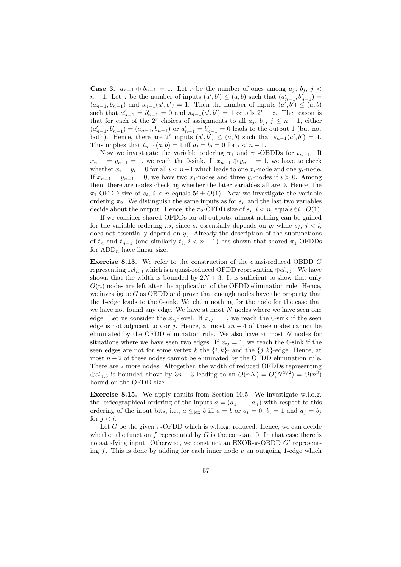**Case 3.**  $a_{n-1} \oplus b_{n-1} = 1$ . Let r be the number of ones among  $a_j$ ,  $b_j$ , j <  $n-1$ . Let z be the number of inputs  $(a',b') \leq (a,b)$  such that  $(a'_{n-1},b'_{n-1}) =$  $(a_{n-1}, b_{n-1})$  and  $s_{n-1}(a', b') = 1$ . Then the number of inputs  $(a', b') \leq (a, b)$ such that  $a'_{n-1} = b'_{n-1} = 0$  and  $s_{n-1}(a', b') = 1$  equals  $2^r - z$ . The reason is that for each of the 2<sup>*r*</sup> choices of assignments to all  $a_j$ ,  $b_j$ ,  $j \leq n-1$ , either  $(a'_{n-1}, b'_{n-1}) = (a_{n-1}, b_{n-1})$  or  $a'_{n-1} = b'_{n-1} = 0$  leads to the output 1 (but not both). Hence, there are  $2^r$  inputs  $(a',b') \leq (a,b)$  such that  $s_{n-1}(a',b') = 1$ . This implies that  $t_{n-1}(a, b) = 1$  iff  $a_i = b_i = 0$  for  $i < n - 1$ .

Now we investigate the variable ordering  $\pi_1$  and  $\pi_1$ -OBDDs for  $t_{n-1}$ . If  $x_{n-1} = y_{n-1} = 1$ , we reach the 0-sink. If  $x_{n-1} \oplus y_{n-1} = 1$ , we have to check whether  $x_i = y_i = 0$  for all  $i < n-1$  which leads to one  $x_i$ -node and one  $y_i$ -node. If  $x_{n-1} = y_{n-1} = 0$ , we have two  $x_i$ -nodes and three  $y_i$ -nodes if  $i > 0$ . Among them there are nodes checking whether the later variables all are 0. Hence, the  $\pi_1$ -OFDD size of  $s_i$ ,  $i < n$  equals  $5i \pm O(1)$ . Now we investigate the variable ordering  $\pi_2$ . We distinguish the same inputs as for  $s_n$  and the last two variables decide about the output. Hence, the  $\pi_2$ -OFDD size of  $s_i, i < n$ , equals  $6i \pm O(1)$ .

If we consider shared OFDDs for all outputs, almost nothing can be gained for the variable ordering  $\pi_2$ , since  $s_i$  essentially depends on  $y_i$  while  $s_j$ ,  $j < i$ , does not essentially depend on  $y_i$ . Already the description of the subfunctions of  $t_n$  and  $t_{n-1}$  (and similarly  $t_i$ ,  $i < n-1$ ) has shown that shared  $\pi_1$ -OFDDs for  $ADD_n$  have linear size.

Exercise 8.13. We refer to the construction of the quasi-reduced OBDD G representing  $1cl_{n,3}$  which is a quasi-reduced OFDD representing  $\oplus cl_{n,3}$ . We have shown that the width is bounded by  $2N + 3$ . It is sufficient to show that only  $O(n)$  nodes are left after the application of the OFDD elimination rule. Hence, we investigate  $G$  as OBDD and prove that enough nodes have the property that the 1-edge leads to the 0-sink. We claim nothing for the node for the case that we have not found any edge. We have at most  $N$  nodes where we have seen one edge. Let us consider the  $x_{ij}$ -level. If  $x_{ij} = 1$ , we reach the 0-sink if the seen edge is not adjacent to i or j. Hence, at most  $2n-4$  of these nodes cannot be eliminated by the OFDD elimination rule. We also have at most N nodes for situations where we have seen two edges. If  $x_{ij} = 1$ , we reach the 0-sink if the seen edges are not for some vertex k the  $\{i, k\}$ - and the  $\{j, k\}$ -edge. Hence, at most  $n-2$  of these nodes cannot be eliminated by the OFDD elimination rule. There are 2 more nodes. Altogether, the width of reduced OFDDs representing  $\oplus cl_{n,3}$  is bounded above by  $3n-3$  leading to an  $O(nN) = O(N^{3/2}) = O(n^3)$ bound on the OFDD size.

Exercise 8.15. We apply results from Section 10.5. We investigate w.l.o.g. the lexicographical ordering of the inputs  $a = (a_1, \ldots, a_n)$  with respect to this ordering of the input bits, i.e.,  $a \leq_{\text{lex}} b$  iff  $a = b$  or  $a_i = 0$ ,  $b_i = 1$  and  $a_j = b_j$ for  $j < i$ .

Let G be the given  $\pi$ -OFDD which is w.l.o.g. reduced. Hence, we can decide whether the function f represented by  $G$  is the constant 0. In that case there is no satisfying input. Otherwise, we construct an  $EXOR-\pi$ -OBDD  $G'$  representing f. This is done by adding for each inner node  $v$  an outgoing 1-edge which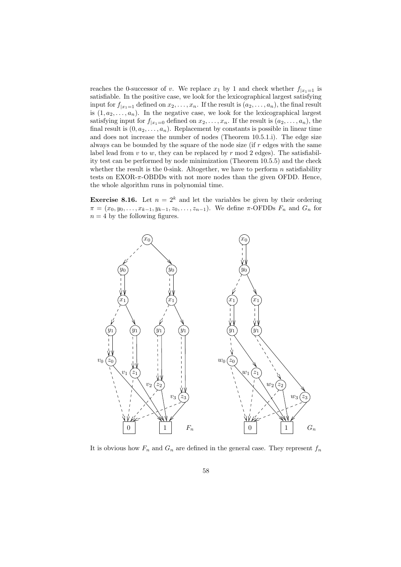reaches the 0-successor of v. We replace  $x_1$  by 1 and check whether  $f_{|x_1=1}$  is satisfiable. In the positive case, we look for the lexicographical largest satisfying input for  $f_{|x_1=1}$  defined on  $x_2, \ldots, x_n$ . If the result is  $(a_2, \ldots, a_n)$ , the final result is  $(1, a_2, \ldots, a_n)$ . In the negative case, we look for the lexicographical largest satisfying input for  $f_{|x_1=0}$  defined on  $x_2, \ldots, x_n$ . If the result is  $(a_2, \ldots, a_n)$ , the final result is  $(0, a_2, \ldots, a_n)$ . Replacement by constants is possible in linear time and does not increase the number of nodes (Theorem 10.5.1.i). The edge size always can be bounded by the square of the node size (if r edges with the same label lead from  $v$  to  $w$ , they can be replaced by  $r \mod 2$  edges). The satisfiability test can be performed by node minimization (Theorem 10.5.5) and the check whether the result is the 0-sink. Altogether, we have to perform  $n$  satisfiability tests on EXOR-π-OBDDs with not more nodes than the given OFDD. Hence, the whole algorithm runs in polynomial time.

**Exercise 8.16.** Let  $n = 2^k$  and let the variables be given by their ordering  $\pi = (x_0, y_0, \ldots, x_{k-1}, y_{k-1}, z_0, \ldots, z_{n-1})$ . We define  $\pi$ -OFDDs  $F_n$  and  $G_n$  for  $n = 4$  by the following figures.



It is obvious how  $F_n$  and  $G_n$  are defined in the general case. They represent  $f_n$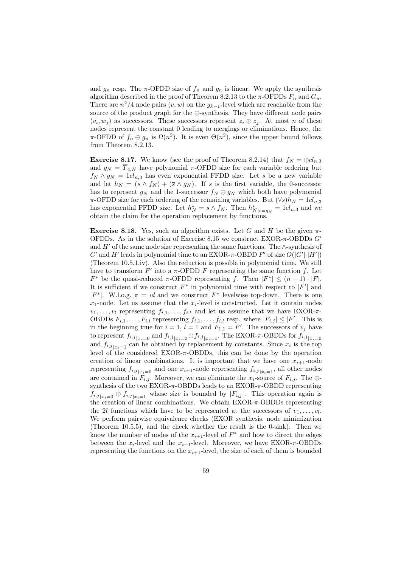and  $g_n$  resp. The  $\pi$ -OFDD size of  $f_n$  and  $g_n$  is linear. We apply the synthesis algorithm described in the proof of Theorem 8.2.13 to the  $\pi$ -OFDDs  $F_n$  and  $G_n$ . There are  $n^2/4$  node pairs  $(v, w)$  on the  $y_{k-1}$ -level which are reachable from the source of the product graph for the ⊕-synthesis. They have different node pairs  $(v_i, w_j)$  as successors. These successors represent  $z_i \oplus z_j$ . At most n of these nodes represent the constant 0 leading to mergings or eliminations. Hence, the  $\pi$ -OFDD of  $f_n \oplus g_n$  is  $\Omega(n^2)$ . It is even  $\Theta(n^2)$ , since the upper bound follows from Theorem 8.2.13.

**Exercise 8.17.** We know (see the proof of Theorem 8.2.14) that  $f_N = \bigoplus c l_{n,3}$ and  $g_N = \overline{T}_{4,N}$  have polynomial  $\pi$ -OFDD size for each variable ordering but  $f_N \wedge g_N = 1c l_{n,3}$  has even exponential FFDD size. Let s be a new variable and let  $h_N = (s \wedge f_N) + (\overline{s} \wedge g_N)$ . If s is the first variable, the 0-successor has to represent  $g_N$  and the 1-successor  $f_N \oplus g_N$  which both have polynomial  $\pi$ -OFDD size for each ordering of the remaining variables. But  $(\forall s)h_N = 1cl_{n,3}$ has exponential FFDD size. Let  $h_N^* = s \wedge f_N$ . Then  $h_{N|s=g_N}^* = 1cl_{n,3}$  and we obtain the claim for the operation replacement by functions.

Exercise 8.18. Yes, such an algorithm exists. Let G and H be the given  $\pi$ -OFDDs. As in the solution of Exercise 8.15 we construct EXOR- $\pi$ -OBDDs  $G'$ and  $H'$  of the same node size representing the same functions. The ∧-synthesis of  $G'$  and  $H'$  leads in polynomial time to an EXOR- $\pi$ -OBDD  $F'$  of size  $O(|G'|\cdot |H'|)$ (Theorem 10.5.1.iv). Also the reduction is possible in polynomial time. We still have to transform  $F'$  into a  $\pi$ -OFDD F representing the same function f. Let  $F^*$  be the quasi-reduced  $\pi$ -OFDD representing f. Then  $|F^*| \leq (n+1) \cdot |F|$ . It is sufficient if we construct  $F^*$  in polynomial time with respect to  $|F'|$  and | $F^*$ |. W.l.o.g.  $\pi = id$  and we construct  $F^*$  levelwise top-down. There is one  $x_1$ -node. Let us assume that the  $x_i$ -level is constructed. Let it contain nodes  $v_1, \ldots, v_l$  representing  $f_{i,1}, \ldots, f_{i,l}$  and let us assume that we have EXOR- $\pi$ -OBDDs  $F_{i,1}, \ldots, F_{i,l}$  representing  $f_{i,1}, \ldots, f_{i,l}$  resp. where  $|F_{i,j}| \leq |F'|$ . This is in the beginning true for  $i = 1$ ,  $l = 1$  and  $F_{1,1} = F'$ . The successors of  $v_j$  have to represent  $f_{i,j}|_{x_i=0}$  and  $f_{i,j}|_{x_i=0} \oplus f_{i,j}|_{x_i=1}$ . The EXOR- $\pi$ -OBDDs for  $f_{i,j}|_{x_i=0}$ and  $f_{i,j}|_{x_i=1}$  can be obtained by replacement by constants. Since  $x_i$  is the top level of the considered  $EXOR-\pi$ -OBDDs, this can be done by the operation creation of linear combinations. It is important that we have one  $x_{i+1}$ -node representing  $f_{i,j}|_{x_i=0}$  and one  $x_{i+1}$ -node representing  $f_{i,j}|_{x_i=1}$ , all other nodes are contained in  $F_{i,j}$ . Moreover, we can eliminate the  $x_i$ -source of  $F_{i,j}$ . The  $\oplus$ synthesis of the two EXOR- $\pi$ -OBDDs leads to an EXOR- $\pi$ -OBDD representing  $f_{i,j}|_{x_i=0} \oplus f_{i,j}|_{x_i=1}$  whose size is bounded by  $|F_{i,j}|$ . This operation again is the creation of linear combinations. We obtain  $EXOR-\pi$ -OBDDs representing the 2l functions which have to be represented at the successors of  $v_1, \ldots, v_l$ . We perform pairwise equivalence checks (EXOR synthesis, node minimization (Theorem 10.5.5), and the check whether the result is the 0-sink). Then we know the number of nodes of the  $x_{i+1}$ -level of  $F^*$  and how to direct the edges between the  $x_i$ -level and the  $x_{i+1}$ -level. Moreover, we have EXOR- $\pi$ -OBDDs representing the functions on the  $x_{i+1}$ -level, the size of each of them is bounded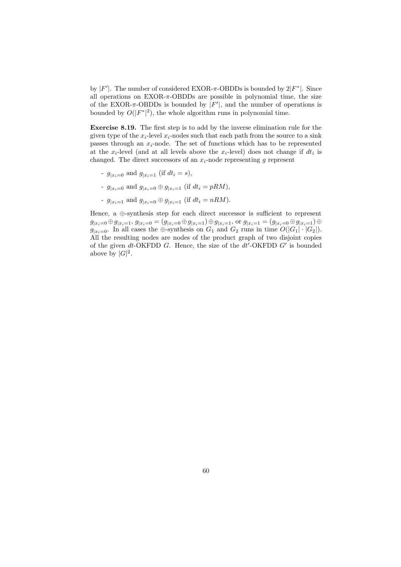by  $|F'|$ . The number of considered EXOR- $\pi$ -OBDDs is bounded by  $2|F^*|$ . Since all operations on EXOR- $\pi$ -OBDDs are possible in polynomial time, the size of the EXOR- $\pi$ -OBDDs is bounded by  $|F'|$ , and the number of operations is bounded by  $O(|F^*|^2)$ , the whole algorithm runs in polynomial time.

Exercise 8.19. The first step is to add by the inverse elimination rule for the given type of the  $x_i$ -level  $x_i$ -nodes such that each path from the source to a sink passes through an  $x_i$ -node. The set of functions which has to be represented at the  $x_i$ -level (and at all levels above the  $x_i$ -level) does not change if  $dt_i$  is changed. The direct successors of an  $x_i$ -node representing g represent

- $g_{x_i=0}$  and  $g_{x_i=1}$  (if  $dt_i = s$ ),
- $g_{|x_i=0}$  and  $g_{|x_i=0} \oplus g_{|x_i=1}$  (if  $dt_i = pRM$ ),
- $g_{x_i=1}$  and  $g_{x_i=0} \oplus g_{x_i=1}$  (if  $dt_i = nRM$ ).

Hence, a ⊕-synthesis step for each direct successor is sufficient to represent  $g_{|x_i=0} \oplus g_{|x_i=1}, g_{|x_i=0} = (g_{|x_i=0} \oplus g_{|x_i=1}) \oplus g_{|x_i=1}, \text{or } g_{|x_i=1} = (g_{|x_i=0} \oplus g_{|x_i=1}) \oplus g_{|x_i=0}$  $g_{|x_i=0}$ . In all cases the ⊕-synthesis on  $G_1$  and  $G_2$  runs in time  $O(|G_1| \cdot |G_2|)$ . All the resulting nodes are nodes of the product graph of two disjoint copies of the given dt-OKFDD G. Hence, the size of the  $dt'$ -OKFDD  $G'$  is bounded above by  $|G|^2$ .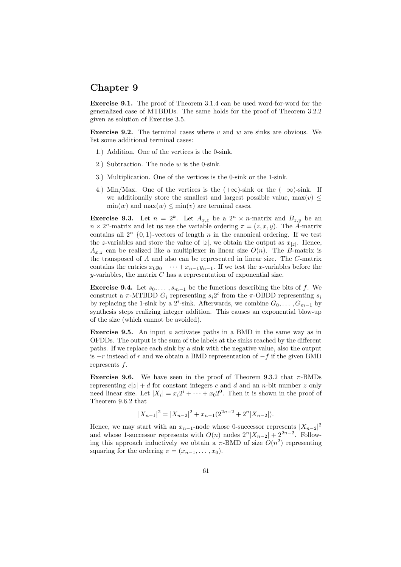## Chapter 9

Exercise 9.1. The proof of Theorem 3.1.4 can be used word-for-word for the generalized case of MTBDDs. The same holds for the proof of Theorem 3.2.2 given as solution of Exercise 3.5.

**Exercise 9.2.** The terminal cases where v and w are sinks are obvious. We list some additional terminal cases:

- 1.) Addition. One of the vertices is the 0-sink.
- 2.) Subtraction. The node  $w$  is the 0-sink.
- 3.) Multiplication. One of the vertices is the 0-sink or the 1-sink.
- 4.) Min/Max. One of the vertices is the  $(+\infty)$ -sink or the  $(-\infty)$ -sink. If we additionally store the smallest and largest possible value,  $\max(v)$  <  $\min(w)$  and  $\max(w) \leq \min(v)$  are terminal cases.

**Exercise 9.3.** Let  $n = 2^k$ . Let  $A_{x,z}$  be a  $2^n \times n$ -matrix and  $B_{z,y}$  be an  $n \times 2^n$ -matrix and let us use the variable ordering  $\pi = (z, x, y)$ . The A-matrix contains all  $2^n$   $\{0,1\}$ -vectors of length n in the canonical ordering. If we test the z-variables and store the value of  $|z|$ , we obtain the output as  $x_{|z|}$ . Hence,  $A_{x,z}$  can be realized like a multiplexer in linear size  $O(n)$ . The B-matrix is the transposed of A and also can be represented in linear size. The C-matrix contains the entries  $x_0y_0 + \cdots + x_{n-1}y_{n-1}$ . If we test the x-variables before the  $y$ -variables, the matrix  ${\cal C}$  has a representation of exponential size.

**Exercise 9.4.** Let  $s_0, \ldots, s_{m-1}$  be the functions describing the bits of f. We construct a  $\pi$ -MTBDD  $G_i$  representing  $s_i 2^i$  from the  $\pi$ -OBDD representing  $s_i$ by replacing the 1-sink by a 2<sup>*i*</sup>-sink. Afterwards, we combine  $G_0, \ldots, G_{m-1}$  by synthesis steps realizing integer addition. This causes an exponential blow-up of the size (which cannot be avoided).

Exercise 9.5. An input a activates paths in a BMD in the same way as in OFDDs. The output is the sum of the labels at the sinks reached by the different paths. If we replace each sink by a sink with the negative value, also the output is  $-r$  instead of r and we obtain a BMD representation of  $-f$  if the given BMD represents f.

Exercise 9.6. We have seen in the proof of Theorem 9.3.2 that  $\pi$ -BMDs representing  $c|z| + d$  for constant integers c and d and an n-bit number z only need linear size. Let  $|X_i| = x_i 2^i + \cdots + x_0 2^0$ . Then it is shown in the proof of Theorem 9.6.2 that

$$
|X_{n-1}|^2 = |X_{n-2}|^2 + x_{n-1}(2^{2n-2} + 2^n |X_{n-2}|).
$$

Hence, we may start with an  $x_{n-1}$ -node whose 0-successor represents  $|X_{n-2}|^2$ and whose 1-successor represents with  $O(n)$  nodes  $2^{n}|X_{n-2}| + 2^{2n-2}$ . Following this approach inductively we obtain a  $\pi$ -BMD of size  $O(n^2)$  representing squaring for the ordering  $\pi = (x_{n-1}, \ldots, x_0)$ .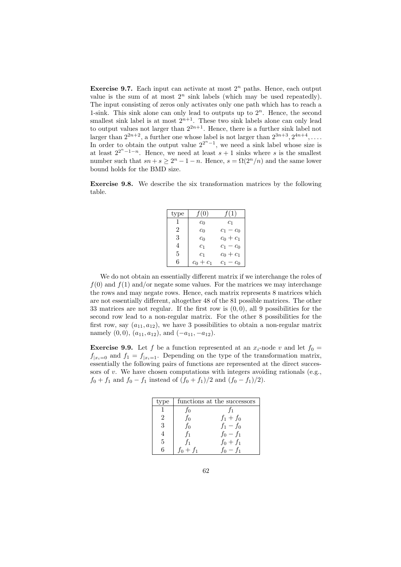**Exercise 9.7.** Each input can activate at most  $2^n$  paths. Hence, each output value is the sum of at most  $2^n$  sink labels (which may be used repeatedly). The input consisting of zeros only activates only one path which has to reach a 1-sink. This sink alone can only lead to outputs up to  $2<sup>n</sup>$ . Hence, the second smallest sink label is at most  $2^{n+1}$ . These two sink labels alone can only lead to output values not larger than  $2^{2n+1}$ . Hence, there is a further sink label not larger than  $2^{2n+2}$ , a further one whose label is not larger than  $2^{3n+3}$ ,  $2^{4n+4}$ , ... In order to obtain the output value  $2^{2^{n}-1}$ , we need a sink label whose size is at least  $2^{2^{n}-1-n}$ . Hence, we need at least  $s+1$  sinks where s is the smallest number such that  $sn + s \geq 2^n - 1 - n$ . Hence,  $s = \Omega(2^n/n)$  and the same lower bound holds for the BMD size.

Exercise 9.8. We describe the six transformation matrices by the following table.

| type | (0)            | (1)         |
|------|----------------|-------------|
|      | $c_0$          | $c_{1}$     |
| 2    | c <sub>0</sub> | $c_1 - c_0$ |
| 3    | $c_0$          | $c_0 + c_1$ |
|      | c <sub>1</sub> | $c_1 - c_0$ |
| 5    | c <sub>1</sub> | $c_0 + c_1$ |
| ĥ    | $+ c_1$<br>Сc  | $c_1 -$     |

We do not obtain an essentially different matrix if we interchange the roles of  $f(0)$  and  $f(1)$  and/or negate some values. For the matrices we may interchange the rows and may negate rows. Hence, each matrix represents 8 matrices which are not essentially different, altogether 48 of the 81 possible matrices. The other 33 matrices are not regular. If the first row is  $(0, 0)$ , all 9 possibilities for the second row lead to a non-regular matrix. For the other 8 possibilities for the first row, say  $(a_{11}, a_{12})$ , we have 3 possibilities to obtain a non-regular matrix namely  $(0, 0)$ ,  $(a_{11}, a_{12})$ , and  $(-a_{11}, -a_{12})$ .

**Exercise 9.9.** Let f be a function represented at an  $x_i$ -node v and let  $f_0 =$  $f_{|x_i=0}$  and  $f_1 = f_{|x_i=1}$ . Depending on the type of the transformation matrix, essentially the following pairs of functions are represented at the direct successors of v. We have chosen computations with integers avoiding rationals (e.g.,  $f_0 + f_1$  and  $f_0 - f_1$  instead of  $(f_0 + f_1)/2$  and  $(f_0 - f_1)/2$ .

| type          |         | functions at the successors |
|---------------|---------|-----------------------------|
|               | T٥      |                             |
| $\mathcal{D}$ | fо      | $f_1 + f_0$                 |
| 3             | fо      | $f_1-f_0$                   |
|               | Ť1      | $f_0-f_1$                   |
| 5             | T1      | $f_0 + f_1$                 |
| հ             | $+ f_1$ | $- f_1$                     |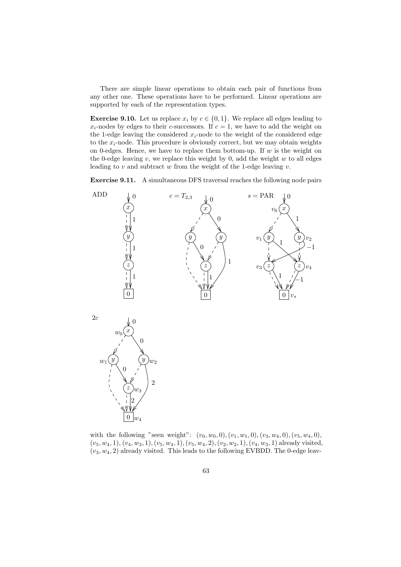There are simple linear operations to obtain each pair of functions from any other one. These operations have to be performed. Linear operations are supported by each of the representation types.

**Exercise 9.10.** Let us replace  $x_i$  by  $c \in \{0, 1\}$ . We replace all edges leading to  $x_i$ -nodes by edges to their c-successors. If  $c = 1$ , we have to add the weight on the 1-edge leaving the considered  $x_i$ -node to the weight of the considered edge to the  $x_i$ -node. This procedure is obviously correct, but we may obtain weights on 0-edges. Hence, we have to replace them bottom-up. If  $w$  is the weight on the 0-edge leaving  $v$ , we replace this weight by 0, add the weight  $w$  to all edges leading to  $v$  and subtract  $w$  from the weight of the 1-edge leaving  $v$ .

Exercise 9.11. A simultaneous DFS traversal reaches the following node pairs



with the following "seen weight":  $(v_0, w_0, 0), (v_1, w_1, 0), (v_3, w_4, 0), (v_5, w_4, 0),$  $(v_5, w_4, 1), (v_4, w_3, 1), (v_5, w_4, 1), (v_5, w_4, 2), (v_2, w_2, 1), (v_4, w_3, 1)$  already visited,  $(v_3, w_4, 2)$  already visited. This leads to the following EVBDD. The 0-edge leav-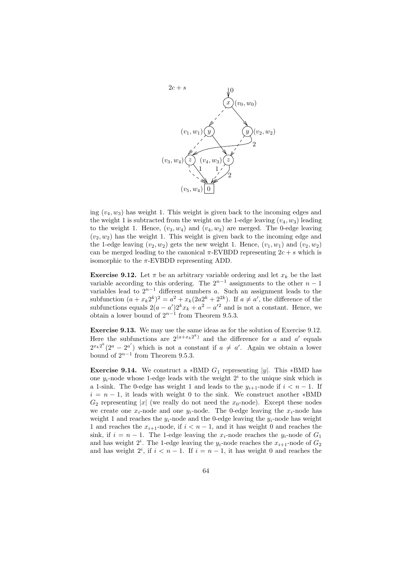

ing  $(v_4, w_3)$  has weight 1. This weight is given back to the incoming edges and the weight 1 is subtracted from the weight on the 1-edge leaving  $(v_4, w_3)$  leading to the weight 1. Hence,  $(v_3, w_4)$  and  $(v_4, w_3)$  are merged. The 0-edge leaving  $(v_2, w_2)$  has the weight 1. This weight is given back to the incoming edge and the 1-edge leaving  $(v_2, w_2)$  gets the new weight 1. Hence,  $(v_1, w_1)$  and  $(v_2, w_2)$ can be merged leading to the canonical  $\pi$ -EVBDD representing  $2c + s$  which is isomorphic to the  $\pi$ -EVBDD representing ADD.

**Exercise 9.12.** Let  $\pi$  be an arbitrary variable ordering and let  $x_k$  be the last variable according to this ordering. The  $2^{n-1}$  assignments to the other  $n-1$ variables lead to  $2^{n-1}$  different numbers a. Such an assignment leads to the subfunction  $(a+x_k 2^k)^2 = a^2 + x_k(2a2^k + 2^{2k})$ . If  $a \neq a'$ , the difference of the subfunctions equals  $2(a - a')2^k x_k + a^2 - a'^2$  and is not a constant. Hence, we obtain a lower bound of  $2^{n-1}$  from Theorem 9.5.3.

Exercise 9.13. We may use the same ideas as for the solution of Exercise 9.12. Here the subfunctions are  $2^{(a+x_k2^k)}$  and the difference for a and a' equals  $2^{x_k 2^k} (2^a - 2^{a'})$  which is not a constant if  $a \neq a'$ . Again we obtain a lower bound of  $2^{n-1}$  from Theorem 9.5.3.

**Exercise 9.14.** We construct a \*BMD  $G_1$  representing |y|. This \*BMD has one  $y_i$ -node whose 1-edge leads with the weight  $2^i$  to the unique sink which is a 1-sink. The 0-edge has weight 1 and leads to the  $y_{i+1}$ -node if  $i < n - 1$ . If  $i = n - 1$ , it leads with weight 0 to the sink. We construct another \*BMD  $G_2$  representing |x| (we really do not need the  $x_0$ -node). Except these nodes we create one  $x_i$ -node and one  $y_i$ -node. The 0-edge leaving the  $x_i$ -node has weight 1 and reaches the  $y_i$ -node and the 0-edge leaving the  $y_i$ -node has weight 1 and reaches the  $x_{i+1}$ -node, if  $i < n-1$ , and it has weight 0 and reaches the sink, if  $i = n - 1$ . The 1-edge leaving the  $x_i$ -node reaches the  $y_i$ -node of  $G_1$ and has weight  $2^i$ . The 1-edge leaving the  $y_i$ -node reaches the  $x_{i+1}$ -node of  $G_2$ and has weight  $2^i$ , if  $i < n - 1$ . If  $i = n - 1$ , it has weight 0 and reaches the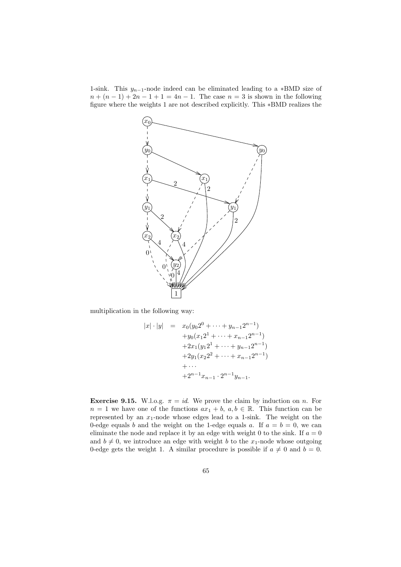1-sink. This  $y_{n-1}$ -node indeed can be eliminated leading to a ∗BMD size of  $n + (n - 1) + 2n - 1 + 1 = 4n - 1$ . The case  $n = 3$  is shown in the following figure where the weights 1 are not described explicitly. This ∗BMD realizes the



multiplication in the following way:

$$
|x| \cdot |y| = x_0(y_0 2^0 + \dots + y_{n-1} 2^{n-1})
$$
  
+ $y_0(x_1 2^1 + \dots + x_{n-1} 2^{n-1})$   
+ $2x_1(y_1 2^1 + \dots + y_{n-1} 2^{n-1})$   
+ $2y_1(x_2 2^2 + \dots + x_{n-1} 2^{n-1})$   
+ $\dots$   
+ $2^{n-1}x_{n-1} \cdot 2^{n-1}y_{n-1}$ .

**Exercise 9.15.** W.l.o.g.  $\pi = id$ . We prove the claim by induction on n. For  $n = 1$  we have one of the functions  $ax_1 + b$ ,  $a, b \in \mathbb{R}$ . This function can be represented by an  $x_1$ -node whose edges lead to a 1-sink. The weight on the 0-edge equals b and the weight on the 1-edge equals a. If  $a = b = 0$ , we can eliminate the node and replace it by an edge with weight 0 to the sink. If  $a = 0$ and  $b \neq 0$ , we introduce an edge with weight b to the  $x_1$ -node whose outgoing 0-edge gets the weight 1. A similar procedure is possible if  $a \neq 0$  and  $b = 0$ .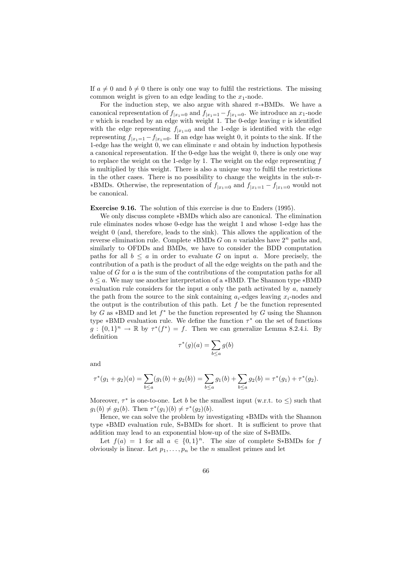If  $a \neq 0$  and  $b \neq 0$  there is only one way to fulfil the restrictions. The missing common weight is given to an edge leading to the  $x_1$ -node.

For the induction step, we also argue with shared  $\pi$ -\*BMDs. We have a canonical representation of  $f_{|x_1=0}$  and  $f_{|x_1=1} - f_{|x_1=0}$ . We introduce an  $x_1$ -node v which is reached by an edge with weight 1. The 0-edge leaving  $v$  is identified with the edge representing  $f_{|x_1=0}$  and the 1-edge is identified with the edge representing  $f_{|x_1=1} - f_{|x_1=0}$ . If an edge has weight 0, it points to the sink. If the 1-edge has the weight 0, we can eliminate  $v$  and obtain by induction hypothesis a canonical representation. If the 0-edge has the weight 0, there is only one way to replace the weight on the 1-edge by 1. The weight on the edge representing  $f$ is multiplied by this weight. There is also a unique way to fulfil the restrictions in the other cases. There is no possibility to change the weights in the sub- $\pi$ -∗BMDs. Otherwise, the representation of  $f_{|x_1=0}$  and  $f_{|x_1=1} - f_{|x_1=0}$  would not be canonical.

Exercise 9.16. The solution of this exercise is due to Enders (1995).

We only discuss complete ∗BMDs which also are canonical. The elimination rule eliminates nodes whose 0-edge has the weight 1 and whose 1-edge has the weight 0 (and, therefore, leads to the sink). This allows the application of the reverse elimination rule. Complete \*BMDs G on n variables have  $2^n$  paths and, similarly to OFDDs and BMDs, we have to consider the BDD computation paths for all  $b \le a$  in order to evaluate G on input a. More precisely, the contribution of a path is the product of all the edge weights on the path and the value of  $G$  for  $a$  is the sum of the contributions of the computation paths for all  $b \le a$ . We may use another interpretation of a \*BMD. The Shannon type \*BMD evaluation rule considers for the input  $a$  only the path activated by  $a$ , namely the path from the source to the sink containing  $a_i$ -edges leaving  $x_i$ -nodes and the output is the contribution of this path. Let  $f$  be the function represented by G as  $*BMD$  and let  $f^*$  be the function represented by G using the Shannon type \*BMD evaluation rule. We define the function  $\tau^*$  on the set of functions  $g: \{0,1\}^n \to \mathbb{R}$  by  $\tau^*(f^*) = f$ . Then we can generalize Lemma 8.2.4.i. By definition

$$
\tau^*(g)(a) = \sum_{b \le a} g(b)
$$

and

$$
\tau^*(g_1+g_2)(a) = \sum_{b \le a} (g_1(b)+g_2(b)) = \sum_{b \le a} g_1(b) + \sum_{b \le a} g_2(b) = \tau^*(g_1) + \tau^*(g_2).
$$

Moreover,  $\tau^*$  is one-to-one. Let b be the smallest input (w.r.t. to  $\leq$ ) such that  $g_1(b) \neq g_2(b)$ . Then  $\tau^*(g_1)(b) \neq \tau^*(g_2)(b)$ .

Hence, we can solve the problem by investigating ∗BMDs with the Shannon type ∗BMD evaluation rule, S∗BMDs for short. It is sufficient to prove that addition may lead to an exponential blow-up of the size of S∗BMDs.

Let  $f(a) = 1$  for all  $a \in \{0,1\}^n$ . The size of complete S\*BMDs for f obviously is linear. Let  $p_1, \ldots, p_n$  be the n smallest primes and let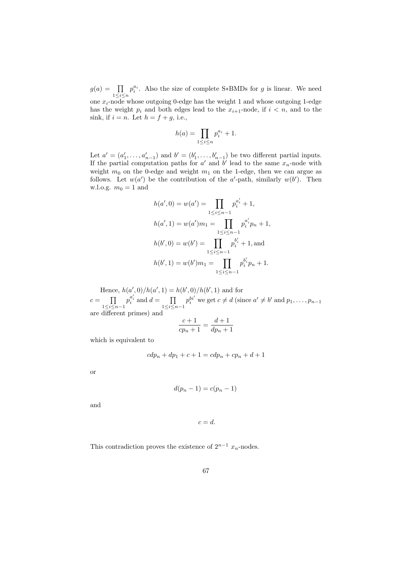$g(a) = \prod$  $1 \leq i \leq n$  $p_i^{a_i}$ . Also the size of complete S\*BMDs for g is linear. We need one  $x_i$ -node whose outgoing 0-edge has the weight 1 and whose outgoing 1-edge

has the weight  $p_i$  and both edges lead to the  $x_{i+1}$ -node, if  $i < n$ , and to the sink, if  $i = n$ . Let  $h = f + g$ , i.e.,

$$
h(a) = \prod_{1 \le i \le n} p_i^{a_i} + 1.
$$

Let  $a' = (a'_1, \ldots, a'_{n-1})$  and  $b' = (b'_1, \ldots, b'_{n-1})$  be two different partial inputs. If the partial computation paths for  $a'$  and  $b'$  lead to the same  $x_n$ -node with weight  $m_0$  on the 0-edge and weight  $m_1$  on the 1-edge, then we can argue as follows. Let  $w(a')$  be the contribution of the a'-path, similarly  $w(b')$ . Then w.l.o.g.  $m_0 = 1$  and

$$
h(a', 0) = w(a') = \prod_{1 \le i \le n-1} p_i^{a'_i} + 1,
$$
  
\n
$$
h(a', 1) = w(a')m_1 = \prod_{1 \le i \le n-1} p_i^{a'_i} p_n + 1,
$$
  
\n
$$
h(b', 0) = w(b') = \prod_{1 \le i \le n-1} p_i^{b'_i} + 1,
$$
and  
\n
$$
h(b', 1) = w(b')m_1 = \prod_{1 \le i \le n-1} p_i^{b'_i} p_n + 1.
$$

Hence,  $h(a', 0)/h(a', 1) = h(b', 0)/h(b', 1)$  and for  $c = \prod$  $1\leq i\leq n-1$  $p_i^{a'_i}$  and  $d = \prod$  $1\leq i\leq n-1$  $p_i^{bi'}$  we get  $c \neq d$  (since  $a' \neq b'$  and  $p_1, \ldots, p_{n-1}$ are different primes) and

$$
\frac{c+1}{cp_n+1} = \frac{d+1}{dp_n+1}
$$

which is equivalent to

$$
cdp_n + dp_1 + c + 1 = cdp_n + cp_n + d + 1
$$

or

$$
d(p_n - 1) = c(p_n - 1)
$$

and

$$
c=d.
$$

This contradiction proves the existence of  $2^{n-1} x_n$ -nodes.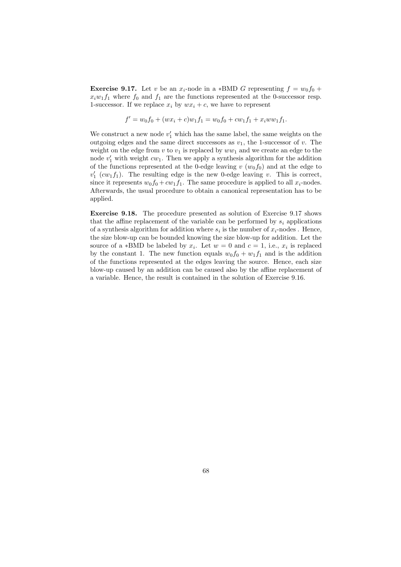**Exercise 9.17.** Let v be an  $x_i$ -node in a \*BMD G representing  $f = w_0 f_0 +$  $x_i w_1 f_1$  where  $f_0$  and  $f_1$  are the functions represented at the 0-successor resp. 1-successor. If we replace  $x_i$  by  $wx_i + c$ , we have to represent

$$
f' = w_0 f_0 + (wx_i + c)w_1 f_1 = w_0 f_0 + c w_1 f_1 + x_i w w_1 f_1.
$$

We construct a new node  $v_1'$  which has the same label, the same weights on the outgoing edges and the same direct successors as  $v_1$ , the 1-successor of v. The weight on the edge from  $v$  to  $v_1$  is replaced by  $ww_1$  and we create an edge to the node  $v'_1$  with weight  $cw_1$ . Then we apply a synthesis algorithm for the addition of the functions represented at the 0-edge leaving v  $(w_0 f_0)$  and at the edge to  $v'_1$  ( $cw_1f_1$ ). The resulting edge is the new 0-edge leaving v. This is correct, since it represents  $w_0 f_0 + c w_1 f_1$ . The same procedure is applied to all  $x_i$ -nodes. Afterwards, the usual procedure to obtain a canonical representation has to be applied.

Exercise 9.18. The procedure presented as solution of Exercise 9.17 shows that the affine replacement of the variable can be performed by  $s_i$  applications of a synthesis algorithm for addition where  $s_i$  is the number of  $x_i$ -nodes. Hence, the size blow-up can be bounded knowing the size blow-up for addition. Let the source of a \*BMD be labeled by  $x_i$ . Let  $w = 0$  and  $c = 1$ , i.e.,  $x_i$  is replaced by the constant 1. The new function equals  $w_0f_0 + w_1f_1$  and is the addition of the functions represented at the edges leaving the source. Hence, each size blow-up caused by an addition can be caused also by the affine replacement of a variable. Hence, the result is contained in the solution of Exercise 9.16.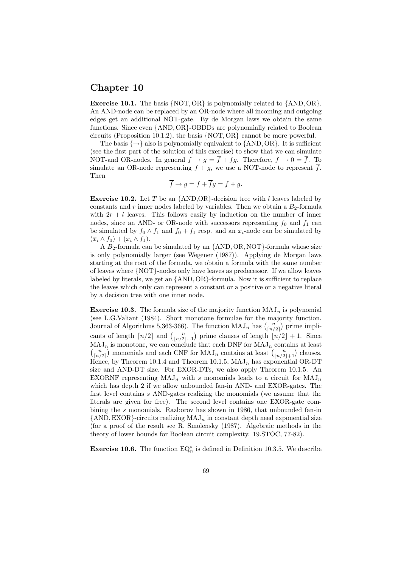### Chapter 10

**Exercise 10.1.** The basis  $\{NOT, OR\}$  is polynomially related to  $\{AND, OR\}$ . An AND-node can be replaced by an OR-node where all incoming and outgoing edges get an additional NOT-gate. By de Morgan laws we obtain the same functions. Since even {AND, OR}-OBDDs are polynomially related to Boolean circuits (Proposition 10.1.2), the basis  $\{NOT, OR\}$  cannot be more powerful.

The basis  $\{\rightarrow\}$  also is polynomially equivalent to  $\{\text{AND}, \text{OR}\}\$ . It is sufficient (see the first part of the solution of this exercise) to show that we can simulate NOT-and OR-nodes. In general  $f \to g = \overline{f} + fg$ . Therefore,  $f \to 0 = \overline{f}$ . To simulate an OR-node representing  $f + g$ , we use a NOT-node to represent  $\overline{f}$ . Then

$$
f \to g = f + fg = f + g.
$$

**Exercise 10.2.** Let T be an  $\{AND, OR\}$ -decision tree with l leaves labeled by constants and r inner nodes labeled by variables. Then we obtain a  $B_2$ -formula with  $2r + l$  leaves. This follows easily by induction on the number of inner nodes, since an AND- or OR-node with successors representing  $f_0$  and  $f_1$  can be simulated by  $f_0 \wedge f_1$  and  $f_0 + f_1$  resp. and an  $x_i$ -node can be simulated by  $(\overline{x}_i \wedge f_0) + (x_i \wedge f_1).$ 

A  $B_2$ -formula can be simulated by an  $\{AND, OR, NOT\}$ -formula whose size is only polynomially larger (see Wegener (1987)). Applying de Morgan laws starting at the root of the formula, we obtain a formula with the same number of leaves where {NOT}-nodes only have leaves as predecessor. If we allow leaves labeled by literals, we get an {AND, OR}-formula. Now it is sufficient to replace the leaves which only can represent a constant or a positive or a negative literal by a decision tree with one inner node.

**Exercise 10.3.** The formula size of the majority function  $MAJ_n$  is polynomial (see L.G.Valiant (1984). Short monotone formulae for the majority function. Journal of Algorithms 5,363-366). The function  $\text{MAJ}_n$  has  $\binom{n}{\lceil n/2 \rceil}$  prime implicants of length  $\lceil n/2 \rceil$  and  $\binom{n}{\lfloor n/2 \rfloor + 1}$  prime clauses of length  $\lfloor n/2 \rfloor + 1$ . Since  $MAJ_n$  is monotone, we can conclude that each DNF for  $MAJ_n$  contains at least  $\binom{n}{\lfloor n/2 \rfloor}$  monomials and each CNF for MAJ<sub>n</sub> contains at least  $\binom{n}{\lfloor n/2 \rfloor + 1}$  clauses. Hence, by Theorem 10.1.4 and Theorem 10.1.5,  $MAJ_n$  has exponential OR-DT size and AND-DT size. For EXOR-DTs, we also apply Theorem 10.1.5. An EXORNF representing  $MAJ_n$  with s monomials leads to a circuit for  $MAJ_n$ which has depth 2 if we allow unbounded fan-in AND- and EXOR-gates. The first level contains s AND-gates realizing the monomials (we assume that the literals are given for free). The second level contains one EXOR-gate combining the s monomials. Razborov has shown in 1986, that unbounded fan-in  ${AND, EXOR}$ -circuits realizing  ${MAJ_n}$  in constant depth need exponential size (for a proof of the result see R. Smolensky (1987). Algebraic methods in the theory of lower bounds for Boolean circuit complexity. 19.STOC, 77-82).

**Exercise 10.6.** The function  $EQ_n^*$  is defined in Definition 10.3.5. We describe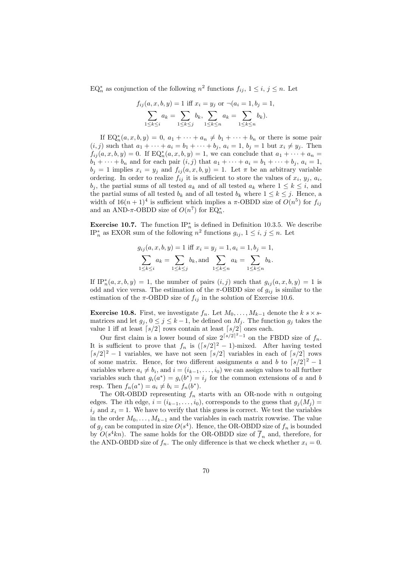EQ<sup>\*</sup><sub>n</sub> as conjunction of the following  $n^2$  functions  $f_{ij}$ ,  $1 \le i, j \le n$ . Let

$$
f_{ij}(a, x, b, y) = 1 \text{ iff } x_i = y_j \text{ or } \neg(a_i = 1, b_j = 1, \sum_{1 \le k \le i} a_k = \sum_{1 \le k \le j} b_k, \sum_{1 \le k \le n} a_k = \sum_{1 \le k \le n} b_k).
$$

If  $EQ_n^*(a, x, b, y) = 0$ ,  $a_1 + \cdots + a_n \neq b_1 + \cdots + b_n$  or there is some pair  $(i, j)$  such that  $a_1 + \cdots + a_i = b_1 + \cdots + b_j$ ,  $a_i = 1$ ,  $b_j = 1$  but  $x_i \neq y_j$ . Then  $f_{ij}(a, x, b, y) = 0$ . If  $EQ_n^*(a, x, b, y) = 1$ , we can conclude that  $a_1 + \cdots + a_n =$  $b_1 + \cdots + b_n$  and for each pair  $(i, j)$  that  $a_1 + \cdots + a_i = b_1 + \cdots + b_j$ ,  $a_i = 1$ ,  $b_j = 1$  implies  $x_i = y_j$  and  $f_{ij}(a, x, b, y) = 1$ . Let  $\pi$  be an arbitrary variable ordering. In order to realize  $f_{ij}$  it is sufficient to store the values of  $x_i, y_j, a_i$ ,  $b_j$ , the partial sums of all tested  $a_k$  and of all tested  $a_k$  where  $1 \leq k \leq i$ , and the partial sums of all tested  $b_k$  and of all tested  $b_k$  where  $1 \leq k \leq j$ . Hence, a width of  $16(n+1)^4$  is sufficient which implies a  $\pi$ -OBDD size of  $O(n^5)$  for  $f_{ij}$ and an AND- $\pi$ -OBDD size of  $O(n^7)$  for  $EQ_n^*$ .

**Exercise 10.7.** The function  $IP_n^*$  is defined in Definition 10.3.5. We describe IP<sup>\*</sup><sub>n</sub> as EXOR sum of the following  $n^2$  functions  $g_{ij}$ ,  $1 \le i, j \le n$ . Let

$$
g_{ij}(a, x, b, y) = 1
$$
 iff  $x_i = y_j = 1, a_i = 1, b_j = 1$ ,  

$$
\sum_{1 \le k \le i} a_k = \sum_{1 \le k \le j} b_k
$$
, and 
$$
\sum_{1 \le k \le n} a_k = \sum_{1 \le k \le n} b_k
$$
.

If  $IP_n^*(a, x, b, y) = 1$ , the number of pairs  $(i, j)$  such that  $g_{ij}(a, x, b, y) = 1$  is odd and vice versa. The estimation of the  $\pi$ -OBDD size of  $g_{ij}$  is similar to the estimation of the  $\pi$ -OBDD size of  $f_{ij}$  in the solution of Exercise 10.6.

**Exercise 10.8.** First, we investigate  $f_n$ . Let  $M_0, \ldots, M_{k-1}$  denote the  $k \le s$  × smatrices and let  $g_j$ ,  $0 \le j \le k-1$ , be defined on  $M_j$ . The function  $g_j$  takes the value 1 iff at least  $\lceil s/2 \rceil$  rows contain at least  $\lceil s/2 \rceil$  ones each.

Our first claim is a lower bound of size  $2^{\lceil s/2 \rceil^2 - 1}$  on the FBDD size of  $f_n$ . It is sufficient to prove that  $f_n$  is  $(\lceil s/2 \rceil^2 - 1)$ -mixed. After having tested  $\lceil s/2 \rceil^2 - 1$  variables, we have not seen  $\lceil s/2 \rceil$  variables in each of  $\lceil s/2 \rceil$  rows of some matrix. Hence, for two different assignments a and b to  $\lceil s/2 \rceil^2 - 1$ variables where  $a_i \neq b_i$ , and  $i = (i_{k-1}, \ldots, i_0)$  we can assign values to all further variables such that  $g_i(a^*) = g_i(b^*) = i_j$  for the common extensions of a and b resp. Then  $f_n(a^*) = a_i \neq b_i = f_n(b^*)$ .

The OR-OBDD representing  $f_n$  starts with an OR-node with n outgoing edges. The *i*th edge,  $i = (i_{k-1}, \ldots, i_0)$ , corresponds to the guess that  $g_i(M_i)$  $i_j$  and  $x_i = 1$ . We have to verify that this guess is correct. We test the variables in the order  $M_0, \ldots, M_{k-1}$  and the variables in each matrix rowwise. The value of  $g_j$  can be computed in size  $O(s^4)$ . Hence, the OR-OBDD size of  $f_n$  is bounded by  $O(s^4kn)$ . The same holds for the OR-OBDD size of  $\overline{f}_n$  and, therefore, for the AND-OBDD size of  $f_n$ . The only difference is that we check whether  $x_i = 0$ .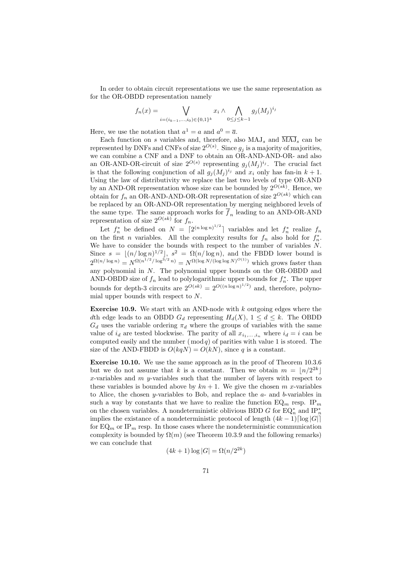In order to obtain circuit representations we use the same representation as for the OR-OBDD representation namely

$$
f_n(x) = \bigvee_{i = (i_{k-1}, ..., i_0) \in \{0, 1\}^k} x_i \wedge \bigwedge_{0 \le j \le k-1} g_j(M_j)^{i_j}
$$

Here, we use the notation that  $a^1 = a$  and  $a^0 = \overline{a}$ .

Each function on s variables and, therefore, also  $MAJ_s$  and  $\overline{MAJ}_s$  can be represented by DNFs and CNFs of size  $2^{O(s)}$ . Since  $g_j$  is a majority of majorities, we can combine a CNF and a DNF to obtain an OR-AND-AND-OR- and also an OR-AND-OR-circuit of size  $2^{O(s)}$  representing  $g_j(M_j)^{i_j}$ . The crucial fact is that the following conjunction of all  $g_j(M_j)^{i_j}$  and  $x_i$  only has fan-in  $k+1$ . Using the law of distributivity we replace the last two levels of type OR-AND by an AND-OR representation whose size can be bounded by  $2^{O(sk)}$ . Hence, we obtain for  $f_n$  an OR-AND-AND-OR-OR representation of size  $2^{O(sk)}$  which can be replaced by an OR-AND-OR representation by merging neighbored levels of the same type. The same approach works for  $\overline{f}_n$  leading to an AND-OR-AND representation of size  $2^{O(sk)}$  for  $f_n$ .

Let  $f_n^*$  be defined on  $N = \lceil 2^{(n \log n)^{1/2}} \rceil$  variables and let  $f_n^*$  realize  $f_n$ on the first *n* variables. All the complexity results for  $f_n$  also hold for  $f_n^*$ . We have to consider the bounds with respect to the number of variables N. Since  $s = \lfloor (n/\log n)^{1/2} \rfloor$ ,  $s^2 = \Omega(n/\log n)$ , and the FBDD lower bound is  $2^{\Omega(n/\log n)} = N^{\Omega(n^{1/2}/\log^{3/2} n)} = N^{\Omega(\log N/(\log \log N)^{O(1)})}$  which grows faster than any polynomial in N. The polynomial upper bounds on the OR-OBDD and AND-OBDD size of  $f_n$  lead to polylogarithmic upper bounds for  $f_n^*$ . The upper bounds for depth-3 circuits are  $2^{O(sk)} = 2^{O((n \log n)^{1/2})}$  and, therefore, polynomial upper bounds with respect to N.

**Exercise 10.9.** We start with an AND-node with  $k$  outgoing edges where the dth edge leads to an OBDD  $G_d$  representing  $H_d(X)$ ,  $1 \leq d \leq k$ . The OBDD  $G_d$  uses the variable ordering  $\pi_d$  where the groups of variables with the same value of  $i_d$  are tested blockwise. The parity of all  $x_{i_1,\ldots,i_n}$  where  $i_d = i$  can be computed easily and the number  $(\bmod q)$  of parities with value 1 is stored. The size of the AND-FBDD is  $O(kqN) = O(kN)$ , since q is a constant.

Exercise 10.10. We use the same approach as in the proof of Theorem 10.3.6 but we do not assume that k is a constant. Then we obtain  $m = \lfloor n/2^{2k} \rfloor$ x-variables and  $m$  y-variables such that the number of layers with respect to these variables is bounded above by  $kn + 1$ . We give the chosen m x-variables to Alice, the chosen *y*-variables to Bob, and replace the  $a$ - and  $b$ -variables in such a way by constants that we have to realize the function  $EQ_m$  resp. IP<sub>m</sub> on the chosen variables. A nondeterministic oblivious BDD G for  $EQ_n^*$  and  $IP_n^*$ implies the existance of a nondeterministic protocol of length  $(4k-1)\lceil \log |G| \rceil$ for  $EQ_m$  or  $IP_m$  resp. In those cases where the nondeterministic communication complexity is bounded by  $\Omega(m)$  (see Theorem 10.3.9 and the following remarks) we can conclude that

$$
(4k+1)\log|G| = \Omega(n/2^{2k})
$$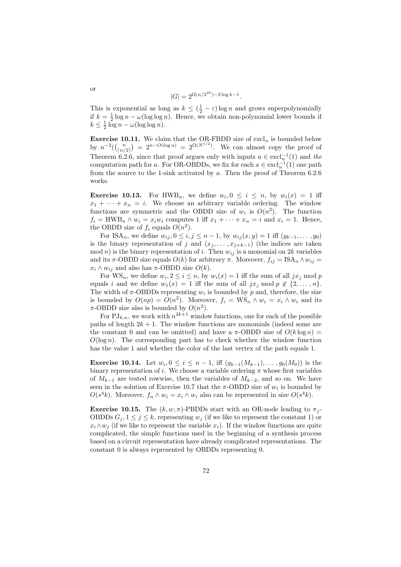$$
|G| = 2^{\Omega(n/2^{2k}) - 2\log k - 1}.
$$

This is exponential as long as  $k \leq (\frac{1}{2} - \varepsilon) \log n$  and grows superpolynomially if  $k = \frac{1}{2} \log n - \omega(\log \log n)$ . Hence, we obtain non-polynomial lower bounds if  $k \leq \frac{1}{2} \log n - \omega(\log \log n).$ 

**Exercise 10.11.** We claim that the OR-FBDD size of  $excl_n$  is bounded below by  $n^{-2}(\binom{n}{\lfloor n/2\rfloor}) = 2^{n-O(\log n)} = 2^{\Omega(N^{1/2})}$ . We can almost copy the proof of Theorem 6.2.6, since that proof argues only with inputs  $a \in \text{excl}_n^{-1}(1)$  and the computation path for a. For OR-OBDDs, we fix for each  $a \in \text{excl}_n^{-1}(1)$  one path from the source to the 1-sink activated by a. Then the proof of Theorem 6.2.6 works.

**Exercise 10.13.** For HWB<sub>n</sub>, we define  $w_i, 0 \leq i \leq n$ , by  $w_i(x) = 1$  iff  $x_1 + \cdots + x_n = i$ . We choose an arbitrary variable ordering. The window functions are symmetric and the OBDD size of  $w_i$  is  $O(n^2)$ . The function  $f_i = \text{HWB}_n \wedge w_i = x_i w_i$  computes 1 iff  $x_1 + \cdots + x_n = i$  and  $x_i = 1$ . Hence, the OBDD size of  $f_i$  equals  $O(n^2)$ .

For ISA<sub>n</sub>, we define  $w_{ij}$ ,  $0 \le i, j \le n-1$ , by  $w_{ij}(x, y) = 1$  iff  $(y_{k-1}, \ldots, y_0)$ is the binary representation of j and  $(x_j, \ldots, x_{j+k-1})$  (the indices are taken  $mod n$ ) is the binary representation of i. Then  $w_{ij}$  is a monomial on 2k variables and its  $\pi$ -OBDD size equals  $O(k)$  for arbitrary  $\pi$ . Moreover,  $f_{ij} = \text{ISA}_n \wedge w_{ij} =$  $x_i \wedge w_{ij}$  and also has  $\pi$ -OBDD size  $O(k)$ .

For  $WS_n$ , we define  $w_i, 2 \leq i \leq n$ , by  $w_i(x) = 1$  iff the sum of all  $jx_j \mod p$ equals i and we define  $w_1(x) = 1$  iff the sum of all  $jx_j \mod p \notin \{2, \ldots, n\}.$ The width of  $\pi$ -OBDDs representing  $w_i$  is bounded by p and, therefore, the size is bounded by  $O(np) = O(n^2)$ . Moreover,  $f_i = WS_n \wedge w_i = x_i \wedge w_i$  and its  $\pi$ -OBDD size also is bounded by  $O(n^2)$ .

For  $\mathrm{PJ}_{k,n}$ , we work with  $n^{2k+1}$  window functions, one for each of the possible paths of length  $2k + 1$ . The window functions are monomials (indeed some are the constant 0 and can be omitted) and have a  $\pi$ -OBDD size of  $O(k \log n)$  =  $O(\log n)$ . The corresponding part has to check whether the window function has the value 1 and whether the color of the last vertex of the path equals 1.

**Exercise 10.14.** Let  $w_i, 0 \le i \le n-1$ , iff  $(g_{k-1}(M_{k-1}), \ldots, g_0(M_0))$  is the binary representation of *i*. We choose a variable ordering  $\pi$  whose first variables of  $M_{k-1}$  are tested rowwise, then the variables of  $M_{k-2}$ , and so on. We have seen in the solution of Exercise 10.7 that the  $\pi$ -OBDD size of  $w_i$  is bounded by  $O(s^4k)$ . Moreover,  $f_n \wedge w_i = x_i \wedge w_i$  also can be represented in size  $O(s^4k)$ .

**Exercise 10.15.** The  $(k, w, \pi)$ -PBDDs start with an OR-node leading to  $\pi_i$ -OBDDs  $G_i, 1 \leq j \leq k$ , representing  $w_j$  (if we like to represent the constant 1) or  $x_i \wedge w_j$  (if we like to represent the variable  $x_i$ ). If the window functions are quite complicated, the simple functions used in the beginning of a synthesis process based on a circuit representation have already complicated representations. The constant 0 is always represented by OBDDs representing 0.

or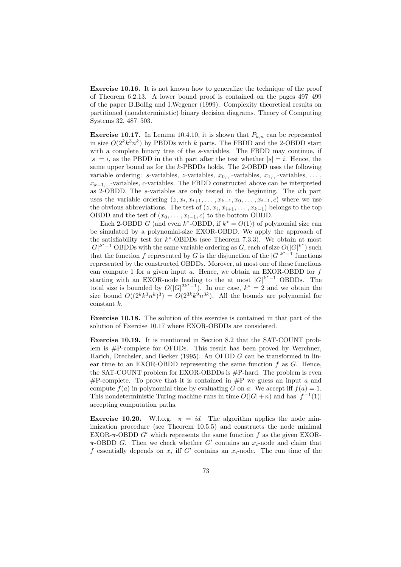Exercise 10.16. It is not known how to generalize the technique of the proof of Theorem 6.2.13. A lower bound proof is contained on the pages 497–499 of the paper B.Bollig and I.Wegener (1999). Complexity theoretical results on partitioned (nondeterministic) binary decision diagrams. Theory of Computing Systems 32, 487–503.

**Exercise 10.17.** In Lemma 10.4.10, it is shown that  $P_{k,n}$  can be represented in size  $O(2^k k^3 n^k)$  by PBDDs with k parts. The FBDD and the 2-OBDD start with a complete binary tree of the s-variables. The FBDD may continue, if  $|s| = i$ , as the PBDD in the *i*th part after the test whether  $|s| = i$ . Hence, the same upper bound as for the k-PBDDs holds. The 2-OBDD uses the following variable ordering: s-variables, z-variables,  $x_0$ ...-variables,  $x_1$ ...-variables, ...  $x_{k-1}$ , variables, c-variables. The FBDD constructed above can be interpreted as 2-OBDD. The s-variables are only tested in the beginning. The ith part uses the variable ordering  $(z, x_i, x_{i+1}, \ldots, x_{k-1}, x_0, \ldots, x_{i-1}, c)$  where we use the obvious abbreviations. The test of  $(z, x_i, x_{i+1}, \ldots, x_{k-1})$  belongs to the top OBDD and the test of  $(x_0, \ldots, x_{i-1}, c)$  to the bottom OBDD.

Each 2-OBDD G (and even  $k^*$ -OBDD, if  $k^* = O(1)$ ) of polynomial size can be simulated by a polynomial-size EXOR-OBDD. We apply the approach of the satisfiability test for  $k^*$ -OBDDs (see Theorem 7.3.3). We obtain at most  $|G|^{k^*-1}$  OBDDs with the same variable ordering as G, each of size  $O(|G|^{k^*})$  such that the function f represented by G is the disjunction of the  $|G|^{k^*-1}$  functions represented by the constructed OBDDs. Morover, at most one of these functions can compute 1 for a given input  $a$ . Hence, we obtain an EXOR-OBDD for  $f$ starting with an EXOR-node leading to the at most  $|G|^{k^*-1}$  OBDDs. The total size is bounded by  $O(|G|^{2k^*-1})$ . In our case,  $k^* = 2$  and we obtain the size bound  $O((2^k k^3 n^k)^3) = O(2^{3k} k^9 n^{3k})$ . All the bounds are polynomial for constant k.

Exercise 10.18. The solution of this exercise is contained in that part of the solution of Exercise 10.17 where EXOR-OBDDs are considered.

Exercise 10.19. It is mentioned in Section 8.2 that the SAT-COUNT problem is #P-complete for OFDDs. This result has been proved by Werchner, Harich, Drechsler, and Becker (1995). An OFDD G can be transformed in linear time to an EXOR-OBDD representing the same function  $f$  as  $G$ . Hence, the SAT-COUNT problem for EXOR-OBDDs is  $#P$ -hard. The problem is even #P-complete. To prove that it is contained in #P we guess an input  $a$  and compute  $f(a)$  in polynomial time by evaluating G on a. We accept iff  $f(a) = 1$ . This nondeterministic Turing machine runs in time  $O(|G|+n)$  and has  $|f^{-1}(1)|$ accepting computation paths.

Exercise 10.20. W.l.o.g.  $\pi = id$ . The algorithm applies the node minimization procedure (see Theorem 10.5.5) and constructs the node minimal EXOR- $\pi$ -OBDD G' which represents the same function f as the given EXOR- $\pi$ -OBDD G. Then we check whether G' contains an  $x_i$ -node and claim that f essentially depends on  $x_i$  iff G' contains an  $x_i$ -node. The run time of the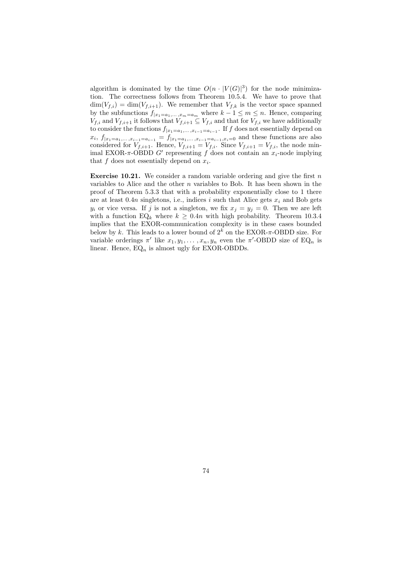algorithm is dominated by the time  $O(n \cdot |V(G)|^3)$  for the node minimization. The correctness follows from Theorem 10.5.4. We have to prove that  $\dim(V_{f,i}) = \dim(V_{f,i+1})$ . We remember that  $V_{f,k}$  is the vector space spanned by the subfunctions  $f_{|x_1=a_1,\ldots,x_m=a_m}$  where  $k-1 \leq m \leq n$ . Hence, comparing  $V_{f,i}$  and  $V_{f,i+1}$  it follows that  $V_{f,i+1} \subseteq V_{f,i}$  and that for  $V_{f,i}$  we have additionally to consider the functions  $f_{|x_1=a_1,\ldots,x_{i-1}=a_{i-1}}$ . If f does not essentially depend on  $x_i, f|_{x_1=a_1,\ldots,x_{i-1}=a_{i-1}} = f|_{x_1=a_1,\ldots,x_{i-1}=a_{i-1},x_i=0}$  and these functions are also considered for  $V_{f,i+1}$ . Hence,  $V_{f,i+1} = V_{f,i}$ . Since  $V_{f,i+1} = V_{f,i}$ , the node minimal EXOR- $\pi$ -OBDD G' representing f does not contain an  $x_i$ -node implying that  $f$  does not essentially depend on  $x_i$ .

**Exercise 10.21.** We consider a random variable ordering and give the first  $n$ variables to Alice and the other  $n$  variables to Bob. It has been shown in the proof of Theorem 5.3.3 that with a probability exponentially close to 1 there are at least 0.4n singletons, i.e., indices i such that Alice gets  $x_i$  and Bob gets  $y_i$  or vice versa. If j is not a singleton, we fix  $x_j = y_j = 0$ . Then we are left with a function EQ<sub>k</sub> where  $k \geq 0.4n$  with high probability. Theorem 10.3.4 implies that the EXOR-communication complexity is in these cases bounded below by k. This leads to a lower bound of  $2^k$  on the EXOR- $\pi$ -OBDD size. For variable orderings  $\pi'$  like  $x_1, y_1, \ldots, x_n, y_n$  even the  $\pi'$ -OBDD size of EQ<sub>n</sub> is linear. Hence,  $EQ_n$  is almost ugly for EXOR-OBDDs.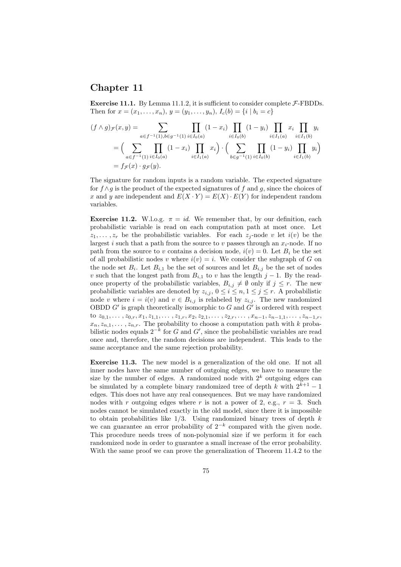## Chapter 11

**Exercise 11.1.** By Lemma 11.1.2, it is sufficient to consider complete  $F$ -FBDDs. Then for  $x = (x_1, \ldots, x_n), y = (y_1, \ldots, y_n), I_c(b) = \{i \mid b_i = c\}$ 

$$
(f \wedge g)_{\mathcal{F}}(x, y) = \sum_{a \in f^{-1}(1), b \in g^{-1}(1)} \prod_{i \in I_0(a)} (1 - x_i) \prod_{i \in I_0(b)} (1 - y_i) \prod_{i \in I_1(a)} x_i \prod_{i \in I_1(b)} y_i
$$
  
= 
$$
\Big( \sum_{a \in f^{-1}(1)} \prod_{i \in I_0(a)} (1 - x_i) \prod_{i \in I_1(a)} x_i \Big) \cdot \Big( \sum_{b \in g^{-1}(1)} \prod_{i \in I_0(b)} (1 - y_i) \prod_{i \in I_1(b)} y_i \Big)
$$
  
= 
$$
f_{\mathcal{F}}(x) \cdot g_{\mathcal{F}}(y).
$$

The signature for random inputs is a random variable. The expected signature for  $f \wedge q$  is the product of the expected signatures of f and q, since the choices of x and y are independent and  $E(X \cdot Y) = E(X) \cdot E(Y)$  for independent random variables.

**Exercise 11.2.** W.l.o.g.  $\pi = id$ . We remember that, by our definition, each probabilistic variable is read on each computation path at most once. Let  $z_1, \ldots, z_r$  be the probabilistic variables. For each  $z_i$ -node v let  $i(v)$  be the largest i such that a path from the source to v passes through an  $x_i$ -node. If no path from the source to v contains a decision node,  $i(v) = 0$ . Let  $B_i$  be the set of all probabilistic nodes v where  $i(v) = i$ . We consider the subgraph of G on the node set  $B_i$ . Let  $B_{i,1}$  be the set of sources and let  $B_{i,j}$  be the set of nodes v such that the longest path from  $B_{i,1}$  to v has the length j − 1. By the readonce property of the probabilistic variables,  $B_{i,j} \neq \emptyset$  only if  $j \leq r$ . The new probabilistic variables are denoted by  $z_{i,j}$ ,  $0 \leq i \leq n, 1 \leq j \leq r$ . A probabilistic node v where  $i = i(v)$  and  $v \in B_{i,j}$  is relabeled by  $z_{i,j}$ . The new randomized OBDD  $G'$  is graph theoretically isomorphic to G and  $G'$  is ordered with respect to  $z_{0,1}, \ldots, z_{0,r}, x_1, z_{1,1}, \ldots, z_{1,r}, x_2, z_{2,1}, \ldots, z_{2,r}, \ldots, x_{n-1}, z_{n-1,1}, \ldots, z_{n-1,r}$  $x_n, z_{n,1}, \ldots, z_{n,r}$ . The probability to choose a computation path with k probabilistic nodes equals  $2^{-k}$  for G and G', since the probabilistic variables are read once and, therefore, the random decisions are independent. This leads to the same acceptance and the same rejection probability.

Exercise 11.3. The new model is a generalization of the old one. If not all inner nodes have the same number of outgoing edges, we have to measure the size by the number of edges. A randomized node with  $2<sup>k</sup>$  outgoing edges can be simulated by a complete binary randomized tree of depth k with  $2^{k+1} - 1$ edges. This does not have any real consequences. But we may have randomized nodes with r outgoing edges where r is not a power of 2, e.g.,  $r = 3$ . Such nodes cannot be simulated exactly in the old model, since there it is impossible to obtain probabilities like  $1/3$ . Using randomized binary trees of depth k we can guarantee an error probability of  $2^{-k}$  compared with the given node. This procedure needs trees of non-polynomial size if we perform it for each randomized node in order to guarantee a small increase of the error probability. With the same proof we can prove the generalization of Theorem 11.4.2 to the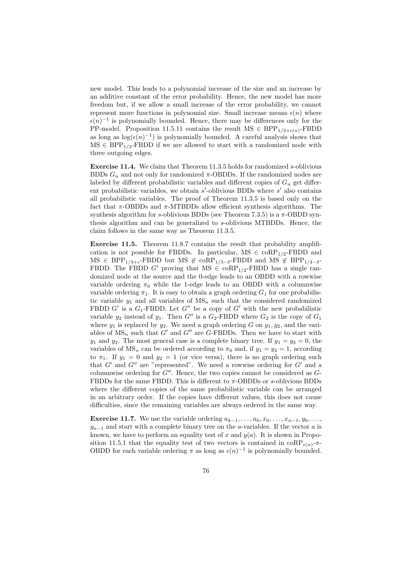new model. This leads to a polynomial increase of the size and an increase by an additive constant of the error probability. Hence, the new model has more freedom but, if we allow a small increase of the error probability, we cannot represent more functions in polynomial size. Small increase means  $\epsilon(n)$  where  $\epsilon(n)^{-1}$  is polynomially bounded. Hence, there may be differences only for the PP-model. Proposition 11.5.11 contains the result  $MS \in BPP_{1/3+\epsilon(n)}$ -FBDD as long as  $\log(\epsilon(n)^{-1})$  is polynomially bounded. A careful analysis shows that  $MS \in BPP_{1/3}$ -FBDD if we are allowed to start with a randomized node with three outgoing edges.

Exercise 11.4. We claim that Theorem 11.3.5 holds for randomized s-oblivious BDDs  $G_n$  and not only for randomized  $\pi$ -OBDDs. If the randomized nodes are labeled by different probabilistic variables and different copies of  $G_n$  get different probabilistic variables, we obtain  $s'$ -oblivious BDDs where  $s'$  also contains all probabilistic variables. The proof of Theorem 11.3.5 is based only on the fact that  $\pi$ -OBDDs and  $\pi$ -MTBDDs allow efficient synthesis algorithms. The synthesis algorithm for s-oblivious BDDs (see Theorem 7.3.5) is a  $\pi$ -OBDD synthesis algorithm and can be generalized to s-oblivious MTBDDs. Hence, the claim follows in the same way as Theorem 11.3.5.

Exercise 11.5. Theorem 11.8.7 contains the result that probability amplification is not possible for FBDDs. In particular,  $MS \in \text{coRP}_{1/2}$ -FBDD and  $MS \in BPP_{1/3+\epsilon}$ -FBDD but  $MS \notin \text{coRP}_{1/3-\delta}$ -FBDD and  $MS \notin BPP_{1/4-\delta}$ -FBDD. The FBDD G' proving that  $MS \in \text{coRP}_{1/2}$ -FBDD has a single randomized node at the source and the 0-edge leads to an OBDD with a rowwise variable ordering  $\pi_0$  while the 1-edge leads to an OBDD with a columnwise variable ordering  $\pi_1$ . It is easy to obtain a graph ordering  $G_1$  for one probabilistic variable  $y_1$  and all variables of  $MS_n$  such that the considered randomized FBDD G' is a  $G_1$ -FBDD. Let G'' be a copy of G' with the new probabilistic variable  $y_2$  instead of  $y_1$ . Then  $G''$  is a  $G_2$ -FBDD where  $G_2$  is the copy of  $G_1$ where  $y_1$  is replaced by  $y_2$ . We need a graph ordering G on  $y_1, y_2$ , and the variables of  $MS_n$  such that  $G'$  and  $G''$  are G-FBDDs. Then we have to start with  $y_1$  and  $y_2$ . The most general case is a complete binary tree. If  $y_1 = y_2 = 0$ , the variables of  $MS_n$  can be ordered according to  $\pi_0$  and, if  $y_1 = y_2 = 1$ , according to  $\pi_1$ . If  $y_1 = 0$  and  $y_2 = 1$  (or vice versa), there is no graph ordering such that  $G'$  and  $G''$  are "represented". We need a rowwise ordering for  $G'$  and a columnwise ordering for  $G''$ . Hence, the two copies cannot be considered as  $G$ -FBDDs for the same FBDD. This is different to  $\pi$ -OBDDs or s-oblivious BDDs where the different copies of the same probabilistic variable can be arranged in an arbitrary order. If the copies have different values, this does not cause difficulties, since the remaining variables are always ordered in the same way.

**Exercise 11.7.** We use the variable ordering  $a_{k-1}, \ldots, a_0, x_0, \ldots, x_{n-1}, y_0, \ldots$  $y_{n-1}$  and start with a complete binary tree on the *a*-variables. If the vector *a* is known, we have to perform an equality test of x and  $y(a)$ . It is shown in Proposition 11.5.1 that the equality test of two vectors is contained in  $\text{coRP}_{\epsilon(n)}$ - $\pi$ -OBDD for each variable ordering  $\pi$  as long as  $\epsilon(n)^{-1}$  is polynomially bounded.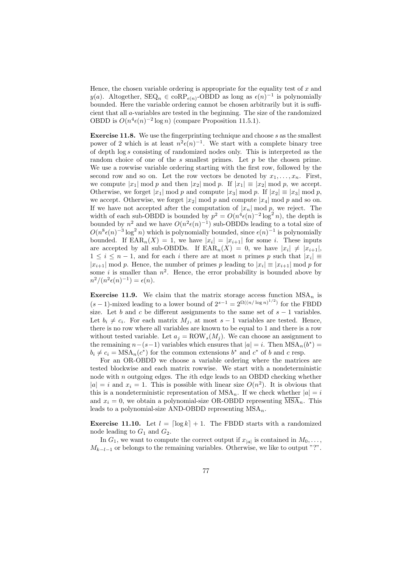Hence, the chosen variable ordering is appropriate for the equality test of  $x$  and y(a). Altogether,  $\text{SEQ}_n \in \text{coRP}_{\epsilon(n)}$ -OBDD as long as  $\epsilon(n)^{-1}$  is polynomially bounded. Here the variable ordering cannot be chosen arbitrarily but it is sufficient that all a-variables are tested in the beginning. The size of the randomized OBDD is  $O(n^4 \epsilon(n)^{-2} \log n)$  (compare Proposition 11.5.1).

Exercise 11.8. We use the fingerprinting technique and choose s as the smallest power of 2 which is at least  $n^2 \epsilon(n)^{-1}$ . We start with a complete binary tree of depth log s consisting of randomized nodes only. This is interpreted as the random choice of one of the s smallest primes. Let  $p$  be the chosen prime. We use a rowwise variable ordering starting with the first row, followed by the second row and so on. Let the row vectors be denoted by  $x_1, \ldots, x_n$ . First, we compute  $|x_1| \bmod p$  and then  $|x_2| \bmod p$ . If  $|x_1| \equiv |x_2| \bmod p$ , we accept. Otherwise, we forget |x<sub>1</sub>| mod p and compute |x<sub>3</sub>| mod p. If  $|x_2| \equiv |x_3|$  mod p, we accept. Otherwise, we forget  $|x_2| \bmod p$  and compute  $|x_4| \bmod p$  and so on. If we have not accepted after the computation of  $|x_n| \bmod p$ , we reject. The width of each sub-OBDD is bounded by  $p^2 = O(n^4 \epsilon(n)^{-2} \log^2 n)$ , the depth is bounded by  $n^2$  and we have  $O(n^2 \epsilon(n)^{-1})$  sub-OBDDs leading to a total size of  $O(n^8 \epsilon(n)^{-3} \log^2 n)$  which is polynomially bounded, since  $\epsilon(n)^{-1}$  is polynomially bounded. If  $\text{EAR}_n(X) = 1$ , we have  $|x_i| = |x_{i+1}|$  for some *i*. These inputs are accepted by all sub-OBDDs. If  $\text{EAR}_n(X) = 0$ , we have  $|x_i| \neq |x_{i+1}|$ ,  $1 \leq i \leq n-1$ , and for each i there are at most n primes p such that  $|x_i| \equiv$  $|x_{i+1}| \bmod p$ . Hence, the number of primes p leading to  $|x_i| \equiv |x_{i+1}| \bmod p$  for some *i* is smaller than  $n^2$ . Hence, the error probability is bounded above by  $n^2/(n^2\epsilon(n)^{-1}) = \epsilon(n).$ 

**Exercise 11.9.** We claim that the matrix storage access function  $MSA_n$  is  $(s-1)$ -mixed leading to a lower bound of  $2^{s-1} = 2^{\Omega((n/\log n)^{1/2})}$  for the FBDD size. Let b and c be different assignments to the same set of  $s - 1$  variables. Let  $b_i \neq c_i$ . For each matrix  $M_j$ , at most  $s - 1$  variables are tested. Hence, there is no row where all variables are known to be equal to 1 and there is a row without tested variable. Let  $a_j = \text{ROW}_s(M_j)$ . We can choose an assignment to the remaining  $n-(s-1)$  variables which ensures that  $|a|=i$ . Then  $MSA_n(b^*)=$  $b_i \neq c_i = MSA_n(c^*)$  for the common extensions  $b^*$  and  $c^*$  of b and c resp.

For an OR-OBDD we choose a variable ordering where the matrices are tested blockwise and each matrix rowwise. We start with a nondeterministic node with  $n$  outgoing edges. The *i*th edge leads to an OBDD checking whether  $|a| = i$  and  $x_i = 1$ . This is possible with linear size  $O(n^2)$ . It is obvious that this is a nondeterministic representation of  $MSA_n$ . If we check whether  $|a| = i$ and  $x_i = 0$ , we obtain a polynomial-size OR-OBDD representing  $\overline{\text{MSA}}_n$ . This leads to a polynomial-size AND-OBDD representing  $MSA_n$ .

**Exercise 11.10.** Let  $l = \lceil \log k \rceil + 1$ . The FBDD starts with a randomized node leading to  $G_1$  and  $G_2$ .

In  $G_1$ , we want to compute the correct output if  $x_{|a|}$  is contained in  $M_0, \ldots$ ,  $M_{k-l-1}$  or belongs to the remaining variables. Otherwise, we like to output "?".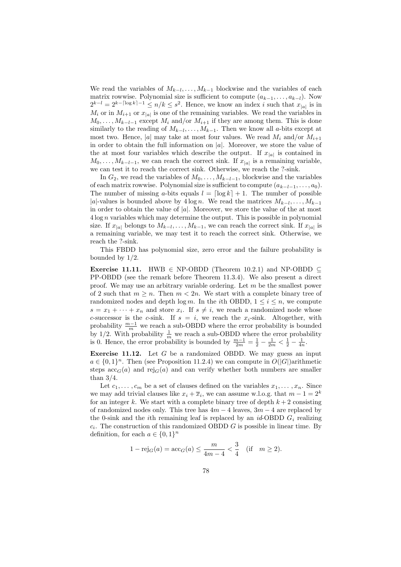We read the variables of  $M_{k-l}, \ldots, M_{k-1}$  blockwise and the variables of each matrix rowwise. Polynomial size is sufficient to compute  $(a_{k-1}, \ldots, a_{k-l})$ . Now  $2^{k-l} = 2^{k-\lceil \log k \rceil -1} \le n/k \le s^2$ . Hence, we know an index i such that  $x_{|a|}$  is in  $M_i$  or in  $M_{i+1}$  or  $x_{|a|}$  is one of the remaining variables. We read the variables in  $M_0, \ldots, M_{k-l-1}$  except  $M_i$  and/or  $M_{i+1}$  if they are among them. This is done similarly to the reading of  $M_{k-l}, \ldots, M_{k-1}$ . Then we know all a-bits except at most two. Hence, |a| may take at most four values. We read  $M_i$  and/or  $M_{i+1}$ in order to obtain the full information on  $|a|$ . Moreover, we store the value of the at most four variables which describe the output. If  $x_{|a|}$  is contained in  $M_0, \ldots, M_{k-l-1}$ , we can reach the correct sink. If  $x_{|a|}$  is a remaining variable, we can test it to reach the correct sink. Otherwise, we reach the ?-sink.

In  $G_2$ , we read the variables of  $M_0, \ldots, M_{k-l-1}$ , blockwise and the variables of each matrix rowwise. Polynomial size is sufficient to compute  $(a_{k-l-1}, \ldots, a_0)$ . The number of missing a-bits equals  $l = \lfloor \log k \rfloor + 1$ . The number of possible |a|-values is bounded above by  $4 \log n$ . We read the matrices  $M_{k-l}, \ldots, M_{k-1}$ in order to obtain the value of  $|a|$ . Moreover, we store the value of the at most  $4 \log n$  variables which may determine the output. This is possible in polynomial size. If  $x_{|a|}$  belongs to  $M_{k-l}, \ldots, M_{k-1}$ , we can reach the correct sink. If  $x_{|a|}$  is a remaining variable, we may test it to reach the correct sink. Otherwise, we reach the ?-sink.

This FBDD has polynomial size, zero error and the failure probability is bounded by 1/2.

Exercise 11.11. HWB  $\in$  NP-OBDD (Theorem 10.2.1) and NP-OBDD  $\subseteq$ PP-OBDD (see the remark before Theorem 11.3.4). We also present a direct proof. We may use an arbitrary variable ordering. Let  $m$  be the smallest power of 2 such that  $m \geq n$ . Then  $m < 2n$ . We start with a complete binary tree of randomized nodes and depth  $\log m$ . In the *i*th OBDD,  $1 \leq i \leq n$ , we compute  $s = x_1 + \cdots + x_n$  and store  $x_i$ . If  $s \neq i$ , we reach a randomized node whose c-successor is the c-sink. If  $s = i$ , we reach the  $x_i$ -sink. Altogether, with probability  $\frac{m-1}{m}$  we reach a sub-OBDD where the error probability is bounded by 1/2. With probability  $\frac{1}{m}$  we reach a sub-OBDD where the error probability is 0. Hence, the error probability is bounded by  $\frac{m-1}{2m} = \frac{1}{2} - \frac{1}{2m} < \frac{1}{2} - \frac{1}{4n}$ .

**Exercise 11.12.** Let  $G$  be a randomized OBDD. We may guess an input  $a \in \{0,1\}^n$ . Then (see Proposition 11.2.4) we can compute in  $O(|G|)$ arithmetic steps  $\operatorname{acc}_G(a)$  and  $\operatorname{rej}_G(a)$  and can verify whether both numbers are smaller than  $3/4$ .

Let  $c_1, \ldots, c_m$  be a set of clauses defined on the variables  $x_1, \ldots, x_n$ . Since we may add trivial clauses like  $x_i + \overline{x}_i$ , we can assume w.l.o.g. that  $m - 1 = 2^k$ for an integer k. We start with a complete binary tree of depth  $k + 2$  consisting of randomized nodes only. This tree has  $4m - 4$  leaves,  $3m - 4$  are replaced by the 0-sink and the *i*th remaining leaf is replaced by an *id*-OBDD  $G_i$  realizing  $c_i$ . The construction of this randomized OBDD G is possible in linear time. By definition, for each  $a \in \{0,1\}^n$ 

$$
1 - \text{rej}_{G}(a) = \text{acc}_{G}(a) \le \frac{m}{4m - 4} < \frac{3}{4} \quad (\text{if} \quad m \ge 2).
$$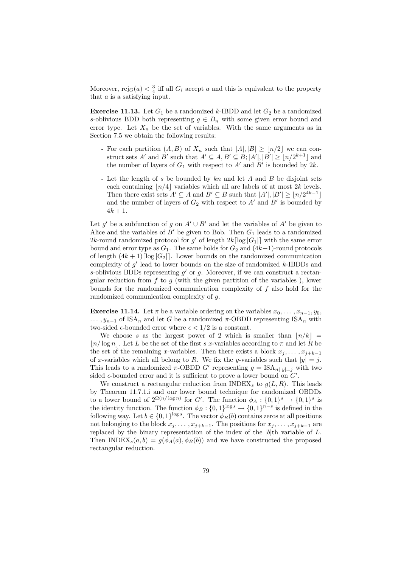Moreover,  $\text{rej}_G(a) < \frac{3}{4}$  iff all  $G_i$  accept a and this is equivalent to the property that a is a satisfying input.

**Exercise 11.13.** Let  $G_1$  be a randomized k-IBDD and let  $G_2$  be a randomized s-oblivious BDD both representing  $g \in B_n$  with some given error bound and error type. Let  $X_n$  be the set of variables. With the same arguments as in Section 7.5 we obtain the following results:

- For each partition  $(A, B)$  of  $X_n$  such that  $|A|, |B| > |n/2|$  we can construct sets A' and B' such that  $A' \subseteq A, B' \subseteq B$ ;  $|A'|, |B'| \geq \lfloor n/2^{k+1} \rfloor$  and the number of layers of  $G_1$  with respect to  $A'$  and  $B'$  is bounded by  $2k$ .
- Let the length of s be bounded by kn and let A and B be disjoint sets each containing  $\lfloor n/4 \rfloor$  variables which all are labels of at most 2k levels. Then there exist sets  $A' \subseteq A$  and  $B' \subseteq B$  such that  $|A'|, |B'| \geq \lfloor n/2^{4k-1} \rfloor$ and the number of layers of  $G_2$  with respect to  $A'$  and  $B'$  is bounded by  $4k + 1$ .

Let g' be a subfunction of g on  $A' \cup B'$  and let the variables of  $A'$  be given to Alice and the variables of  $B'$  be given to Bob. Then  $G_1$  leads to a randomized 2k-round randomized protocol for g' of length  $2k \lceil \log |G_1| \rceil$  with the same error bound and error type as  $G_1$ . The same holds for  $G_2$  and  $(4k+1)$ -round protocols of length  $(4k+1)\lceil \log |G_2| \rceil$ . Lower bounds on the randomized communication complexity of  $g'$  lead to lower bounds on the size of randomized k-IBDDs and s-oblivious BDDs representing  $g'$  or  $g$ . Moreover, if we can construct a rectangular reduction from f to g (with the given partition of the variables), lower bounds for the randomized communication complexity of  $f$  also hold for the randomized communication complexity of g.

**Exercise 11.14.** Let  $\pi$  be a variable ordering on the variables  $x_0, \ldots, x_{n-1}, y_0$ ,  $\ldots$ ,  $y_{n-1}$  of ISA<sub>n</sub> and let G be a randomized  $\pi$ -OBDD representing ISA<sub>n</sub> with two-sided  $\epsilon$ -bounded error where  $\epsilon < 1/2$  is a constant.

We choose s as the largest power of 2 which is smaller than  $\vert n/k \vert =$  $\lfloor n/\log n \rfloor$ . Let L be the set of the first s x-variables according to  $\pi$  and let R be the set of the remaining x-variables. Then there exists a block  $x_j, \ldots, x_{j+k-1}$ of x-variables which all belong to R. We fix the y-variables such that  $|y| = j$ . This leads to a randomized  $\pi$ -OBDD G' representing  $g = \text{ISA}_{n||y|=j}$  with two sided  $\epsilon$ -bounded error and it is sufficient to prove a lower bound on  $G'$ .

We construct a rectangular reduction from  $\text{INDEX}_s$  to  $g(L, R)$ . This leads by Theorem 11.7.1.i and our lower bound technique for randomized OBDDs to a lower bound of  $2^{\Omega(n/\log n)}$  for G'. The function  $\phi_A: \{0,1\}^s \to \{0,1\}^s$  is the identity function. The function  $\phi_B: \{0,1\}^{\log s} \to \{0,1\}^{n-s}$  is defined in the following way. Let  $b \in \{0,1\}^{\log s}$ . The vector  $\phi_B(b)$  contains zeros at all positions not belonging to the block  $x_j, \ldots, x_{j+k-1}$ . The positions for  $x_j, \ldots, x_{j+k-1}$  are replaced by the binary representation of the index of the  $|b|$ th variable of L. Then INDEX<sub>s</sub> $(a, b) = g(\phi_A(a), \phi_B(b))$  and we have constructed the proposed rectangular reduction.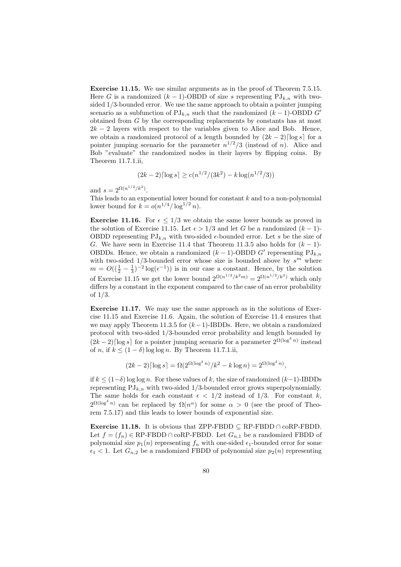Exercise 11.15. We use similar arguments as in the proof of Theorem 7.5.15. Here G is a randomized  $(k-1)$ -OBDD of size s representing PJ<sub>k,n</sub> with twosided 1/3-bounded error. We use the same approach to obtain a pointer jumping scenario as a subfunction of  $\text{PJ}_{k,n}$  such that the randomized  $(k-1)$ -OBDD G<sup>o</sup> obtained from G by the corresponding replacements by constants has at most  $2k - 2$  layers with respect to the variables given to Alice and Bob. Hence, we obtain a randomized protocol of a length bounded by  $(2k-2)\lceil \log s \rceil$  for a pointer jumping scenario for the parameter  $n^{1/2}/3$  (instead of n). Alice and Bob "evaluate" the randomized nodes in their layers by flipping coins. By Theorem 11.7.1.ii,

$$
(2k-2)\lceil \log s \rceil \ge c(n^{1/2}/(3k^2) - k \log(n^{1/2}/3))
$$

and  $s = 2^{\Omega(n^{1/2}/k^2)}$ .

This leads to an exponential lower bound for constant  $k$  and to a non-polynomial lower bound for  $k = o(n^{1/4}/\log^{1/2} n)$ .

**Exercise 11.16.** For  $\epsilon \leq 1/3$  we obtain the same lower bounds as proved in the solution of Exercise 11.15. Let  $\epsilon > 1/3$  and let G be a randomized  $(k-1)$ -OBDD representing  $PJ_{k,n}$  with two-sided  $\epsilon$ -bounded error. Let s be the size of G. We have seen in Exercise 11.4 that Theorem 11.3.5 also holds for  $(k-1)$ -OBDDs. Hence, we obtain a randomized  $(k-1)$ -OBDD G' representing PJ<sub>k,n</sub> with two-sided  $1/3$ -bounded error whose size is bounded above by  $s^m$  where  $m = O((\frac{1}{2} - \frac{1}{3})^{-2} \log(\epsilon^{-1}))$  is in our case a constant. Hence, by the solution 3 of Exercise 11.15 we get the lower bound  $2^{\Omega(n^{1/2}/k^2m)} = 2^{\Omega(n^{1/2}/k^2)}$  which only differs by a constant in the exponent compared to the case of an error probability of 1/3.

Exercise 11.17. We may use the same approach as in the solutions of Exercise 11.15 and Exercise 11.6. Again, the solution of Exercise 11.4 ensures that we may apply Theorem 11.3.5 for  $(k-1)$ -IBDDs. Here, we obtain a randomized protocol with two-sided 1/3-bounded error probability and length bounded by  $(2k-2)$ [log s] for a pointer jumping scenario for a parameter  $2^{\Omega(\log^{\delta} n)}$  instead of n, if  $k \leq (1 - \delta) \log \log n$ . By Theorem 11.7.1.ii,

$$
(2k-2)\lceil \log s \rceil = \Omega(2^{\Omega(\log^\delta n)}/k^2 - k \log n) = 2^{\Omega(\log^\delta n)},
$$

if  $k \leq (1-\delta) \log \log n$ . For these values of k, the size of randomized  $(k-1)$ -IBDDs representing  $PJ_{k,n}$  with two-sided 1/3-bounded error grows superpolynomially. The same holds for each constant  $\epsilon$  < 1/2 instead of 1/3. For constant k,  $2^{\Omega(\log^{\delta} n)}$  can be replaced by  $\Omega(n^{\alpha})$  for some  $\alpha > 0$  (see the proof of Theorem 7.5.17) and this leads to lower bounds of exponential size.

**Exercise 11.18.** It is obvious that ZPP-FBDD  $\subseteq$  RP-FBDD  $\cap$  coRP-FBDD. Let  $f = (f_n) \in \text{RP-FBDD} \cap \text{coRP-FBDD}$ . Let  $G_{n,1}$  be a randomized FBDD of polynomial size  $p_1(n)$  representing  $f_n$  with one-sided  $\epsilon_1$ -bounded error for some  $\epsilon_1$  < 1. Let  $G_{n,2}$  be a randomized FBDD of polynomial size  $p_2(n)$  representing